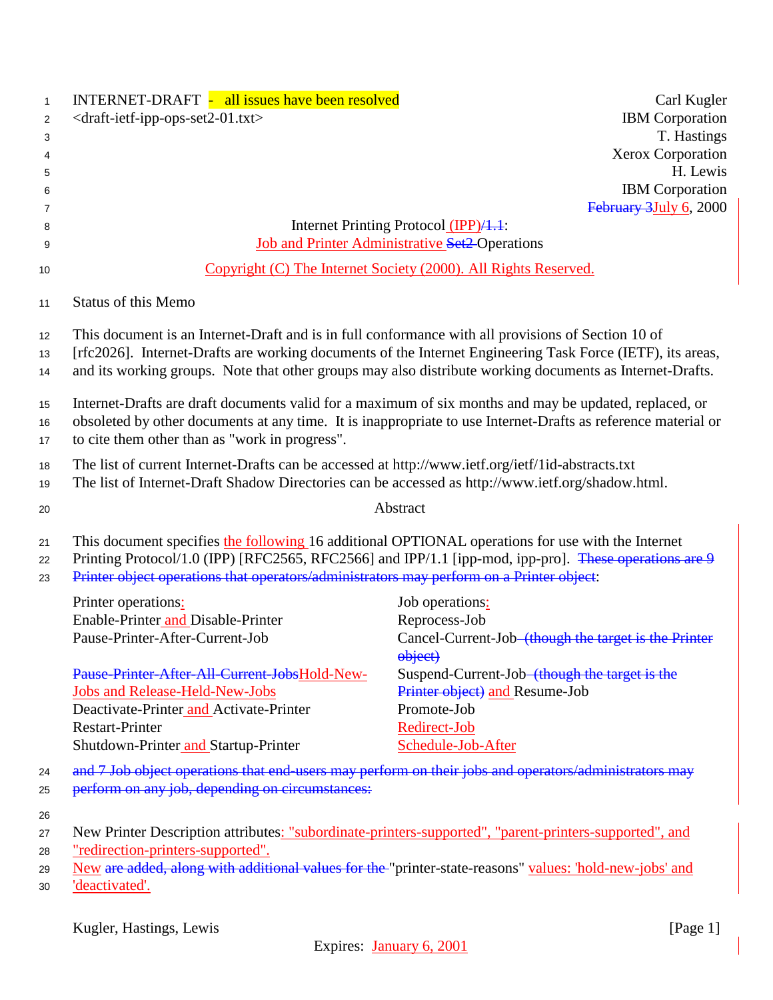| $\mathbf{1}$<br>$\overline{2}$<br>3<br>4<br>5<br>6<br>7<br>8<br>9 | INTERNET-DRAFT - all issues have been resolved<br>Carl Kugler<br><draft-ietf-ipp-ops-set2-01.txt><br/><b>IBM</b> Corporation<br/>T. Hastings<br/><b>Xerox Corporation</b><br/>H. Lewis<br/><b>IBM</b> Corporation<br/>February 3July 6, 2000<br/>Internet Printing Protocol (IPP)/1.1:<br/><b>Job and Printer Administrative Set2-Operations</b></draft-ietf-ipp-ops-set2-01.txt>                                                      |
|-------------------------------------------------------------------|----------------------------------------------------------------------------------------------------------------------------------------------------------------------------------------------------------------------------------------------------------------------------------------------------------------------------------------------------------------------------------------------------------------------------------------|
| 10                                                                | Copyright (C) The Internet Society (2000). All Rights Reserved.                                                                                                                                                                                                                                                                                                                                                                        |
| 11                                                                | <b>Status of this Memo</b>                                                                                                                                                                                                                                                                                                                                                                                                             |
| 12<br>13<br>14<br>15                                              | This document is an Internet-Draft and is in full conformance with all provisions of Section 10 of<br>[rfc2026]. Internet-Drafts are working documents of the Internet Engineering Task Force (IETF), its areas,<br>and its working groups. Note that other groups may also distribute working documents as Internet-Drafts.<br>Internet-Drafts are draft documents valid for a maximum of six months and may be updated, replaced, or |
| 16<br>17                                                          | obsoleted by other documents at any time. It is inappropriate to use Internet-Drafts as reference material or<br>to cite them other than as "work in progress".                                                                                                                                                                                                                                                                        |
| 18<br>19                                                          | The list of current Internet-Drafts can be accessed at http://www.ietf.org/ietf/1id-abstracts.txt<br>The list of Internet-Draft Shadow Directories can be accessed as http://www.ietf.org/shadow.html.                                                                                                                                                                                                                                 |
| 20                                                                | Abstract                                                                                                                                                                                                                                                                                                                                                                                                                               |
| 21<br>22<br>23                                                    | This document specifies the following 16 additional OPTIONAL operations for use with the Internet<br>Printing Protocol/1.0 (IPP) [RFC2565, RFC2566] and IPP/1.1 [ipp-mod, ipp-pro]. These operations are 9<br>Printer object operations that operators/administrators may perform on a Printer object:                                                                                                                                 |
|                                                                   | Printer operations:<br>Job operations:<br>Enable-Printer and Disable-Printer<br>Reprocess-Job<br>Pause-Printer-After-Current-Job<br>Cancel-Current-Job <del> (though the target is the Printer</del><br>object)                                                                                                                                                                                                                        |
|                                                                   | Pause-Printer-After-All-Current-JobsHold-New-<br>Suspend-Current-Job <del> (though the target is the</del><br>Printer object) and Resume-Job<br><b>Jobs and Release-Held-New-Jobs</b><br>Deactivate-Printer and Activate-Printer<br>Promote-Job<br><b>Restart-Printer</b><br>Redirect-Job<br>Shutdown-Printer and Startup-Printer<br>Schedule-Job-After                                                                                |
| 24<br>25<br>26                                                    | and 7 Job object operations that end users may perform on their jobs and operators/administrators may<br>perform on any job, depending on circumstances:                                                                                                                                                                                                                                                                               |
| 27<br>28<br>29<br>30                                              | New Printer Description attributes: "subordinate-printers-supported", "parent-printers-supported", and<br>"redirection-printers-supported".<br>New are added, along with additional values for the "printer-state-reasons" values: 'hold-new-jobs' and<br>'deactivated'.                                                                                                                                                               |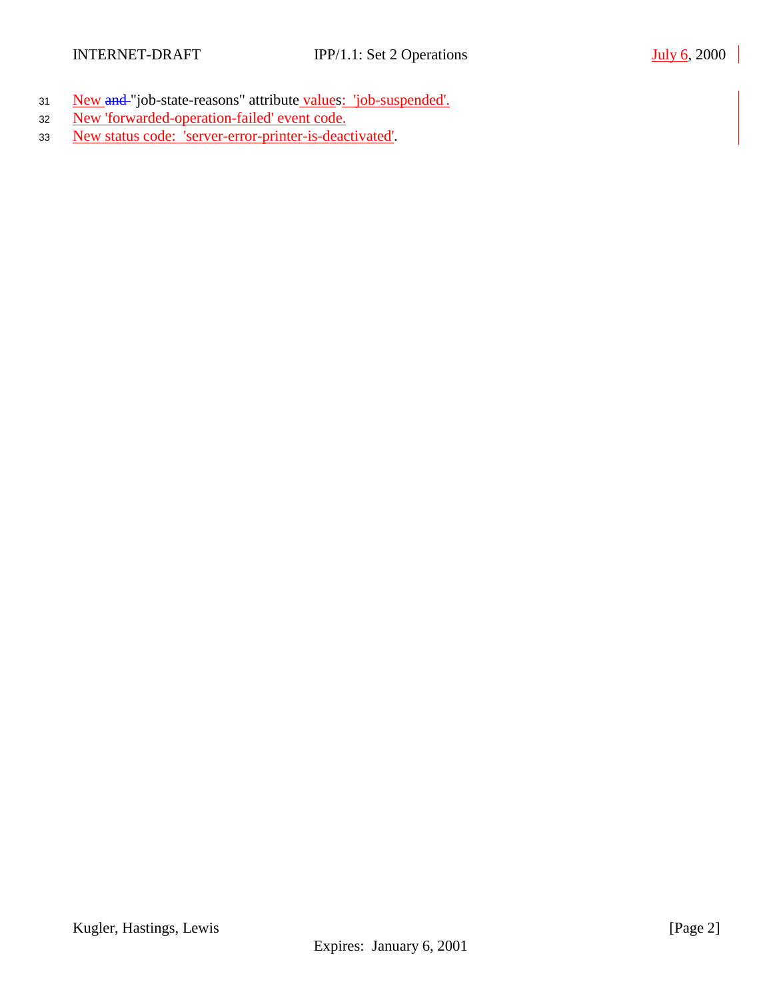- <sup>31</sup> New and "job-state-reasons" attribute values: 'job-suspended'.
- 32 New 'forwarded-operation-failed' event code.
- 33 New status code: 'server-error-printer-is-deactivated'.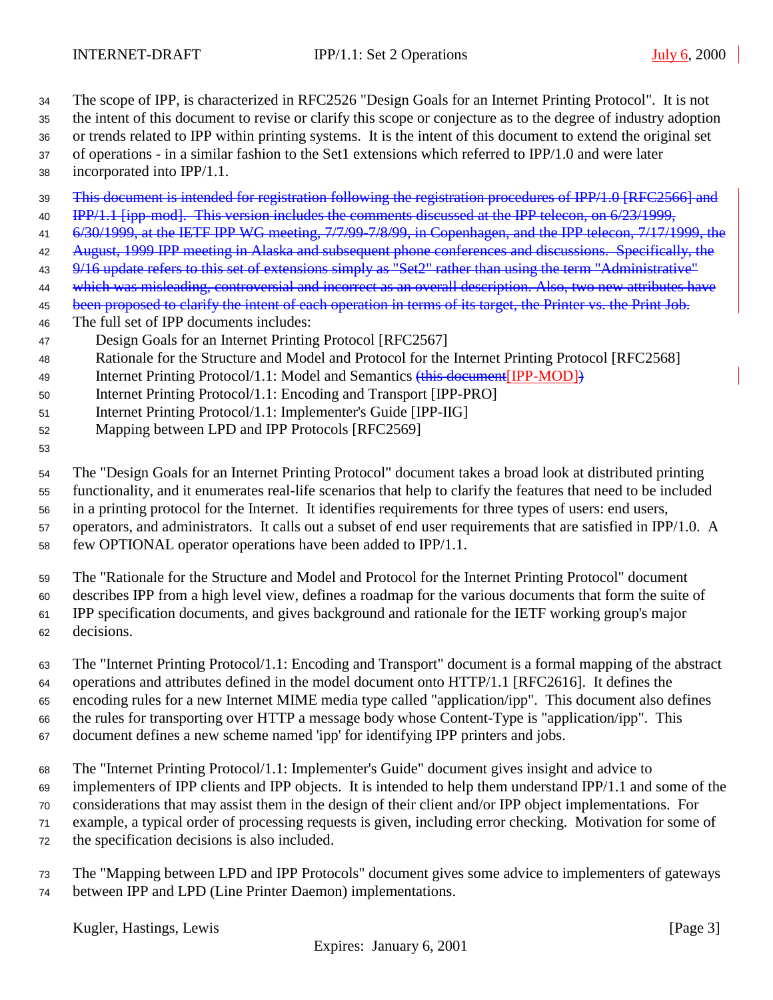The scope of IPP, is characterized in RFC2526 "Design Goals for an Internet Printing Protocol". It is not

the intent of this document to revise or clarify this scope or conjecture as to the degree of industry adoption

or trends related to IPP within printing systems. It is the intent of this document to extend the original set

of operations - in a similar fashion to the Set1 extensions which referred to IPP/1.0 and were later

- incorporated into IPP/1.1.
- 39 This document is intended for registration following the registration procedures of IPP/1.0 [RFC2566] and
- 40 IPP/1.1 [ipp-mod]. This version includes the comments discussed at the IPP telecon, on 6/23/1999,
- 41 6/30/1999, at the IETF IPP WG meeting, 7/7/99-7/8/99, in Copenhagen, and the IPP telecon, 7/17/1999, the
- 42 August, 1999 IPP meeting in Alaska and subsequent phone conferences and discussions. Specifically, the
- 43 9/16 update refers to this set of extensions simply as "Set2" rather than using the term "Administrative"
- 44 which was misleading, controversial and incorrect as an overall description. Also, two new attributes have

45 been proposed to clarify the intent of each operation in terms of its target, the Printer vs. the Print Job.

- The full set of IPP documents includes:
- Design Goals for an Internet Printing Protocol [RFC2567]
- Rationale for the Structure and Model and Protocol for the Internet Printing Protocol [RFC2568]
- 49 Internet Printing Protocol/1.1: Model and Semantics (this document [IPP-MOD])
- Internet Printing Protocol/1.1: Encoding and Transport [IPP-PRO]
- Internet Printing Protocol/1.1: Implementer's Guide [IPP-IIG]
- Mapping between LPD and IPP Protocols [RFC2569]
- 

 The "Design Goals for an Internet Printing Protocol" document takes a broad look at distributed printing functionality, and it enumerates real-life scenarios that help to clarify the features that need to be included

in a printing protocol for the Internet. It identifies requirements for three types of users: end users,

operators, and administrators. It calls out a subset of end user requirements that are satisfied in IPP/1.0. A

few OPTIONAL operator operations have been added to IPP/1.1.

The "Rationale for the Structure and Model and Protocol for the Internet Printing Protocol" document

 describes IPP from a high level view, defines a roadmap for the various documents that form the suite of IPP specification documents, and gives background and rationale for the IETF working group's major

decisions.

 The "Internet Printing Protocol/1.1: Encoding and Transport" document is a formal mapping of the abstract operations and attributes defined in the model document onto HTTP/1.1 [RFC2616]. It defines the encoding rules for a new Internet MIME media type called "application/ipp". This document also defines the rules for transporting over HTTP a message body whose Content-Type is "application/ipp". This

document defines a new scheme named 'ipp' for identifying IPP printers and jobs.

The "Internet Printing Protocol/1.1: Implementer's Guide" document gives insight and advice to

- implementers of IPP clients and IPP objects. It is intended to help them understand IPP/1.1 and some of the
- considerations that may assist them in the design of their client and/or IPP object implementations. For
- example, a typical order of processing requests is given, including error checking. Motivation for some of
- the specification decisions is also included.
- The "Mapping between LPD and IPP Protocols" document gives some advice to implementers of gateways between IPP and LPD (Line Printer Daemon) implementations.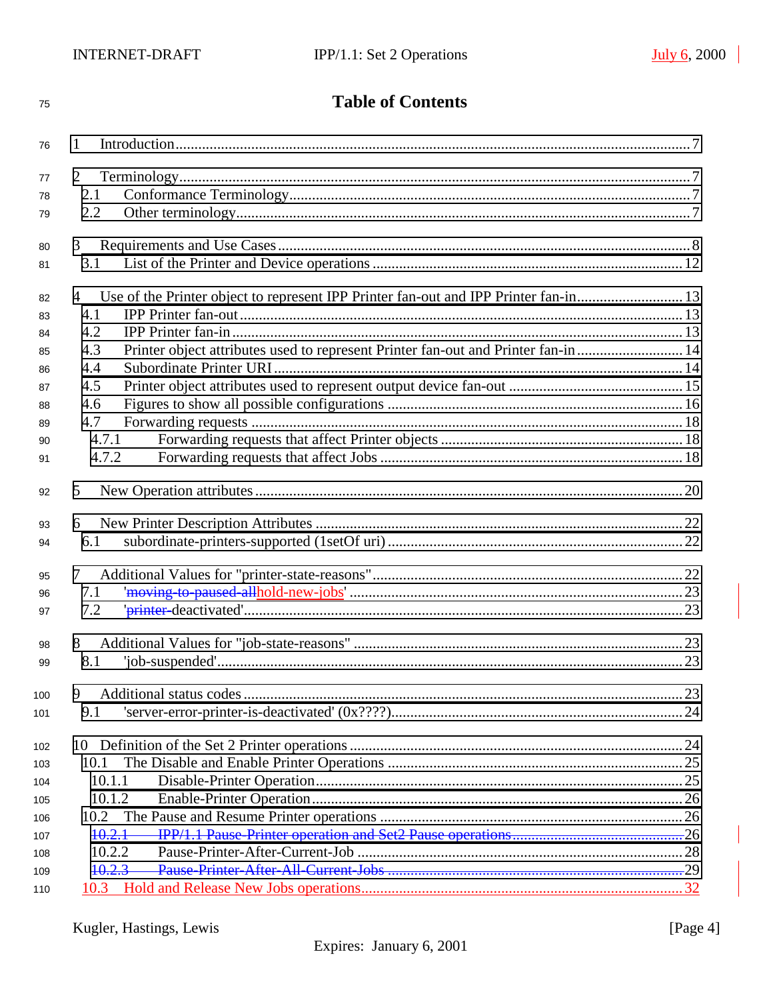| 75       | <b>Table of Contents</b>                                                                  |    |
|----------|-------------------------------------------------------------------------------------------|----|
| 76       | 1                                                                                         |    |
| 77       | 2                                                                                         |    |
| 78       | 2.1                                                                                       |    |
| 79       | 2.2                                                                                       |    |
|          | 3                                                                                         |    |
| 80<br>81 | 3.1                                                                                       |    |
|          |                                                                                           |    |
| 82       | 4                                                                                         |    |
| 83       | 4.1                                                                                       |    |
| 84       | 4.2                                                                                       |    |
| 85       | Printer object attributes used to represent Printer fan-out and Printer fan-in  14<br>4.3 |    |
| 86       | 4.4                                                                                       |    |
| 87       | 4.5                                                                                       |    |
| 88       | 4.6                                                                                       |    |
| 89       | 4.7                                                                                       |    |
| 90       | 4.7.1                                                                                     |    |
| 91       | 4.7.2                                                                                     |    |
| 92       | 5                                                                                         |    |
| 93       | 6                                                                                         |    |
| 94       | 6.1                                                                                       |    |
|          | 7                                                                                         |    |
| 95       | 7.1                                                                                       |    |
| 96<br>97 | 7.2                                                                                       |    |
|          |                                                                                           |    |
| 98       | 8                                                                                         |    |
| 99       |                                                                                           | 23 |
| 100      | 9                                                                                         |    |
| 101      | 9.1                                                                                       |    |
|          |                                                                                           |    |
| 102      |                                                                                           |    |
| 103      | 10.1                                                                                      |    |
| 104      | 10.1.1                                                                                    |    |
| 105      | 10.1.2                                                                                    |    |
| 106      | 10.2                                                                                      |    |
| 107      | $+0.2.1$                                                                                  |    |
| 108      | 10.2.2                                                                                    |    |
| 109      | 10.2.3                                                                                    |    |
| 110      |                                                                                           |    |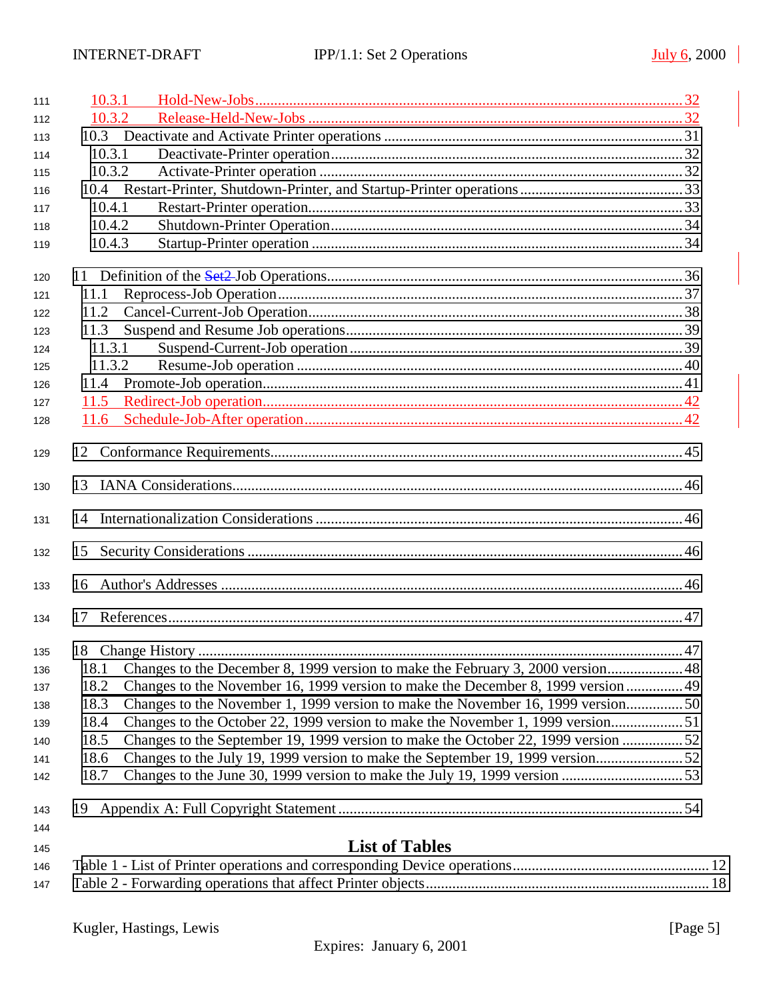| 111 | 10.3.1 |                                                                                   |     |
|-----|--------|-----------------------------------------------------------------------------------|-----|
| 112 | 10.3.2 |                                                                                   |     |
| 113 |        |                                                                                   |     |
| 114 | 10.3.1 |                                                                                   |     |
| 115 | 10.3.2 |                                                                                   |     |
| 116 |        |                                                                                   |     |
| 117 | 10.4.1 |                                                                                   |     |
| 118 | 10.4.2 |                                                                                   |     |
| 119 | 10.4.3 |                                                                                   |     |
| 120 |        |                                                                                   |     |
| 121 | 11.1   |                                                                                   |     |
| 122 | 11.2   |                                                                                   |     |
| 123 | 11.3   |                                                                                   |     |
| 124 | 11.3.1 |                                                                                   |     |
| 125 | 11.3.2 |                                                                                   |     |
| 126 | 11.4   |                                                                                   |     |
| 127 | 11.5   |                                                                                   |     |
| 128 | 11.6   |                                                                                   |     |
| 129 |        |                                                                                   |     |
| 130 |        |                                                                                   |     |
| 131 |        |                                                                                   |     |
| 132 |        |                                                                                   |     |
| 133 | 16     |                                                                                   |     |
| 134 | 17     |                                                                                   |     |
| 135 |        |                                                                                   | .47 |
| 136 | 18.1   | Changes to the December 8, 1999 version to make the February 3, 2000 version 48   |     |
| 137 | 18.2   | Changes to the November 16, 1999 version to make the December 8, 1999 version  49 |     |
| 138 | 18.3   |                                                                                   |     |
| 139 | 18.4   | Changes to the October 22, 1999 version to make the November 1, 1999 version51    |     |
| 140 | 18.5   | Changes to the September 19, 1999 version to make the October 22, 1999 version 52 |     |
| 141 | 18.6   | Changes to the July 19, 1999 version to make the September 19, 1999 version       |     |
| 142 | 18.7   |                                                                                   |     |
| 143 |        |                                                                                   |     |
| 144 |        |                                                                                   |     |
| 145 |        | <b>List of Tables</b>                                                             |     |
| 146 |        |                                                                                   |     |

[Table 2 - Forwarding operations that affect Printer objects........................................................................... 18](#page-17-0)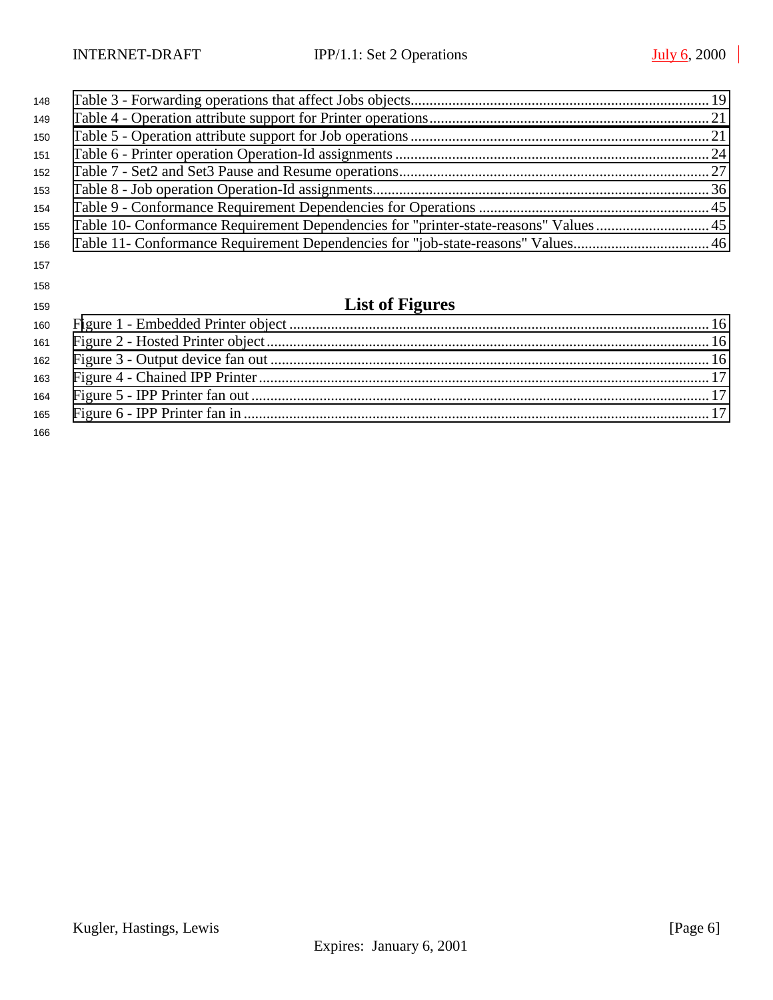| 148 |                                                                                       |  |
|-----|---------------------------------------------------------------------------------------|--|
| 149 |                                                                                       |  |
| 150 |                                                                                       |  |
| 151 |                                                                                       |  |
| 152 |                                                                                       |  |
| 153 |                                                                                       |  |
| 154 |                                                                                       |  |
| 155 | Table 10- Conformance Requirement Dependencies for "printer-state-reasons" Values  45 |  |
| 156 |                                                                                       |  |
| 157 |                                                                                       |  |

# **List of Figures**

| 166 |  |
|-----|--|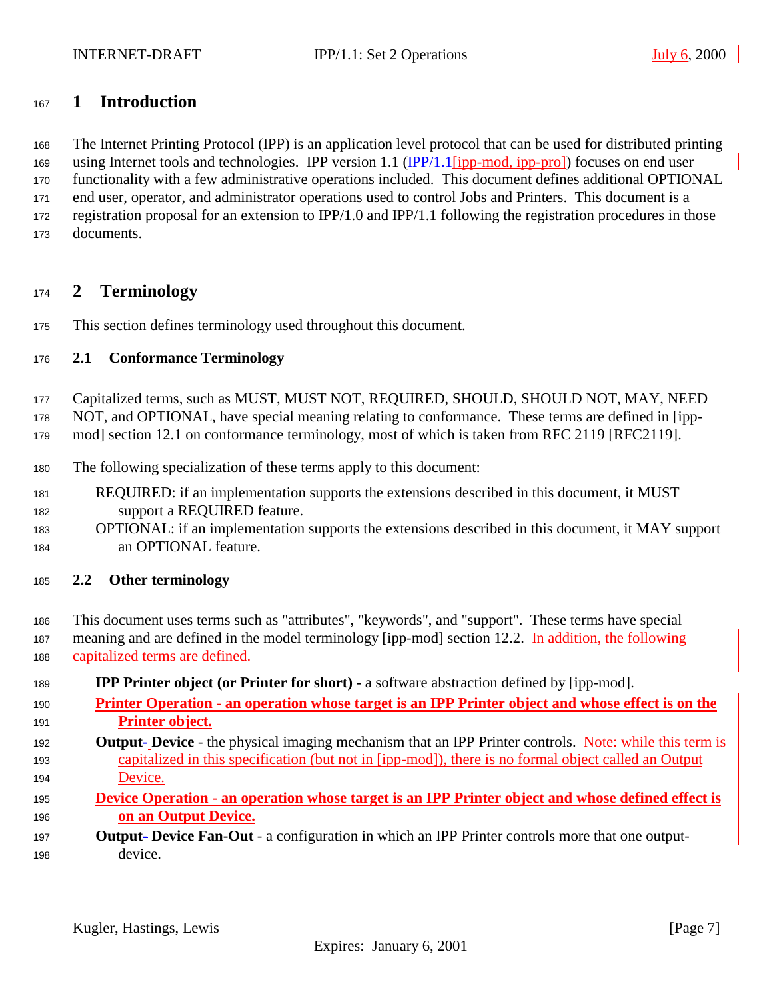# <span id="page-6-0"></span>**1 Introduction**

 The Internet Printing Protocol (IPP) is an application level protocol that can be used for distributed printing 169 using Internet tools and technologies. IPP version 1.1 (IPP/1.1 [ipp-mod, ipp-pro]) focuses on end user functionality with a few administrative operations included. This document defines additional OPTIONAL end user, operator, and administrator operations used to control Jobs and Printers. This document is a registration proposal for an extension to IPP/1.0 and IPP/1.1 following the registration procedures in those documents.

# **2 Terminology**

This section defines terminology used throughout this document.

# **2.1 Conformance Terminology**

Capitalized terms, such as MUST, MUST NOT, REQUIRED, SHOULD, SHOULD NOT, MAY, NEED

NOT, and OPTIONAL, have special meaning relating to conformance. These terms are defined in [ipp-

- mod] section 12.1 on conformance terminology, most of which is taken from RFC 2119 [RFC2119].
- The following specialization of these terms apply to this document:
- REQUIRED: if an implementation supports the extensions described in this document, it MUST support a REQUIRED feature.
- OPTIONAL: if an implementation supports the extensions described in this document, it MAY support an OPTIONAL feature.
- **2.2 Other terminology**
- This document uses terms such as "attributes", "keywords", and "support". These terms have special 187 meaning and are defined in the model terminology [ipp-mod] section 12.2. In addition, the following capitalized terms are defined.
- **IPP Printer object (or Printer for short)** a software abstraction defined by [ipp-mod].
- **Printer Operation an operation whose target is an IPP Printer object and whose effect is on the Printer object.**
- **Output- Device**  the physical imaging mechanism that an IPP Printer controls. Note: while this term is capitalized in this specification (but not in [ipp-mod]), there is no formal object called an Output Device.
- **Device Operation an operation whose target is an IPP Printer object and whose defined effect is on an Output Device.**
- **Output Device Fan-Out** a configuration in which an IPP Printer controls more that one output-device.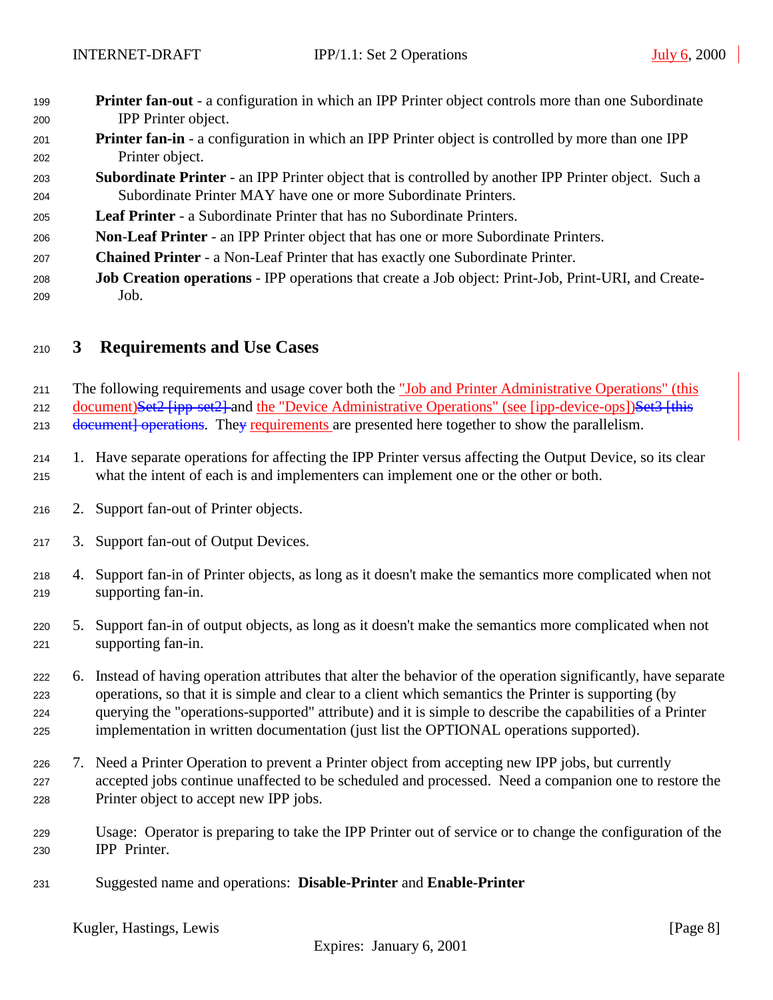- <span id="page-7-0"></span> **Printer fan**-**out** - a configuration in which an IPP Printer object controls more than one Subordinate IPP Printer object.
- **Printer fan-in** a configuration in which an IPP Printer object is controlled by more than one IPP Printer object.
- **Subordinate Printer**  an IPP Printer object that is controlled by another IPP Printer object. Such a Subordinate Printer MAY have one or more Subordinate Printers.
- **Leaf Printer**  a Subordinate Printer that has no Subordinate Printers.
- **Non**-**Leaf Printer** an IPP Printer object that has one or more Subordinate Printers.
- **Chained Printer**  a Non-Leaf Printer that has exactly one Subordinate Printer.
- **Job Creation operations**  IPP operations that create a Job object: Print-Job, Print-URI, and Create-Job.

# **3 Requirements and Use Cases**

211 The following requirements and usage cover both the "Job and Printer Administrative Operations" (this 212 document)Set2 [ipp-set2] and the "Device Administrative Operations" (see [ipp-device-ops])Set3 [this 213 document operations. They requirements are presented here together to show the parallelism.

- 1. Have separate operations for affecting the IPP Printer versus affecting the Output Device, so its clear what the intent of each is and implementers can implement one or the other or both.
- 2. Support fan-out of Printer objects.
- 3. Support fan-out of Output Devices.
- 4. Support fan-in of Printer objects, as long as it doesn't make the semantics more complicated when not supporting fan-in.
- 5. Support fan-in of output objects, as long as it doesn't make the semantics more complicated when not supporting fan-in.
- 6. Instead of having operation attributes that alter the behavior of the operation significantly, have separate operations, so that it is simple and clear to a client which semantics the Printer is supporting (by querying the "operations-supported" attribute) and it is simple to describe the capabilities of a Printer implementation in written documentation (just list the OPTIONAL operations supported).
- 7. Need a Printer Operation to prevent a Printer object from accepting new IPP jobs, but currently accepted jobs continue unaffected to be scheduled and processed. Need a companion one to restore the Printer object to accept new IPP jobs.
- Usage: Operator is preparing to take the IPP Printer out of service or to change the configuration of the IPP Printer.
- Suggested name and operations: **Disable-Printer** and **Enable-Printer**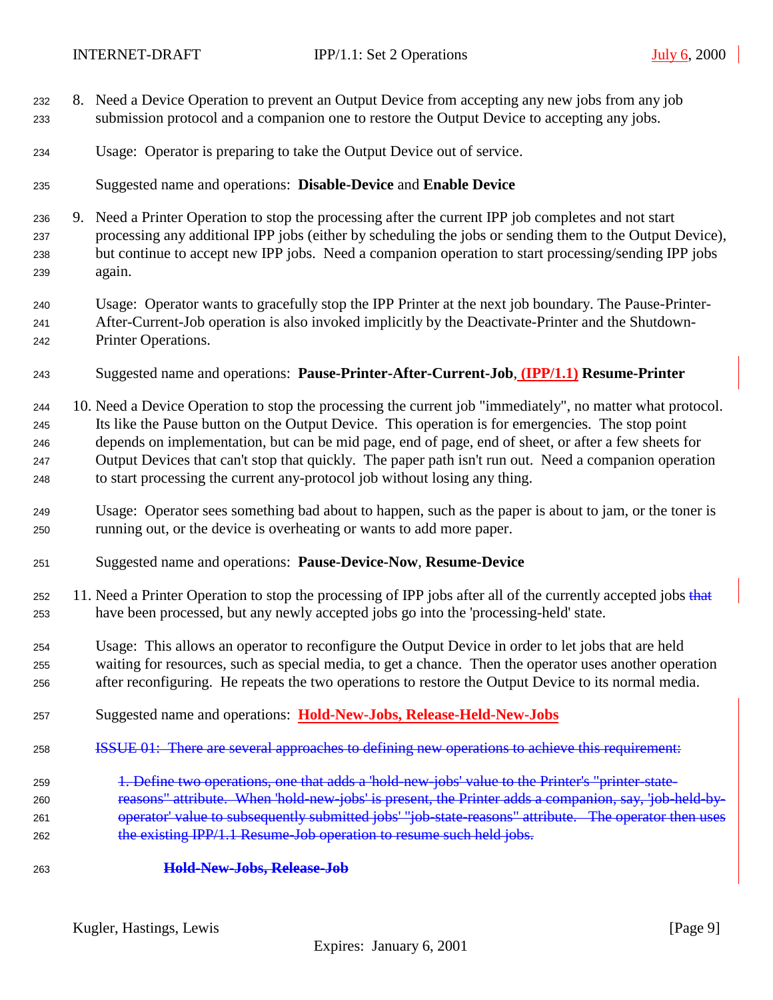- 8. Need a Device Operation to prevent an Output Device from accepting any new jobs from any job submission protocol and a companion one to restore the Output Device to accepting any jobs.
- Usage: Operator is preparing to take the Output Device out of service.
- Suggested name and operations: **Disable-Device** and **Enable Device**
- 9. Need a Printer Operation to stop the processing after the current IPP job completes and not start processing any additional IPP jobs (either by scheduling the jobs or sending them to the Output Device), but continue to accept new IPP jobs. Need a companion operation to start processing/sending IPP jobs again.
- Usage: Operator wants to gracefully stop the IPP Printer at the next job boundary. The Pause-Printer- After-Current-Job operation is also invoked implicitly by the Deactivate-Printer and the Shutdown-Printer Operations.
- Suggested name and operations: **Pause-Printer-After-Current-Job**, **(IPP/1.1) Resume-Printer**
- 10. Need a Device Operation to stop the processing the current job "immediately", no matter what protocol. Its like the Pause button on the Output Device. This operation is for emergencies. The stop point depends on implementation, but can be mid page, end of page, end of sheet, or after a few sheets for Output Devices that can't stop that quickly. The paper path isn't run out. Need a companion operation to start processing the current any-protocol job without losing any thing.
- Usage: Operator sees something bad about to happen, such as the paper is about to jam, or the toner is running out, or the device is overheating or wants to add more paper.
- Suggested name and operations: **Pause-Device-Now**, **Resume-Device**
- 252 11. Need a Printer Operation to stop the processing of IPP jobs after all of the currently accepted jobs that have been processed, but any newly accepted jobs go into the 'processing-held' state.
- Usage: This allows an operator to reconfigure the Output Device in order to let jobs that are held waiting for resources, such as special media, to get a chance. Then the operator uses another operation after reconfiguring. He repeats the two operations to restore the Output Device to its normal media.
- Suggested name and operations: **Hold-New-Jobs, Release-Held-New-Jobs**
- ISSUE 01: There are several approaches to defining new operations to achieve this requirement:
- 259 1. Define two operations, one that adds a 'hold-new-jobs' value to the Printer's "printer-state- reasons" attribute. When 'hold-new-jobs' is present, the Printer adds a companion, say, 'job-held-by-261 operator' value to subsequently submitted jobs' "job-state-reasons" attribute. The operator then uses 262 the existing IPP/1.1 Resume Job operation to resume such held jobs.
- **Hold-New-Jobs, Release-Job**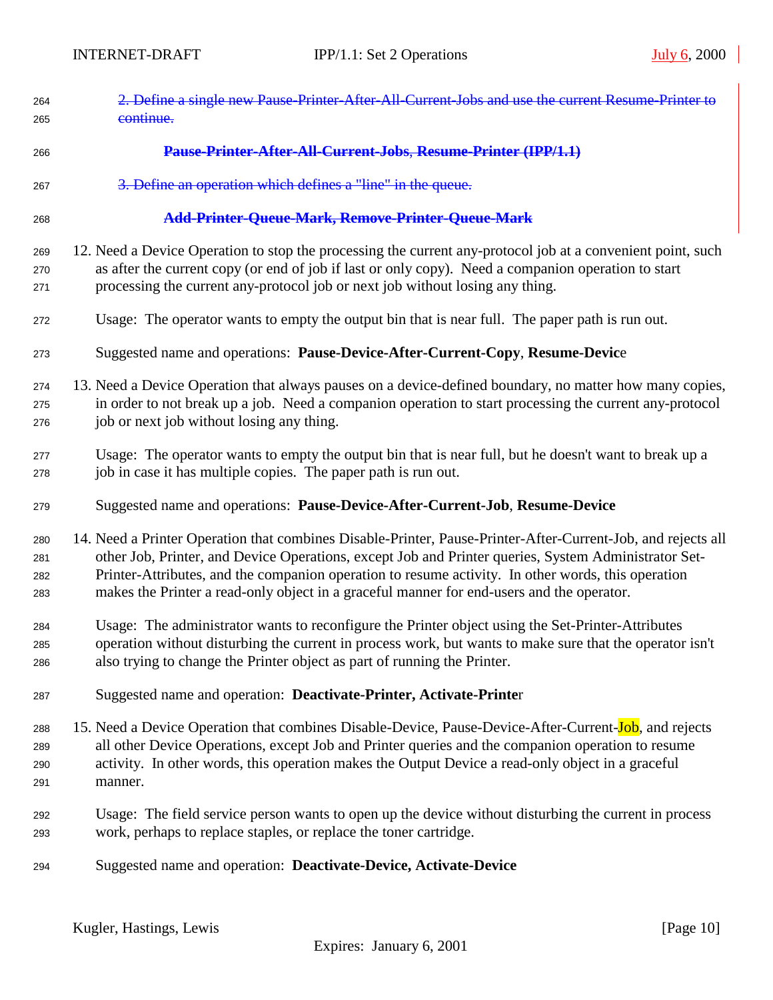| 264<br>265 | 2. Define a single new Pause Printer After All Current Jobs and use the current Resume Printer to<br>continue.                                                                                                       |
|------------|----------------------------------------------------------------------------------------------------------------------------------------------------------------------------------------------------------------------|
| 266        | Pause-Printer-After-All-Current-Jobs, Resume-Printer (IPP/1.1)                                                                                                                                                       |
| 267        | 3. Define an operation which defines a "line" in the queue.                                                                                                                                                          |
| 268        | Add-Printer-Queue-Mark, Remove-Printer-Queue-Mark                                                                                                                                                                    |
| 269<br>270 | 12. Need a Device Operation to stop the processing the current any-protocol job at a convenient point, such<br>as after the current copy (or end of job if last or only copy). Need a companion operation to start   |
| 271        | processing the current any-protocol job or next job without losing any thing.                                                                                                                                        |
| 272        | Usage: The operator wants to empty the output bin that is near full. The paper path is run out.                                                                                                                      |
| 273        | Suggested name and operations: Pause-Device-After-Current-Copy, Resume-Device                                                                                                                                        |
| 274        | 13. Need a Device Operation that always pauses on a device-defined boundary, no matter how many copies,                                                                                                              |
| 275<br>276 | in order to not break up a job. Need a companion operation to start processing the current any-protocol<br>job or next job without losing any thing.                                                                 |
| 277<br>278 | Usage: The operator wants to empty the output bin that is near full, but he doesn't want to break up a<br>job in case it has multiple copies. The paper path is run out.                                             |
|            |                                                                                                                                                                                                                      |
| 279        | Suggested name and operations: Pause-Device-After-Current-Job, Resume-Device                                                                                                                                         |
| 280<br>281 | 14. Need a Printer Operation that combines Disable-Printer, Pause-Printer-After-Current-Job, and rejects all<br>other Job, Printer, and Device Operations, except Job and Printer queries, System Administrator Set- |
| 282<br>283 | Printer-Attributes, and the companion operation to resume activity. In other words, this operation<br>makes the Printer a read-only object in a graceful manner for end-users and the operator.                      |
| 284        | Usage: The administrator wants to reconfigure the Printer object using the Set-Printer-Attributes                                                                                                                    |
| 285<br>286 | operation without disturbing the current in process work, but wants to make sure that the operator isn't<br>also trying to change the Printer object as part of running the Printer.                                 |
| 287        | Suggested name and operation: Deactivate-Printer, Activate-Printer                                                                                                                                                   |
| 288        | 15. Need a Device Operation that combines Disable-Device, Pause-Device-After-Current-Job, and rejects                                                                                                                |
| 289        | all other Device Operations, except Job and Printer queries and the companion operation to resume                                                                                                                    |
| 290<br>291 | activity. In other words, this operation makes the Output Device a read-only object in a graceful<br>manner.                                                                                                         |
| 292<br>293 | Usage: The field service person wants to open up the device without disturbing the current in process<br>work, perhaps to replace staples, or replace the toner cartridge.                                           |
| 294        | Suggested name and operation: Deactivate-Device, Activate-Device                                                                                                                                                     |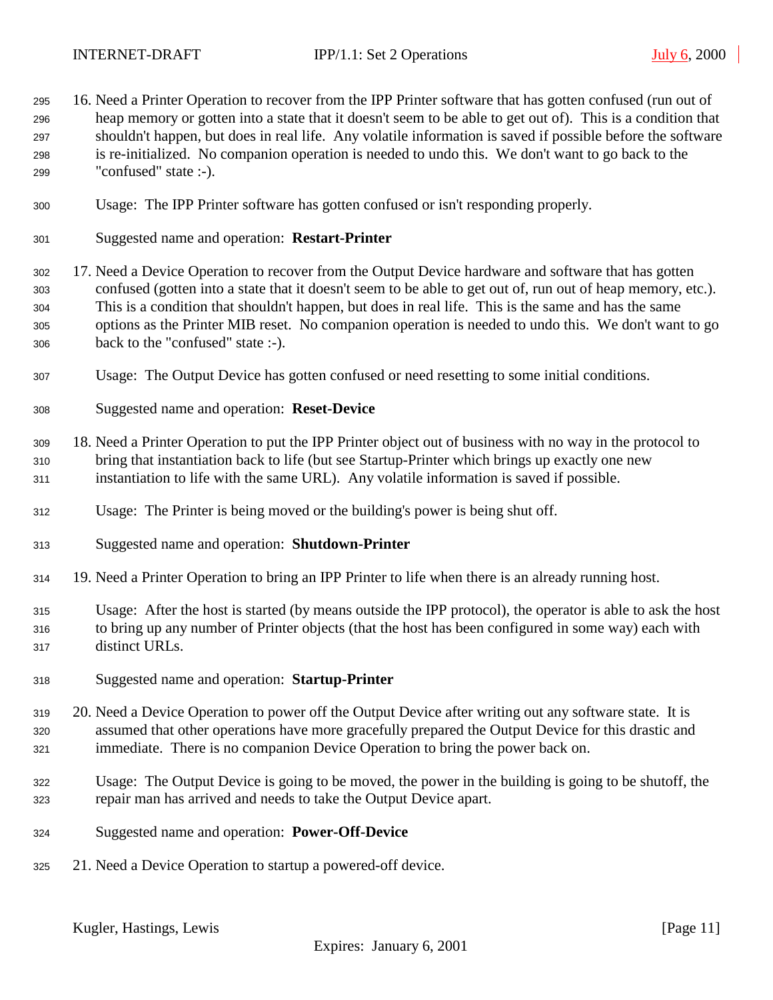16. Need a Printer Operation to recover from the IPP Printer software that has gotten confused (run out of heap memory or gotten into a state that it doesn't seem to be able to get out of). This is a condition that shouldn't happen, but does in real life. Any volatile information is saved if possible before the software is re-initialized. No companion operation is needed to undo this. We don't want to go back to the "confused" state :-). Usage: The IPP Printer software has gotten confused or isn't responding properly. Suggested name and operation: **Restart-Printer** 17. Need a Device Operation to recover from the Output Device hardware and software that has gotten confused (gotten into a state that it doesn't seem to be able to get out of, run out of heap memory, etc.). This is a condition that shouldn't happen, but does in real life. This is the same and has the same options as the Printer MIB reset. No companion operation is needed to undo this. We don't want to go back to the "confused" state :-). Usage: The Output Device has gotten confused or need resetting to some initial conditions. Suggested name and operation: **Reset-Device** 18. Need a Printer Operation to put the IPP Printer object out of business with no way in the protocol to bring that instantiation back to life (but see Startup-Printer which brings up exactly one new instantiation to life with the same URL). Any volatile information is saved if possible. Usage: The Printer is being moved or the building's power is being shut off. Suggested name and operation: **Shutdown-Printer** 19. Need a Printer Operation to bring an IPP Printer to life when there is an already running host. Usage: After the host is started (by means outside the IPP protocol), the operator is able to ask the host to bring up any number of Printer objects (that the host has been configured in some way) each with distinct URLs. Suggested name and operation: **Startup-Printer** 20. Need a Device Operation to power off the Output Device after writing out any software state. It is assumed that other operations have more gracefully prepared the Output Device for this drastic and immediate. There is no companion Device Operation to bring the power back on. Usage: The Output Device is going to be moved, the power in the building is going to be shutoff, the repair man has arrived and needs to take the Output Device apart. Suggested name and operation: **Power-Off-Device** 21. Need a Device Operation to startup a powered-off device.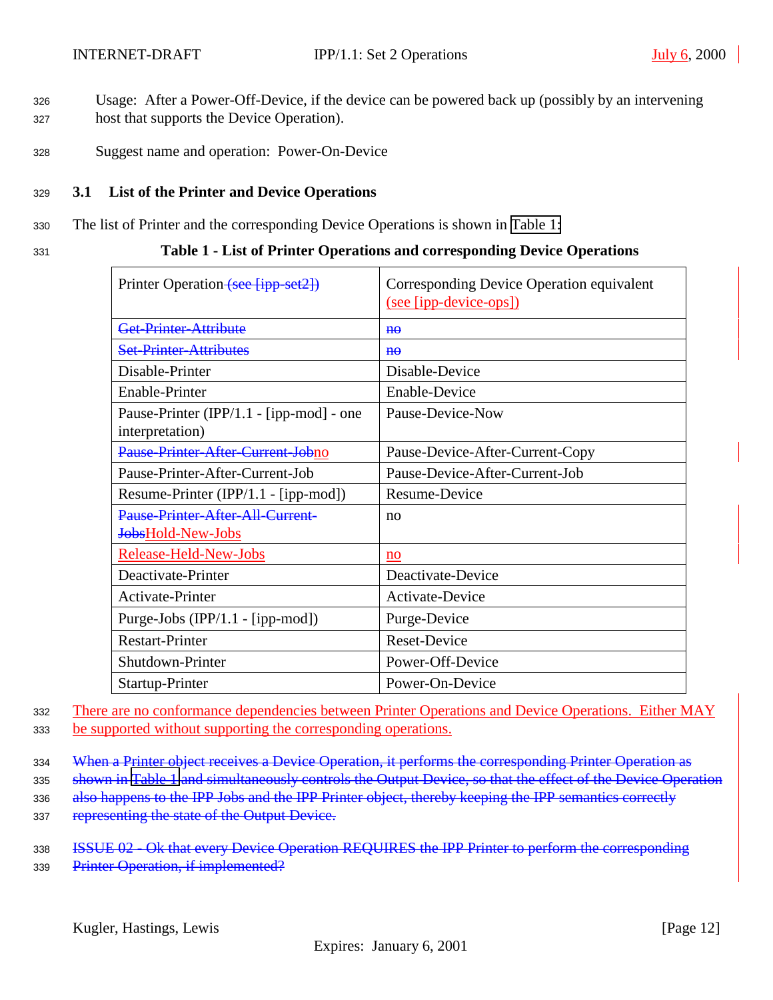- <span id="page-11-0"></span><sup>326</sup> Usage: After a Power-Off-Device, if the device can be powered back up (possibly by an intervening <sup>327</sup> host that supports the Device Operation).
- <sup>328</sup> Suggest name and operation: Power-On-Device

#### <sup>329</sup> **3.1 List of the Printer and Device Operations**

- <sup>330</sup> The list of Printer and the corresponding Device Operations is shown in Table 1:
- 

#### <sup>331</sup> **Table 1 - List of Printer Operations and corresponding Device Operations**

| Printer Operation (see [ipp-set2])                                  | Corresponding Device Operation equivalent<br>(see [ipp-device-ops]) |  |  |  |  |
|---------------------------------------------------------------------|---------------------------------------------------------------------|--|--|--|--|
| Get-Printer-Attribute                                               | $H\Theta$                                                           |  |  |  |  |
| <b>Set-Printer-Attributes</b>                                       | $H\Theta$                                                           |  |  |  |  |
| Disable-Printer                                                     | Disable-Device                                                      |  |  |  |  |
| Enable-Printer                                                      | Enable-Device                                                       |  |  |  |  |
| Pause-Printer (IPP/1.1 - [ipp-mod] - one<br>interpretation)         | Pause-Device-Now                                                    |  |  |  |  |
| Pause Printer After Current Johno                                   | Pause-Device-After-Current-Copy                                     |  |  |  |  |
| Pause-Printer-After-Current-Job                                     | Pause-Device-After-Current-Job                                      |  |  |  |  |
| Resume-Printer (IPP/1.1 - [ipp-mod])                                | Resume-Device                                                       |  |  |  |  |
| <b>Pause-Printer-After-All-Current-</b><br><b>JobsHold-New-Jobs</b> | no                                                                  |  |  |  |  |
| Release-Held-New-Jobs                                               | no                                                                  |  |  |  |  |
| Deactivate-Printer                                                  | Deactivate-Device                                                   |  |  |  |  |
| Activate-Printer                                                    | Activate-Device                                                     |  |  |  |  |
| Purge-Jobs (IPP/1.1 - [ipp-mod])                                    | Purge-Device                                                        |  |  |  |  |
| <b>Restart-Printer</b>                                              | <b>Reset-Device</b>                                                 |  |  |  |  |
| Shutdown-Printer                                                    | Power-Off-Device                                                    |  |  |  |  |
| Startup-Printer                                                     | Power-On-Device                                                     |  |  |  |  |

<sup>332</sup> There are no conformance dependencies between Printer Operations and Device Operations. Either MAY <sup>333</sup> be supported without supporting the corresponding operations.

- 334 When a Printer object receives a Device Operation, it performs the corresponding Printer Operation as
- 335 shown in Table 1 and simultaneously controls the Output Device, so that the effect of the Device Operation
- 336 also happens to the IPP Jobs and the IPP Printer object, thereby keeping the IPP semantics correctly
- 337 representing the state of the Output Device.
- 338 **ISSUE 02 Ok that every Device Operation REQUIRES the IPP Printer to perform the corresponding**
- 339 Printer Operation, if implemented?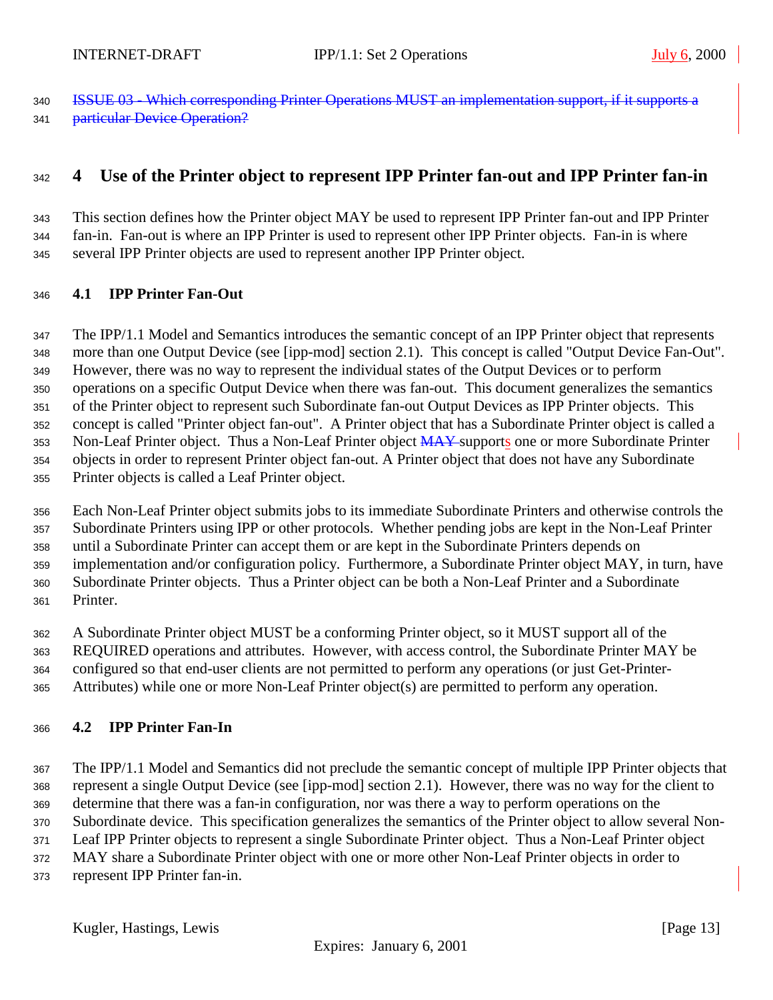<span id="page-12-0"></span> ISSUE 03 - Which corresponding Printer Operations MUST an implementation support, if it supports a **particular Device Operation?** 

# **4 Use of the Printer object to represent IPP Printer fan-out and IPP Printer fan-in**

 This section defines how the Printer object MAY be used to represent IPP Printer fan-out and IPP Printer fan-in. Fan-out is where an IPP Printer is used to represent other IPP Printer objects. Fan-in is where several IPP Printer objects are used to represent another IPP Printer object.

#### **4.1 IPP Printer Fan-Out**

 The IPP/1.1 Model and Semantics introduces the semantic concept of an IPP Printer object that represents more than one Output Device (see [ipp-mod] section 2.1). This concept is called "Output Device Fan-Out". However, there was no way to represent the individual states of the Output Devices or to perform operations on a specific Output Device when there was fan-out. This document generalizes the semantics of the Printer object to represent such Subordinate fan-out Output Devices as IPP Printer objects. This concept is called "Printer object fan-out". A Printer object that has a Subordinate Printer object is called a 353 Non-Leaf Printer object. Thus a Non-Leaf Printer object MAY supports one or more Subordinate Printer objects in order to represent Printer object fan-out. A Printer object that does not have any Subordinate Printer objects is called a Leaf Printer object.

 Each Non-Leaf Printer object submits jobs to its immediate Subordinate Printers and otherwise controls the Subordinate Printers using IPP or other protocols. Whether pending jobs are kept in the Non-Leaf Printer until a Subordinate Printer can accept them or are kept in the Subordinate Printers depends on implementation and/or configuration policy. Furthermore, a Subordinate Printer object MAY, in turn, have Subordinate Printer objects. Thus a Printer object can be both a Non-Leaf Printer and a Subordinate Printer.

 A Subordinate Printer object MUST be a conforming Printer object, so it MUST support all of the REQUIRED operations and attributes. However, with access control, the Subordinate Printer MAY be configured so that end-user clients are not permitted to perform any operations (or just Get-Printer-Attributes) while one or more Non-Leaf Printer object(s) are permitted to perform any operation.

#### **4.2 IPP Printer Fan-In**

 The IPP/1.1 Model and Semantics did not preclude the semantic concept of multiple IPP Printer objects that represent a single Output Device (see [ipp-mod] section 2.1). However, there was no way for the client to determine that there was a fan-in configuration, nor was there a way to perform operations on the Subordinate device. This specification generalizes the semantics of the Printer object to allow several Non-

Leaf IPP Printer objects to represent a single Subordinate Printer object. Thus a Non-Leaf Printer object

MAY share a Subordinate Printer object with one or more other Non-Leaf Printer objects in order to

represent IPP Printer fan-in.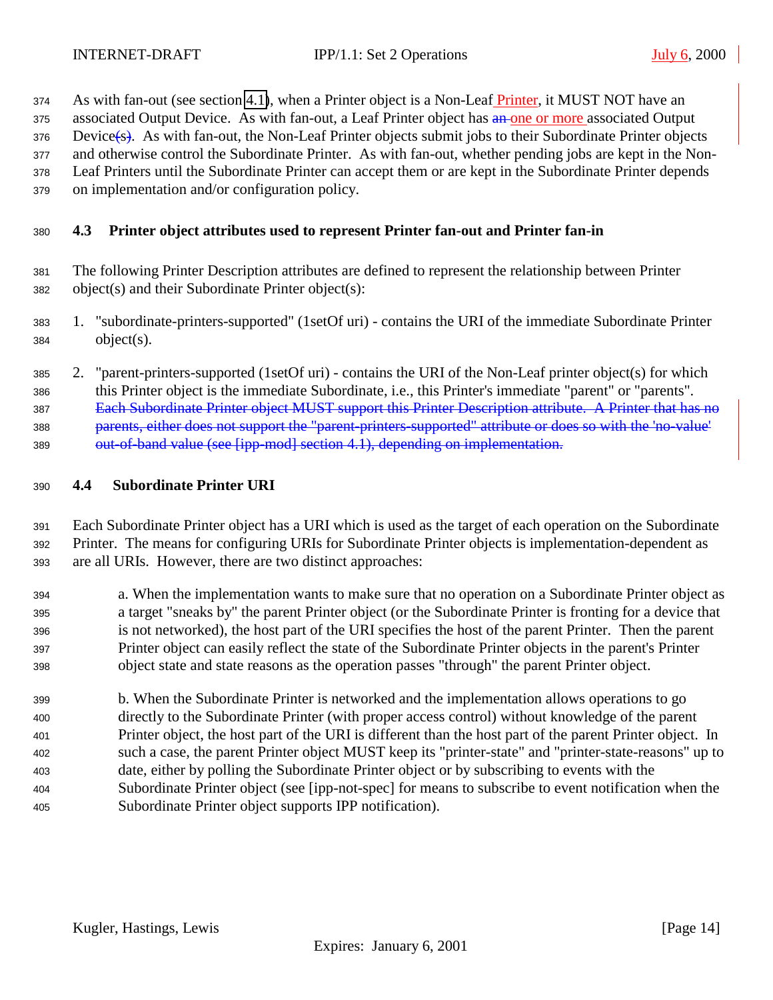<span id="page-13-0"></span>374 As with fan-out (see section [4.1\)](#page-12-0), when a Printer object is a Non-Leaf Printer, it MUST NOT have an

375 associated Output Device. As with fan-out, a Leaf Printer object has an one or more associated Output

Device(s). As with fan-out, the Non-Leaf Printer objects submit jobs to their Subordinate Printer objects

and otherwise control the Subordinate Printer. As with fan-out, whether pending jobs are kept in the Non-

 Leaf Printers until the Subordinate Printer can accept them or are kept in the Subordinate Printer depends on implementation and/or configuration policy.

# **4.3 Printer object attributes used to represent Printer fan-out and Printer fan-in**

- The following Printer Description attributes are defined to represent the relationship between Printer object(s) and their Subordinate Printer object(s):
- 1. "subordinate-printers-supported" (1setOf uri) contains the URI of the immediate Subordinate Printer object(s).

 2. "parent-printers-supported (1setOf uri) - contains the URI of the Non-Leaf printer object(s) for which this Printer object is the immediate Subordinate, i.e., this Printer's immediate "parent" or "parents". Each Subordinate Printer object MUST support this Printer Description attribute. A Printer that has no parents, either does not support the "parent-printers-supported" attribute or does so with the 'no-value' 389 out-of-band value (see [ipp-mod] section 4.1), depending on implementation.

### **4.4 Subordinate Printer URI**

 Each Subordinate Printer object has a URI which is used as the target of each operation on the Subordinate Printer. The means for configuring URIs for Subordinate Printer objects is implementation-dependent as are all URIs. However, there are two distinct approaches:

- a. When the implementation wants to make sure that no operation on a Subordinate Printer object as a target "sneaks by" the parent Printer object (or the Subordinate Printer is fronting for a device that is not networked), the host part of the URI specifies the host of the parent Printer. Then the parent Printer object can easily reflect the state of the Subordinate Printer objects in the parent's Printer object state and state reasons as the operation passes "through" the parent Printer object.
- b. When the Subordinate Printer is networked and the implementation allows operations to go directly to the Subordinate Printer (with proper access control) without knowledge of the parent Printer object, the host part of the URI is different than the host part of the parent Printer object. In such a case, the parent Printer object MUST keep its "printer-state" and "printer-state-reasons" up to date, either by polling the Subordinate Printer object or by subscribing to events with the Subordinate Printer object (see [ipp-not-spec] for means to subscribe to event notification when the Subordinate Printer object supports IPP notification).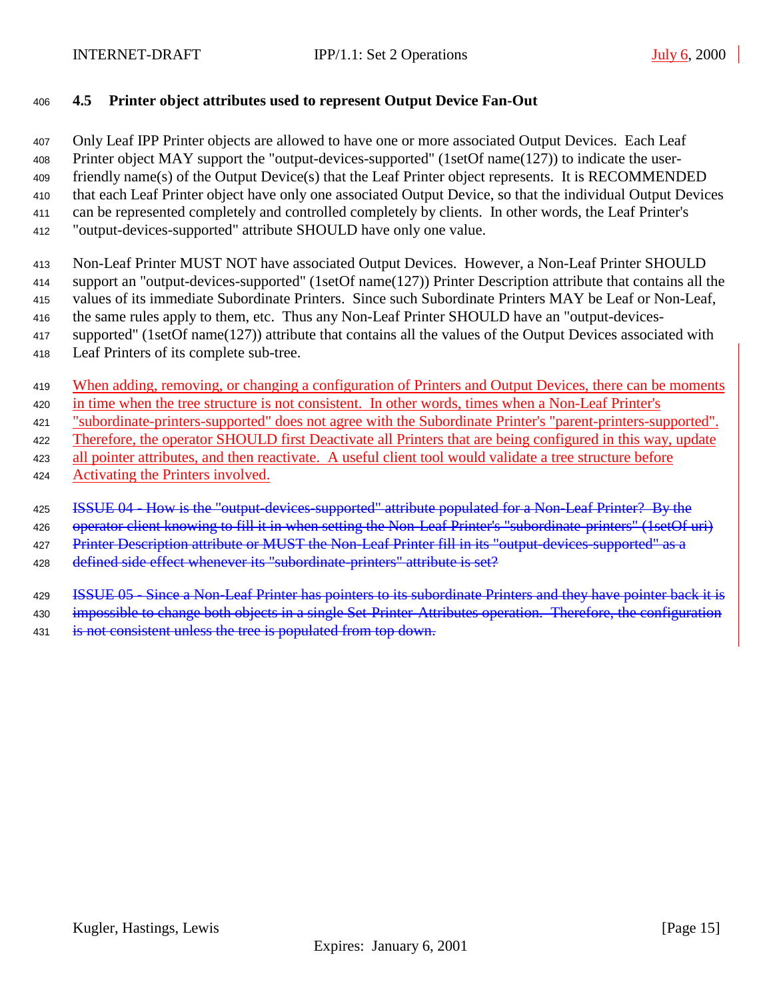### <span id="page-14-0"></span>**4.5 Printer object attributes used to represent Output Device Fan-Out**

 Only Leaf IPP Printer objects are allowed to have one or more associated Output Devices. Each Leaf Printer object MAY support the "output-devices-supported" (1setOf name(127)) to indicate the user- friendly name(s) of the Output Device(s) that the Leaf Printer object represents. It is RECOMMENDED that each Leaf Printer object have only one associated Output Device, so that the individual Output Devices can be represented completely and controlled completely by clients. In other words, the Leaf Printer's "output-devices-supported" attribute SHOULD have only one value.

Non-Leaf Printer MUST NOT have associated Output Devices. However, a Non-Leaf Printer SHOULD

 support an "output-devices-supported" (1setOf name(127)) Printer Description attribute that contains all the values of its immediate Subordinate Printers. Since such Subordinate Printers MAY be Leaf or Non-Leaf,

416 the same rules apply to them, etc. Thus any Non-Leaf Printer SHOULD have an "output-devices-

supported" (1setOf name(127)) attribute that contains all the values of the Output Devices associated with

Leaf Printers of its complete sub-tree.

419 When adding, removing, or changing a configuration of Printers and Output Devices, there can be moments

in time when the tree structure is not consistent. In other words, times when a Non-Leaf Printer's

"subordinate-printers-supported" does not agree with the Subordinate Printer's "parent-printers-supported".

Therefore, the operator SHOULD first Deactivate all Printers that are being configured in this way, update

all pointer attributes, and then reactivate. A useful client tool would validate a tree structure before

424 Activating the Printers involved.

**ISSUE 04 - How is the "output-devices-supported" attribute populated for a Non-Leaf Printer? By the** 

426 operator client knowing to fill it in when setting the Non-Leaf Printer's "subordinate-printers" (1setOf uri)

427 Printer Description attribute or MUST the Non-Leaf Printer fill in its "output-devices-supported" as a

428 defined side effect whenever its "subordinate-printers" attribute is set?

**ISSUE 05 - Since a Non-Leaf Printer has pointers to its subordinate Printers and they have pointer back it is** 

430 impossible to change both objects in a single Set-Printer-Attributes operation. Therefore, the configuration

**is not consistent unless the tree is populated from top down.**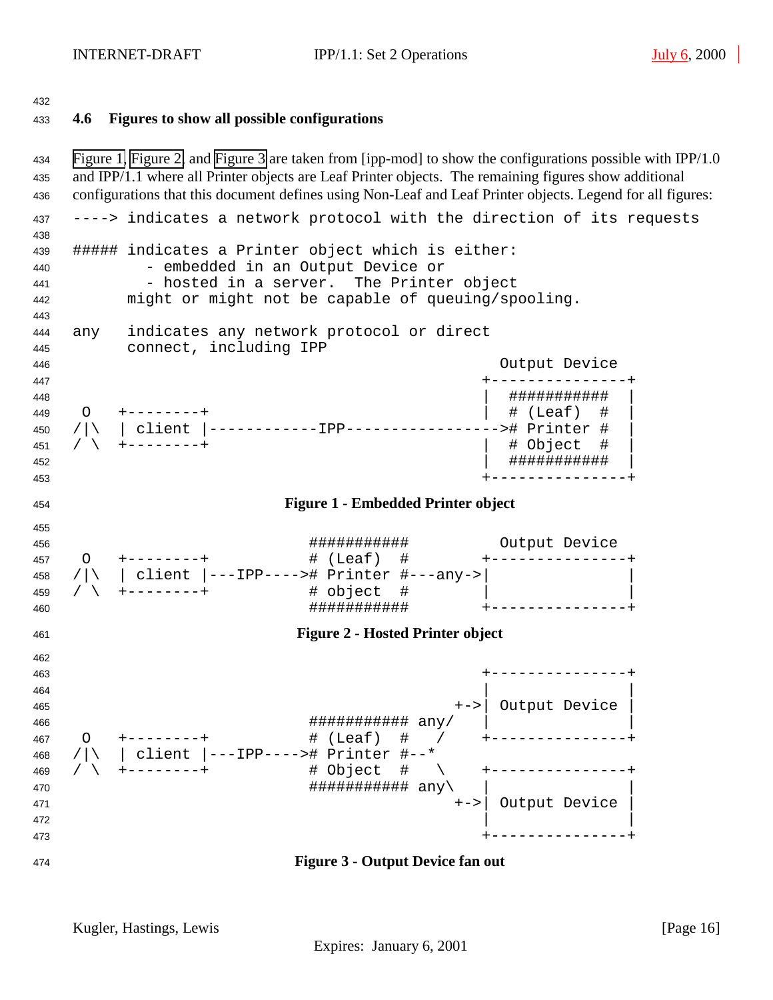### <span id="page-15-0"></span>**4.6 Figures to show all possible configurations**

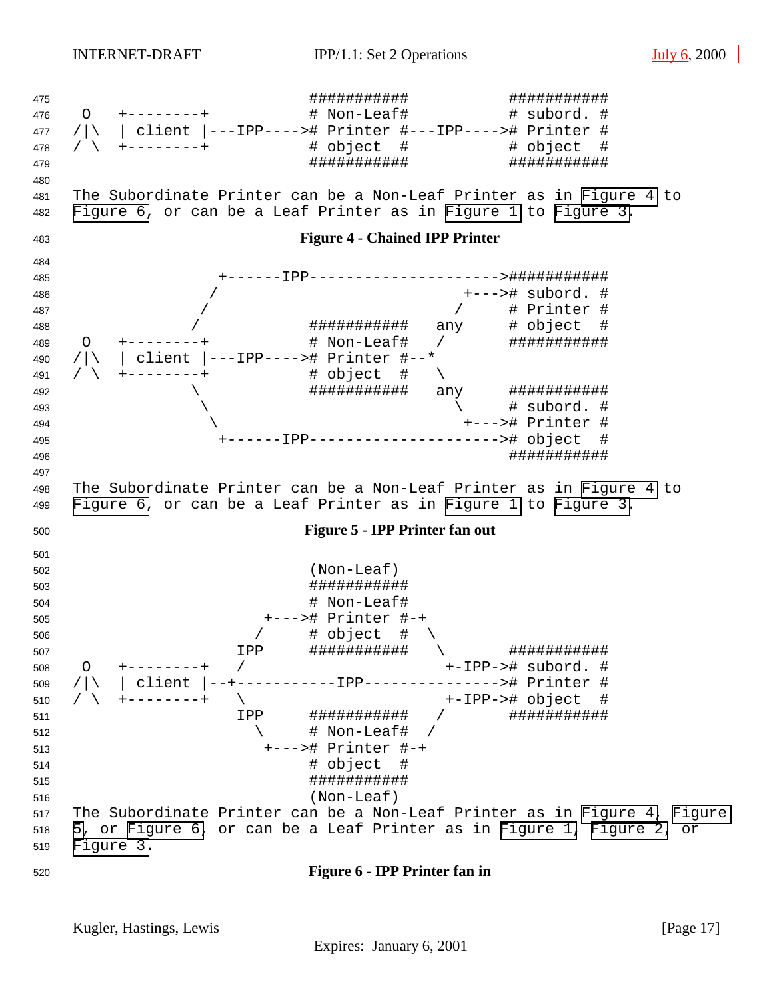<span id="page-16-0"></span> ########### ########### O +--------+ # Non-Leaf# # subord. # /|\ | client |---IPP----># Printer #---IPP----># Printer # / \ +--------+ # object # # object # ########### ########### The Subordinate Printer can be a Non-Leaf Printer as in Figure 4 to Figure 6, or can be a Leaf Printer as in [Figure 1](#page-15-0) to [Figure 3.](#page-15-0) **Figure 4 - Chained IPP Printer** +------IPP--------------------->########### / +---># subord. # / / # Printer # / ########### any # object # O +--------+ # Non-Leaf# / ########### /|\ | client |---IPP----># Printer #--\* / \ +--------+ # object # \ \ ########### any ###########  $\qquad \qquad \backslash$   $\qquad \qquad \rightarrow$   $\qquad \qquad \rightarrow$   $\qquad \qquad \rightarrow$   $\qquad \qquad \rightarrow$   $\qquad \qquad \rightarrow$   $\qquad \qquad \rightarrow$   $\qquad \qquad \rightarrow$   $\qquad \qquad \rightarrow$   $\qquad \qquad \rightarrow$   $\qquad \qquad \rightarrow$   $\qquad \qquad \rightarrow$   $\qquad \qquad \rightarrow$   $\qquad \qquad \rightarrow$   $\qquad \qquad \rightarrow$   $\qquad \qquad \rightarrow$   $\qquad \qquad \rightarrow$   $\qquad \qquad \rightarrow$   $\qquad \qquad \rightarrow$   $\qquad \qquad$  \ +---># Printer # +------IPP---------------------># object # ########### The Subordinate Printer can be a Non-Leaf Printer as in Figure 4 to Figure 6, or can be a Leaf Printer as in [Figure 1](#page-15-0) to [Figure 3.](#page-15-0) **Figure 5 - IPP Printer fan out** (Non-Leaf) ########### # Non-Leaf# +---># Printer #-+ / # object # \ IPP ########### \ ########### O +--------+ / +-IPP-># subord. # /|\ | client |--+-----------IPP---------------># Printer # / \ +--------+ \ +-IPP-># object # IPP ########### / ###########  $512 \qquad \qquad \qquad \backslash \qquad \qquad \# \text{ Non-Leaf}\#$  +---># Printer #-+ # object # ########### (Non-Leaf) The Subordinate Printer can be a Non-Leaf Printer as in Figure 4, Figure 5, or Figure 6, or can be a Leaf Printer as in [Figure 1,](#page-15-0) [Figure 2,](#page-15-0) or [Figure 3.](#page-15-0) **Figure 6 - IPP Printer fan in**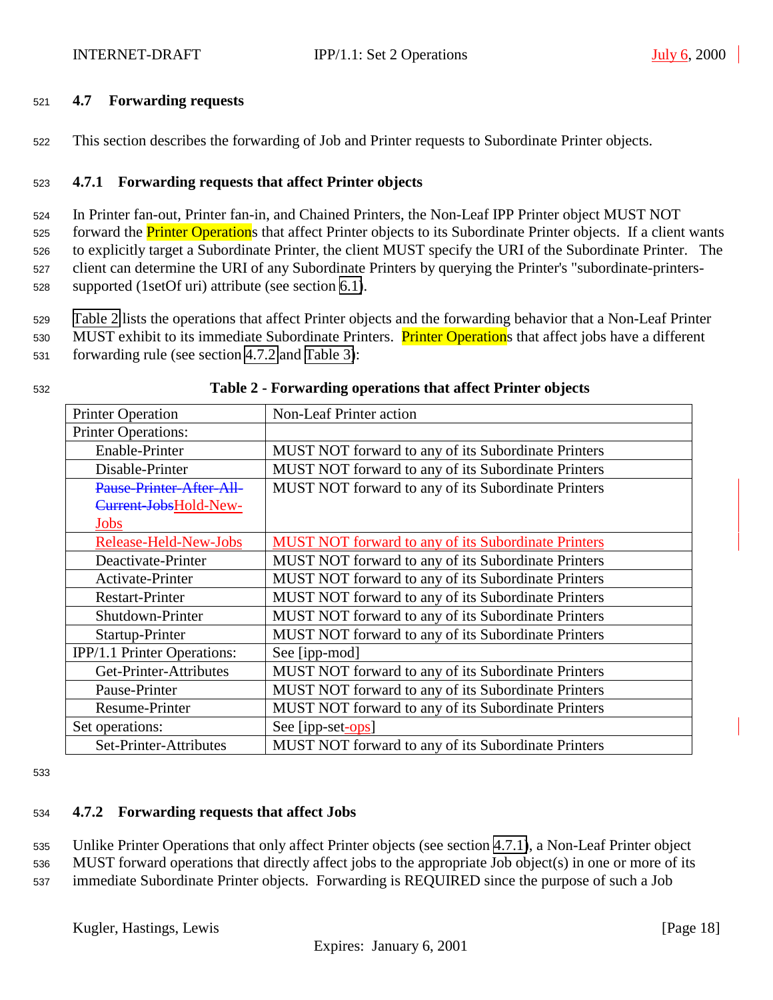#### <span id="page-17-0"></span><sup>521</sup> **4.7 Forwarding requests**

<sup>522</sup> This section describes the forwarding of Job and Printer requests to Subordinate Printer objects.

#### <sup>523</sup> **4.7.1 Forwarding requests that affect Printer objects**

 In Printer fan-out, Printer fan-in, and Chained Printers, the Non-Leaf IPP Printer object MUST NOT 525 forward the **Printer Operation**s that affect Printer objects to its Subordinate Printer objects. If a client wants to explicitly target a Subordinate Printer, the client MUST specify the URI of the Subordinate Printer. The client can determine the URI of any Subordinate Printers by querying the Printer's "subordinate-printers-supported (1setOf uri) attribute (see section [6.1\)](#page-21-0).

<sup>529</sup> Table 2 lists the operations that affect Printer objects and the forwarding behavior that a Non-Leaf Printer

530 MUST exhibit to its immediate Subordinate Printers. Printer Operations that affect jobs have a different <sup>531</sup> forwarding rule (see section 4.7.2 and [Table 3\)](#page-18-0):

| <b>Printer Operation</b>    | Non-Leaf Printer action                                    |
|-----------------------------|------------------------------------------------------------|
| <b>Printer Operations:</b>  |                                                            |
| Enable-Printer              | MUST NOT forward to any of its Subordinate Printers        |
| Disable-Printer             | MUST NOT forward to any of its Subordinate Printers        |
| Pause-Printer-After-All-    | MUST NOT forward to any of its Subordinate Printers        |
| Current-JobsHold-New-       |                                                            |
| Jobs                        |                                                            |
| Release-Held-New-Jobs       | <b>MUST NOT forward to any of its Subordinate Printers</b> |
| Deactivate-Printer          | MUST NOT forward to any of its Subordinate Printers        |
| Activate-Printer            | MUST NOT forward to any of its Subordinate Printers        |
| <b>Restart-Printer</b>      | MUST NOT forward to any of its Subordinate Printers        |
| Shutdown-Printer            | MUST NOT forward to any of its Subordinate Printers        |
| Startup-Printer             | <b>MUST NOT forward to any of its Subordinate Printers</b> |
| IPP/1.1 Printer Operations: | See [ipp-mod]                                              |
| Get-Printer-Attributes      | MUST NOT forward to any of its Subordinate Printers        |
| Pause-Printer               | MUST NOT forward to any of its Subordinate Printers        |
| Resume-Printer              | MUST NOT forward to any of its Subordinate Printers        |
| Set operations:             | See [ipp-set-ops]                                          |
| Set-Printer-Attributes      | MUST NOT forward to any of its Subordinate Printers        |

#### <sup>532</sup> **Table 2 - Forwarding operations that affect Printer objects**

533

#### <sup>534</sup> **4.7.2 Forwarding requests that affect Jobs**

<sup>535</sup> Unlike Printer Operations that only affect Printer objects (see section 4.7.1), a Non-Leaf Printer object

<sup>536</sup> MUST forward operations that directly affect jobs to the appropriate Job object(s) in one or more of its

<sup>537</sup> immediate Subordinate Printer objects. Forwarding is REQUIRED since the purpose of such a Job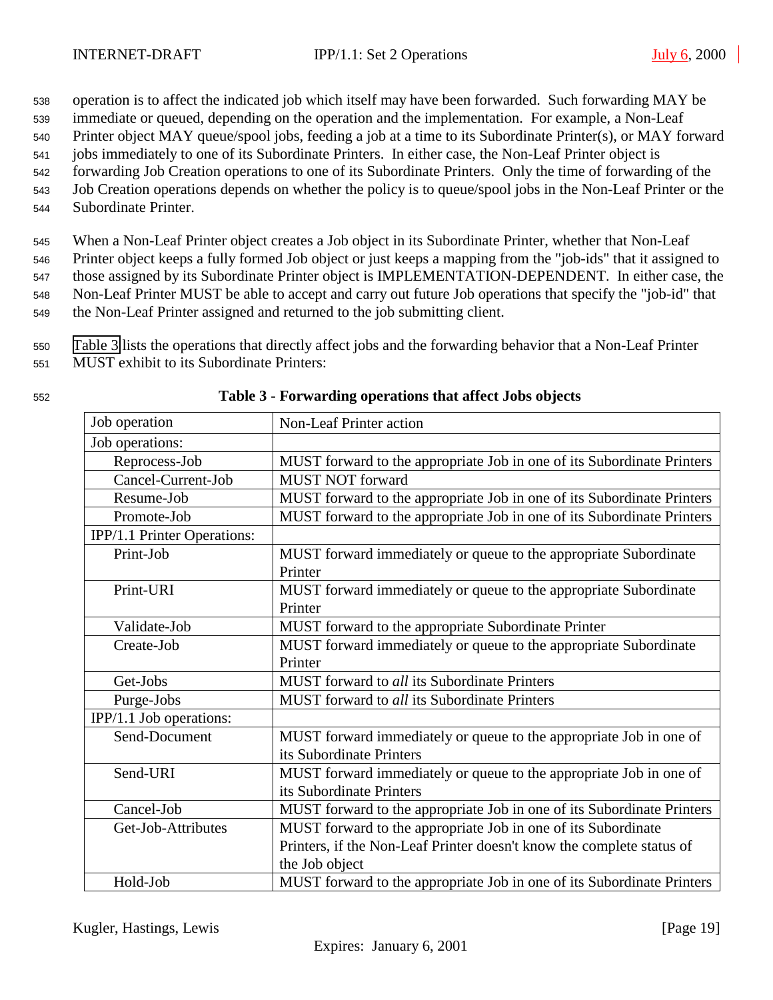<span id="page-18-0"></span><sup>538</sup> operation is to affect the indicated job which itself may have been forwarded. Such forwarding MAY be

- <sup>539</sup> immediate or queued, depending on the operation and the implementation. For example, a Non-Leaf
- <sup>540</sup> Printer object MAY queue/spool jobs, feeding a job at a time to its Subordinate Printer(s), or MAY forward
- <sup>541</sup> jobs immediately to one of its Subordinate Printers. In either case, the Non-Leaf Printer object is <sup>542</sup> forwarding Job Creation operations to one of its Subordinate Printers. Only the time of forwarding of the
- <sup>543</sup> Job Creation operations depends on whether the policy is to queue/spool jobs in the Non-Leaf Printer or the
- 
- <sup>544</sup> Subordinate Printer.

<sup>545</sup> When a Non-Leaf Printer object creates a Job object in its Subordinate Printer, whether that Non-Leaf

<sup>546</sup> Printer object keeps a fully formed Job object or just keeps a mapping from the "job-ids" that it assigned to <sup>547</sup> those assigned by its Subordinate Printer object is IMPLEMENTATION-DEPENDENT. In either case, the <sup>548</sup> Non-Leaf Printer MUST be able to accept and carry out future Job operations that specify the "job-id" that

<sup>549</sup> the Non-Leaf Printer assigned and returned to the job submitting client.

<sup>550</sup> Table 3 lists the operations that directly affect jobs and the forwarding behavior that a Non-Leaf Printer

- <sup>551</sup> MUST exhibit to its Subordinate Printers:
- 

| Job operation               | <b>Non-Leaf Printer action</b>                                         |
|-----------------------------|------------------------------------------------------------------------|
| Job operations:             |                                                                        |
| Reprocess-Job               | MUST forward to the appropriate Job in one of its Subordinate Printers |
| Cancel-Current-Job          | <b>MUST NOT forward</b>                                                |
| Resume-Job                  | MUST forward to the appropriate Job in one of its Subordinate Printers |
| Promote-Job                 | MUST forward to the appropriate Job in one of its Subordinate Printers |
| IPP/1.1 Printer Operations: |                                                                        |
| Print-Job                   | MUST forward immediately or queue to the appropriate Subordinate       |
|                             | Printer                                                                |
| Print-URI                   | MUST forward immediately or queue to the appropriate Subordinate       |
|                             | Printer                                                                |
| Validate-Job                | MUST forward to the appropriate Subordinate Printer                    |
| Create-Job                  | MUST forward immediately or queue to the appropriate Subordinate       |
|                             | Printer                                                                |
| Get-Jobs                    | MUST forward to all its Subordinate Printers                           |
| Purge-Jobs                  | MUST forward to all its Subordinate Printers                           |
| IPP/1.1 Job operations:     |                                                                        |
| Send-Document               | MUST forward immediately or queue to the appropriate Job in one of     |
|                             | its Subordinate Printers                                               |
| Send-URI                    | MUST forward immediately or queue to the appropriate Job in one of     |
|                             | its Subordinate Printers                                               |
| Cancel-Job                  | MUST forward to the appropriate Job in one of its Subordinate Printers |
| Get-Job-Attributes          | MUST forward to the appropriate Job in one of its Subordinate          |
|                             | Printers, if the Non-Leaf Printer doesn't know the complete status of  |
|                             | the Job object                                                         |
| Hold-Job                    | MUST forward to the appropriate Job in one of its Subordinate Printers |

<sup>552</sup> **Table 3 - Forwarding operations that affect Jobs objects**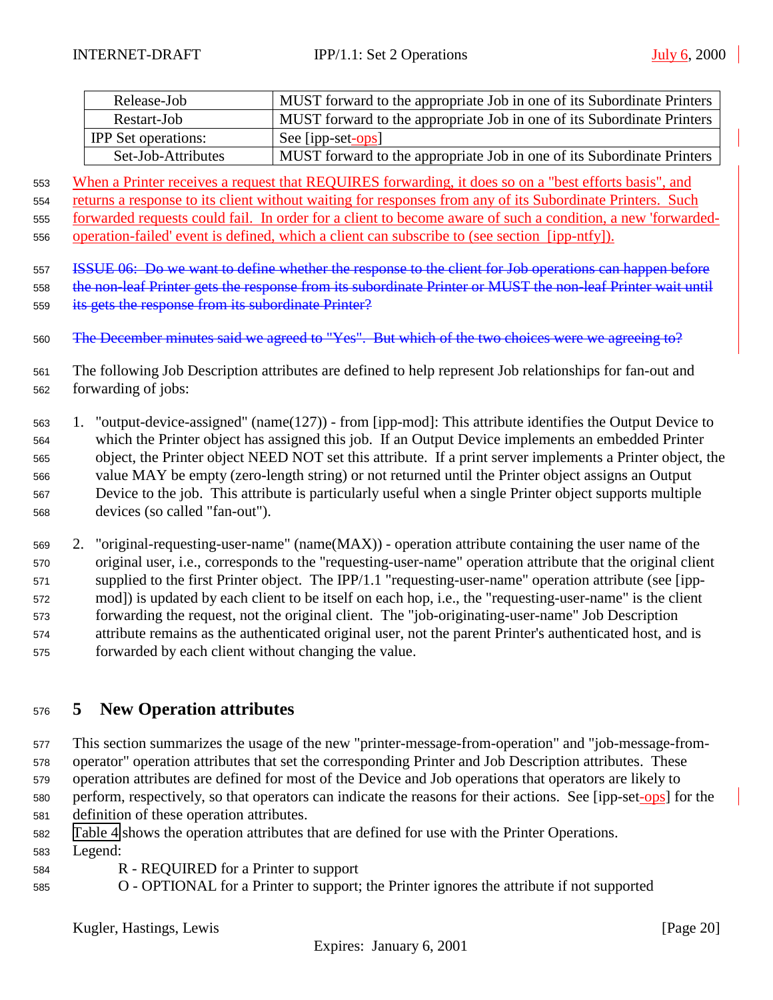<span id="page-19-0"></span>

| Release-Job                | MUST forward to the appropriate Job in one of its Subordinate Printers |
|----------------------------|------------------------------------------------------------------------|
| Restart-Job                | MUST forward to the appropriate Job in one of its Subordinate Printers |
| <b>IPP</b> Set operations: | See [ipp-set-ops]                                                      |
| Set-Job-Attributes         | MUST forward to the appropriate Job in one of its Subordinate Printers |

553 When a Printer receives a request that REQUIRES forwarding, it does so on a "best efforts basis", and

554 returns a response to its client without waiting for responses from any of its Subordinate Printers. Such

forwarded requests could fail. In order for a client to become aware of such a condition, a new 'forwarded-

operation-failed' event is defined, which a client can subscribe to (see section [ipp-ntfy]).

ISSUE 06: Do we want to define whether the response to the client for Job operations can happen before

 the non-leaf Printer gets the response from its subordinate Printer or MUST the non-leaf Printer wait until 559 its gets the response from its subordinate Printer?

560 The December minutes said we agreed to "Yes". But which of the two choices were we agreeing to?

- The following Job Description attributes are defined to help represent Job relationships for fan-out and forwarding of jobs:
- 1. "output-device-assigned" (name(127)) from [ipp-mod]: This attribute identifies the Output Device to which the Printer object has assigned this job. If an Output Device implements an embedded Printer object, the Printer object NEED NOT set this attribute. If a print server implements a Printer object, the value MAY be empty (zero-length string) or not returned until the Printer object assigns an Output Device to the job. This attribute is particularly useful when a single Printer object supports multiple devices (so called "fan-out").

 2. "original-requesting-user-name" (name(MAX)) - operation attribute containing the user name of the original user, i.e., corresponds to the "requesting-user-name" operation attribute that the original client supplied to the first Printer object. The IPP/1.1 "requesting-user-name" operation attribute (see [ipp- mod]) is updated by each client to be itself on each hop, i.e., the "requesting-user-name" is the client forwarding the request, not the original client. The "job-originating-user-name" Job Description attribute remains as the authenticated original user, not the parent Printer's authenticated host, and is forwarded by each client without changing the value.

# **5 New Operation attributes**

 This section summarizes the usage of the new "printer-message-from-operation" and "job-message-from- operator" operation attributes that set the corresponding Printer and Job Description attributes. These operation attributes are defined for most of the Device and Job operations that operators are likely to perform, respectively, so that operators can indicate the reasons for their actions. See [ipp-set-ops] for the definition of these operation attributes.

[Table 4](#page-20-0) shows the operation attributes that are defined for use with the Printer Operations.

- Legend:
- R REQUIRED for a Printer to support
- O OPTIONAL for a Printer to support; the Printer ignores the attribute if not supported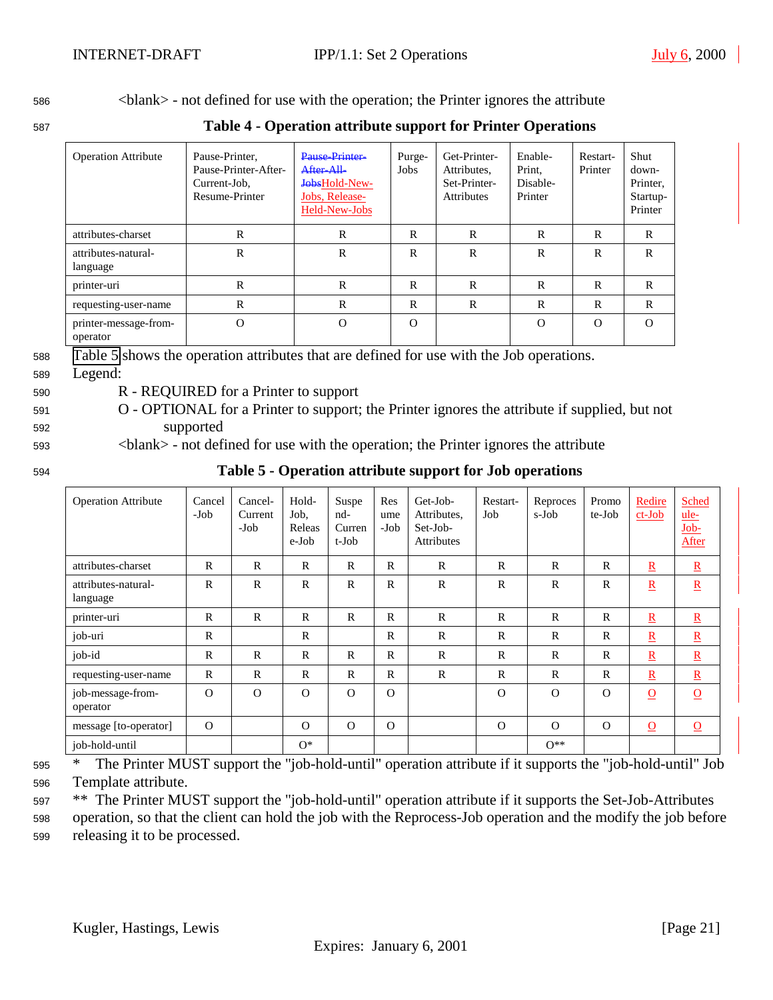<span id="page-20-0"></span><sup>586</sup> <blank> - not defined for use with the operation; the Printer ignores the attribute

<sup>587</sup> **Table 4 - Operation attribute support for Printer Operations**

| <b>Operation Attribute</b>        | Pause-Printer,<br>Pause-Printer-After-<br>Current-Job.<br>Resume-Printer | Pause Printer<br>After All<br>JobsHold-New-<br>Jobs, Release-<br>Held-New-Jobs | Purge-<br>Jobs | Get-Printer-<br>Attributes,<br>Set-Printer-<br><b>Attributes</b> | Enable-<br>Print,<br>Disable-<br>Printer | Restart-<br>Printer | Shut<br>down-<br>Printer.<br>Startup-<br>Printer |
|-----------------------------------|--------------------------------------------------------------------------|--------------------------------------------------------------------------------|----------------|------------------------------------------------------------------|------------------------------------------|---------------------|--------------------------------------------------|
| attributes-charset                | R                                                                        | $\mathbf R$                                                                    | R              | R                                                                | R                                        | R                   | R                                                |
| attributes-natural-<br>language   | R                                                                        | $\mathbf R$                                                                    | R              | $\mathbb{R}$                                                     | R                                        | R                   | R                                                |
| printer-uri                       | R                                                                        | R                                                                              | R              | R                                                                | R                                        | R                   | R                                                |
| requesting-user-name              | R                                                                        | $\mathbf R$                                                                    | R              | $\mathbf R$                                                      | $\mathbb{R}$                             | $\mathbf R$         | $\mathbf R$                                      |
| printer-message-from-<br>operator | $\mathcal{O}$                                                            | $\Omega$                                                                       | $\Omega$       |                                                                  | $\Omega$                                 | $\Omega$            | $\Omega$                                         |

<sup>588</sup> Table 5 shows the operation attributes that are defined for use with the Job operations.

- <sup>589</sup> Legend:
- 
- <sup>590</sup> R REQUIRED for a Printer to support
- <sup>591</sup> O OPTIONAL for a Printer to support; the Printer ignores the attribute if supplied, but not <sup>592</sup> supported
- <sup>593</sup> <blank> not defined for use with the operation; the Printer ignores the attribute
- 

<sup>594</sup> **Table 5 - Operation attribute support for Job operations**

| <b>Operation Attribute</b>      | Cancel<br>-Job | Cancel-<br>Current<br>$-Job$ | Hold-<br>Job.<br>Releas<br>e-Job | Suspe<br>nd-<br>Curren<br>t-Job | Res<br>ume<br>-Job | Get-Job-<br>Attributes,<br>Set-Job-<br><b>Attributes</b> | Restart-<br>Job | Reproces<br>s-Job | Promo<br>te-Job | Redire<br>$ct-Job$       | <b>Sched</b><br>ule-<br>Job-<br>After |
|---------------------------------|----------------|------------------------------|----------------------------------|---------------------------------|--------------------|----------------------------------------------------------|-----------------|-------------------|-----------------|--------------------------|---------------------------------------|
| attributes-charset              | $\mathbf R$    | $\mathbb{R}$                 | $\mathbb{R}$                     | $\mathbf R$                     | $\mathsf{R}$       | $\mathbb{R}$                                             | $\mathbb{R}$    | $\mathbb{R}$      | $\mathbb{R}$    | $\underline{\mathbf{R}}$ | $\underline{R}$                       |
| attributes-natural-<br>language | $\mathbf R$    | $\mathbb{R}$                 | $\mathsf{R}$                     | $\mathbf R$                     | $\mathsf{R}$       | $\mathsf{R}$                                             | $\mathbb{R}$    | $\mathbb{R}$      | $\mathbb{R}$    | $\underline{R}$          | $\underline{R}$                       |
| printer-uri                     | $\mathbf{R}$   | $\mathbf{R}$                 | $\mathbb{R}$                     | $\mathbf R$                     | $\mathbb{R}$       | $\mathbf{R}$                                             | $\mathbb{R}$    | $\mathbb{R}$      | $\mathbb{R}$    | $\underline{\mathbf{R}}$ | $\underline{\mathbf{R}}$              |
| job-uri                         | $\mathbb{R}$   |                              | $\mathbb{R}$                     |                                 | $\mathbb{R}$       | $\mathbf R$                                              | $\mathbb{R}$    | $\mathbb{R}$      | $\mathbb{R}$    | $\underline{\mathbf{R}}$ | $\underline{\mathbf{R}}$              |
| job-id                          | $\mathbb{R}$   | $\mathsf{R}$                 | $\mathbb{R}$                     | $\mathbf{R}$                    | $\mathsf{R}$       | $\mathsf{R}$                                             | $\mathbf R$     | $\mathsf{R}$      | $\mathbf R$     | $\underline{\mathbf{R}}$ | $\underline{R}$                       |
| requesting-user-name            | $\mathbb{R}$   | $\mathbb{R}$                 | $\mathbb{R}$                     | $\mathbf{R}$                    | $\mathsf{R}$       | $\mathbb{R}$                                             | $\mathbf R$     | $\mathbf R$       | $\mathbb{R}$    | $\underline{R}$          | $\underline{\mathbf{R}}$              |
| job-message-from-<br>operator   | $\Omega$       | $\Omega$                     | $\Omega$                         | $\Omega$                        | $\Omega$           |                                                          | $\Omega$        | $\Omega$          | $\Omega$        | $\Omega$                 | $\underline{\mathbf{O}}$              |
| message [to-operator]           | $\Omega$       |                              | $\Omega$                         | $\Omega$                        | $\Omega$           |                                                          | $\Omega$        | $\Omega$          | $\Omega$        | $\Omega$                 | $\overline{0}$                        |
| job-hold-until                  |                |                              | $O^*$                            |                                 |                    |                                                          |                 | $0**$             |                 |                          |                                       |

<sup>595</sup> \* The Printer MUST support the "job-hold-until" operation attribute if it supports the "job-hold-until" Job <sup>596</sup> Template attribute.

<sup>597</sup> \*\* The Printer MUST support the "job-hold-until" operation attribute if it supports the Set-Job-Attributes

<sup>598</sup> operation, so that the client can hold the job with the Reprocess-Job operation and the modify the job before <sup>599</sup> releasing it to be processed.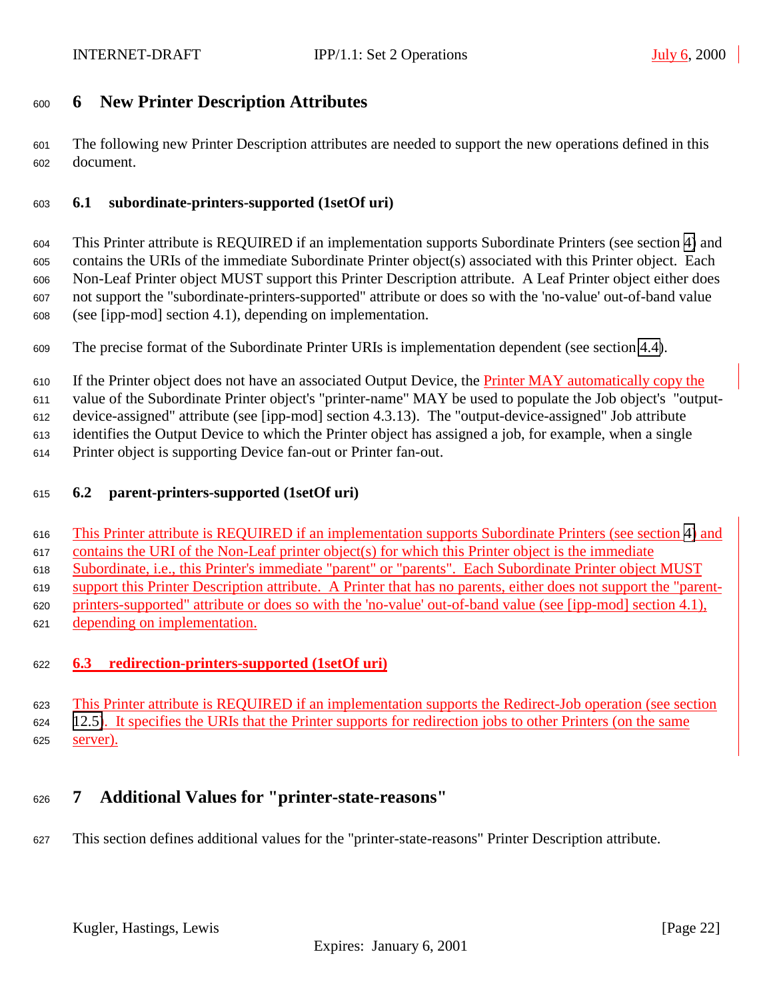# <span id="page-21-0"></span>**6 New Printer Description Attributes**

 The following new Printer Description attributes are needed to support the new operations defined in this document.

#### **6.1 subordinate-printers-supported (1setOf uri)**

 This Printer attribute is REQUIRED if an implementation supports Subordinate Printers (see section [4\)](#page-12-0) and contains the URIs of the immediate Subordinate Printer object(s) associated with this Printer object. Each Non-Leaf Printer object MUST support this Printer Description attribute. A Leaf Printer object either does not support the "subordinate-printers-supported" attribute or does so with the 'no-value' out-of-band value (see [ipp-mod] section 4.1), depending on implementation.

The precise format of the Subordinate Printer URIs is implementation dependent (see section [4.4\)](#page-13-0).

610 If the Printer object does not have an associated Output Device, the Printer MAY automatically copy the

value of the Subordinate Printer object's "printer-name" MAY be used to populate the Job object's "output-

device-assigned" attribute (see [ipp-mod] section 4.3.13). The "output-device-assigned" Job attribute

identifies the Output Device to which the Printer object has assigned a job, for example, when a single

Printer object is supporting Device fan-out or Printer fan-out.

#### **6.2 parent-printers-supported (1setOf uri)**

This Printer attribute is REQUIRED if an implementation supports Subordinate Printers (see section [4\)](#page-12-0) and

contains the URI of the Non-Leaf printer object(s) for which this Printer object is the immediate

Subordinate, i.e., this Printer's immediate "parent" or "parents". Each Subordinate Printer object MUST

support this Printer Description attribute. A Printer that has no parents, either does not support the "parent-

printers-supported" attribute or does so with the 'no-value' out-of-band value (see [ipp-mod] section 4.1),

depending on implementation.

# **6.3 redirection-printers-supported (1setOf uri)**

 This Printer attribute is REQUIRED if an implementation supports the Redirect-Job operation (see section [12.5\)](#page-40-0). It specifies the URIs that the Printer supports for redirection jobs to other Printers (on the same server).

# **7 Additional Values for "printer-state-reasons"**

This section defines additional values for the "printer-state-reasons" Printer Description attribute.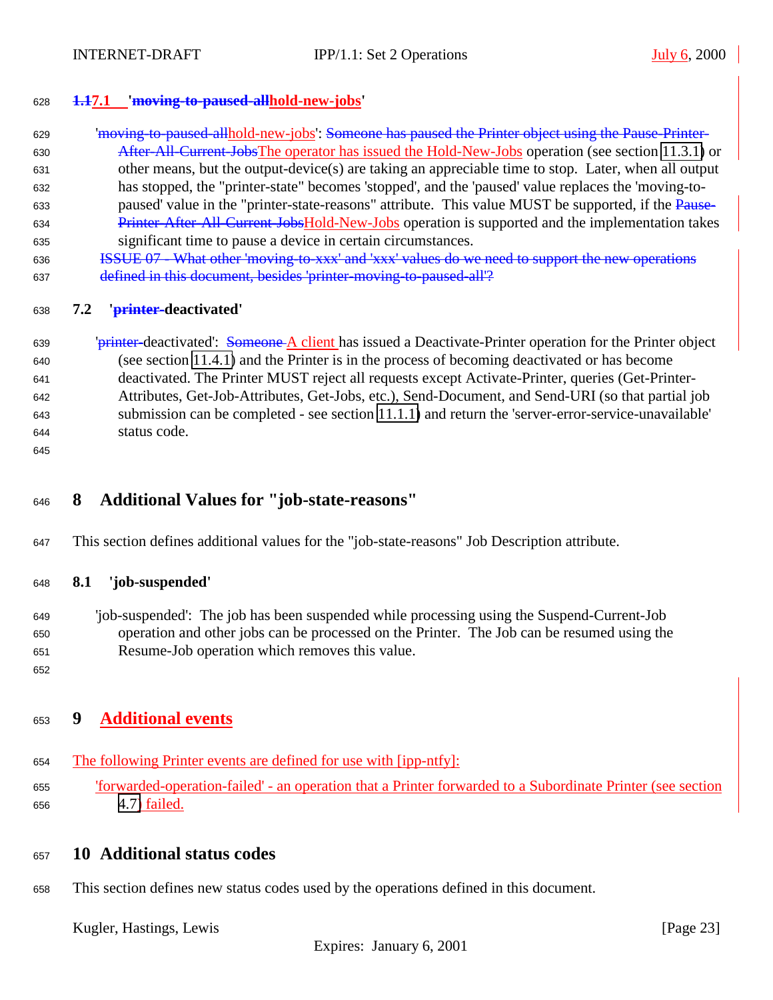<span id="page-22-0"></span>

#### **1.17.1 'moving-to-paused-allhold-new-jobs'**

- 629 **Imoving-to-paused-allhold-new-jobs': <del>Someone has paused the Printer object using the Pause-Printer-</del>** 630 After-All-Current-JobsThe operator has issued the Hold-New-Jobs operation (see section [11.3.1\)](#page-28-0) or other means, but the output-device(s) are taking an appreciable time to stop. Later, when all output has stopped, the "printer-state" becomes 'stopped', and the 'paused' value replaces the 'moving-to-633 paused' value in the "printer-state-reasons" attribute. This value MUST be supported, if the Pause-634 Printer-After-All-Current-JobsHold-New-Jobs operation is supported and the implementation takes significant time to pause a device in certain circumstances.
- ISSUE 07 What other 'moving-to-xxx' and 'xxx' values do we need to support the new operations 637 defined in this document, besides 'printer-moving-to-paused-all'?

#### **7.2 'printer-deactivated'**

639 '<del>printer</del>-deactivated': Someone A client has issued a Deactivate-Printer operation for the Printer object (see section [11.4.1\)](#page-31-0) and the Printer is in the process of becoming deactivated or has become deactivated. The Printer MUST reject all requests except Activate-Printer, queries (Get-Printer- Attributes, Get-Job-Attributes, Get-Jobs, etc.), Send-Document, and Send-URI (so that partial job submission can be completed - see section [11.1.1\)](#page-24-0) and return the 'server-error-service-unavailable' status code.

# **8 Additional Values for "job-state-reasons"**

This section defines additional values for the "job-state-reasons" Job Description attribute.

#### **8.1 'job-suspended'**

- 'job-suspended': The job has been suspended while processing using the Suspend-Current-Job operation and other jobs can be processed on the Printer. The Job can be resumed using the Resume-Job operation which removes this value.
- 

# **9 Additional events**

- The following Printer events are defined for use with [ipp-ntfy]:
- 'forwarded-operation-failed' an operation that a Printer forwarded to a Subordinate Printer (see section [4.7\)](#page-17-0) <u>failed.</u>

# **10 Additional status codes**

This section defines new status codes used by the operations defined in this document.

Kugler, Hastings, Lewis [Page 23]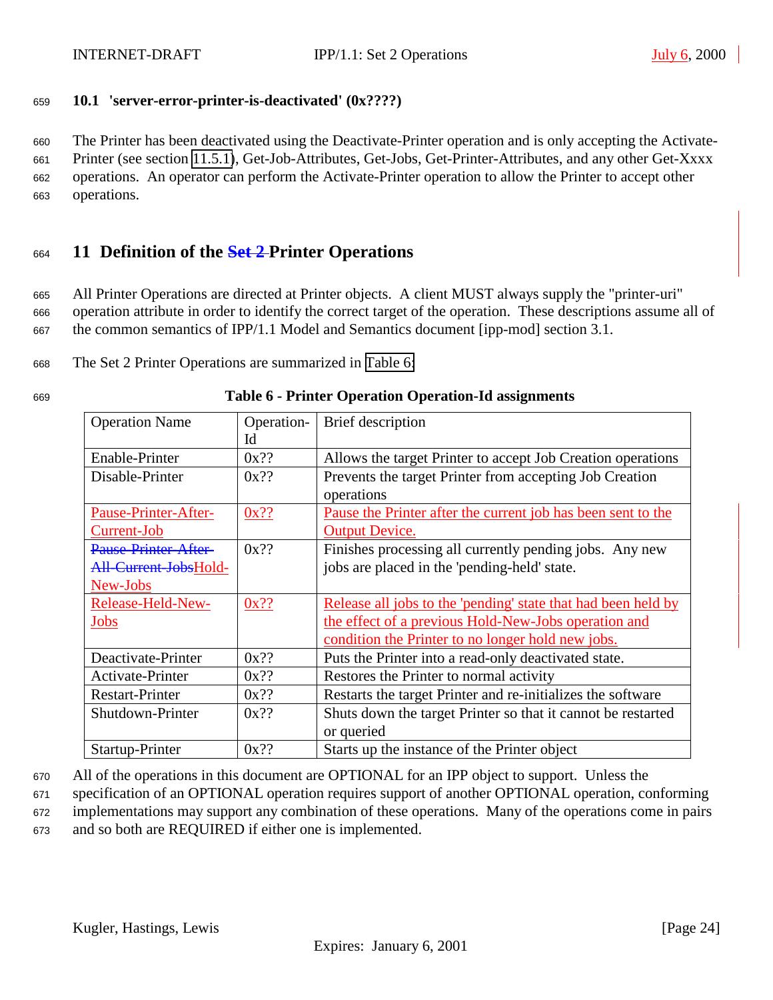<span id="page-23-0"></span>

### <sup>659</sup> **10.1 'server-error-printer-is-deactivated' (0x????)**

 The Printer has been deactivated using the Deactivate-Printer operation and is only accepting the Activate- Printer (see section [11.5.1\)](#page-32-0), Get-Job-Attributes, Get-Jobs, Get-Printer-Attributes, and any other Get-Xxxx operations. An operator can perform the Activate-Printer operation to allow the Printer to accept other operations.

# <sup>664</sup> **11 Definition of the Set 2 Printer Operations**

<sup>665</sup> All Printer Operations are directed at Printer objects. A client MUST always supply the "printer-uri" <sup>666</sup> operation attribute in order to identify the correct target of the operation. These descriptions assume all of <sup>667</sup> the common semantics of IPP/1.1 Model and Semantics document [ipp-mod] section 3.1.

<sup>668</sup> The Set 2 Printer Operations are summarized in Table 6:

| <b>Operation Name</b>  | Operation- | Brief description                                             |  |
|------------------------|------------|---------------------------------------------------------------|--|
|                        | Id         |                                                               |  |
| Enable-Printer         | $0x$ ??    | Allows the target Printer to accept Job Creation operations   |  |
| Disable-Printer        | $0x$ ??    | Prevents the target Printer from accepting Job Creation       |  |
|                        |            | operations                                                    |  |
| Pause-Printer-After-   | $0x$ ??    | Pause the Printer after the current job has been sent to the  |  |
| Current-Job            |            | <b>Output Device.</b>                                         |  |
| Pause-Printer-After-   | $0x$ ??    | Finishes processing all currently pending jobs. Any new       |  |
| All-Current-JobsHold-  |            | jobs are placed in the 'pending-held' state.                  |  |
| New-Jobs               |            |                                                               |  |
| Release-Held-New-      | $0x$ ??    | Release all jobs to the 'pending' state that had been held by |  |
| Jobs                   |            | the effect of a previous Hold-New-Jobs operation and          |  |
|                        |            | condition the Printer to no longer hold new jobs.             |  |
| Deactivate-Printer     | $0x$ ??    | Puts the Printer into a read-only deactivated state.          |  |
| Activate-Printer       | $0x$ ??    | Restores the Printer to normal activity                       |  |
| <b>Restart-Printer</b> | $0x$ ??    | Restarts the target Printer and re-initializes the software   |  |
| Shutdown-Printer       | $0x$ ??    | Shuts down the target Printer so that it cannot be restarted  |  |
|                        |            | or queried                                                    |  |
| Startup-Printer        | $0x$ ??    | Starts up the instance of the Printer object                  |  |

#### <sup>669</sup> **Table 6 - Printer Operation Operation-Id assignments**

<sup>670</sup> All of the operations in this document are OPTIONAL for an IPP object to support. Unless the

<sup>671</sup> specification of an OPTIONAL operation requires support of another OPTIONAL operation, conforming

<sup>672</sup> implementations may support any combination of these operations. Many of the operations come in pairs

<sup>673</sup> and so both are REQUIRED if either one is implemented.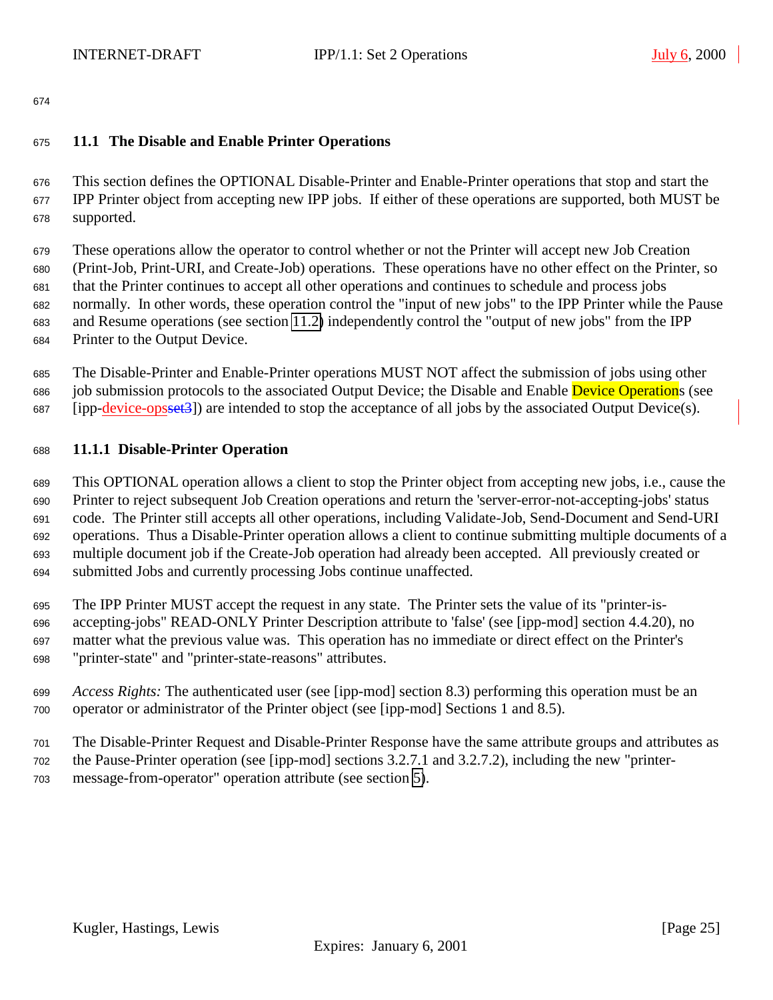# <span id="page-24-0"></span>**11.1 The Disable and Enable Printer Operations**

 This section defines the OPTIONAL Disable-Printer and Enable-Printer operations that stop and start the IPP Printer object from accepting new IPP jobs. If either of these operations are supported, both MUST be supported.

 These operations allow the operator to control whether or not the Printer will accept new Job Creation (Print-Job, Print-URI, and Create-Job) operations. These operations have no other effect on the Printer, so that the Printer continues to accept all other operations and continues to schedule and process jobs normally. In other words, these operation control the "input of new jobs" to the IPP Printer while the Pause and Resume operations (see section [11.2\)](#page-25-0) independently control the "output of new jobs" from the IPP Printer to the Output Device.

 The Disable-Printer and Enable-Printer operations MUST NOT affect the submission of jobs using other 686 job submission protocols to the associated Output Device; the Disable and Enable Device Operations (see [ipp-device-opsset3]) are intended to stop the acceptance of all jobs by the associated Output Device(s).

# **11.1.1 Disable-Printer Operation**

 This OPTIONAL operation allows a client to stop the Printer object from accepting new jobs, i.e., cause the Printer to reject subsequent Job Creation operations and return the 'server-error-not-accepting-jobs' status code. The Printer still accepts all other operations, including Validate-Job, Send-Document and Send-URI operations. Thus a Disable-Printer operation allows a client to continue submitting multiple documents of a multiple document job if the Create-Job operation had already been accepted. All previously created or submitted Jobs and currently processing Jobs continue unaffected.

 The IPP Printer MUST accept the request in any state. The Printer sets the value of its "printer-is- accepting-jobs" READ-ONLY Printer Description attribute to 'false' (see [ipp-mod] section 4.4.20), no matter what the previous value was. This operation has no immediate or direct effect on the Printer's "printer-state" and "printer-state-reasons" attributes.

- *Access Rights:* The authenticated user (see [ipp-mod] section 8.3) performing this operation must be an operator or administrator of the Printer object (see [ipp-mod] Sections 1 and 8.5).
- The Disable-Printer Request and Disable-Printer Response have the same attribute groups and attributes as the Pause-Printer operation (see [ipp-mod] sections 3.2.7.1 and 3.2.7.2), including the new "printer-message-from-operator" operation attribute (see section [5\)](#page-19-0).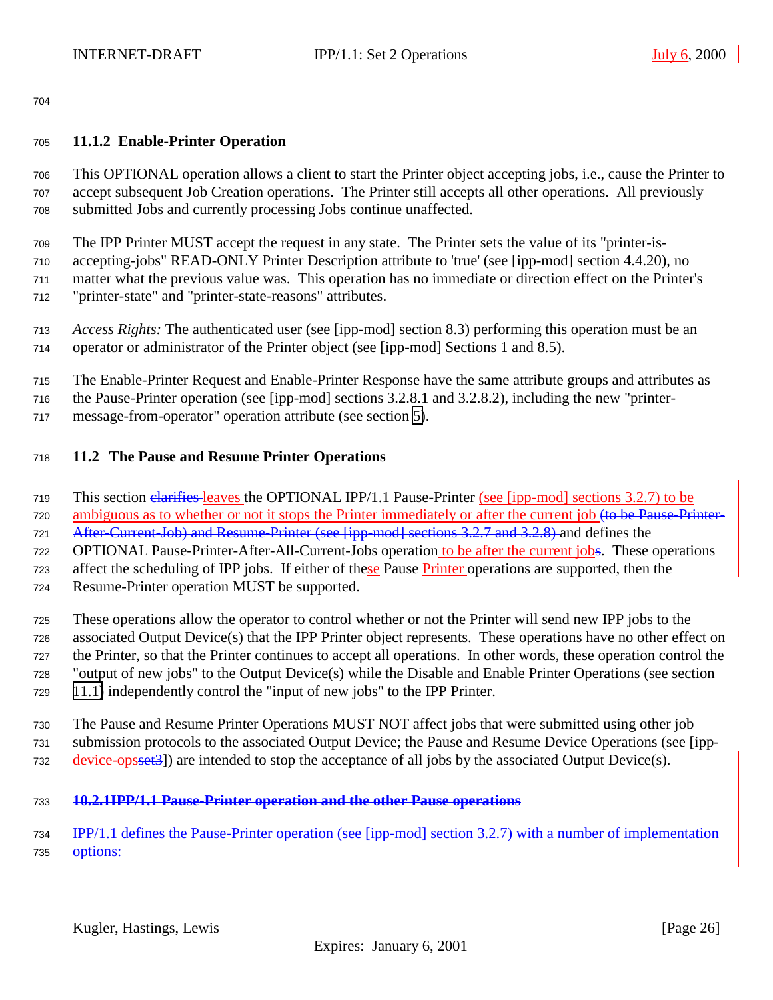#### <span id="page-25-0"></span>**11.1.2 Enable-Printer Operation**

 This OPTIONAL operation allows a client to start the Printer object accepting jobs, i.e., cause the Printer to accept subsequent Job Creation operations. The Printer still accepts all other operations. All previously submitted Jobs and currently processing Jobs continue unaffected.

The IPP Printer MUST accept the request in any state. The Printer sets the value of its "printer-is-

 accepting-jobs" READ-ONLY Printer Description attribute to 'true' (see [ipp-mod] section 4.4.20), no matter what the previous value was. This operation has no immediate or direction effect on the Printer's

- "printer-state" and "printer-state-reasons" attributes.
- *Access Rights:* The authenticated user (see [ipp-mod] section 8.3) performing this operation must be an operator or administrator of the Printer object (see [ipp-mod] Sections 1 and 8.5).
- The Enable-Printer Request and Enable-Printer Response have the same attribute groups and attributes as
- the Pause-Printer operation (see [ipp-mod] sections 3.2.8.1 and 3.2.8.2), including the new "printer-
- message-from-operator" operation attribute (see section [5\)](#page-19-0).

### **11.2 The Pause and Resume Printer Operations**

- This section clarifies leaves the OPTIONAL IPP/1.1 Pause-Printer (see [ipp-mod] sections 3.2.7) to be
- 720 ambiguous as to whether or not it stops the Printer immediately or after the current job <del>(to be Pause-Printer-</del>
- 721 After-Current-Job) and Resume-Printer (see [ipp-mod] sections 3.2.7 and 3.2.8) and defines the
- OPTIONAL Pause-Printer-After-All-Current-Jobs operation to be after the current jobs. These operations
- affect the scheduling of IPP jobs. If either of these Pause Printer operations are supported, then the
- Resume-Printer operation MUST be supported.
- These operations allow the operator to control whether or not the Printer will send new IPP jobs to the associated Output Device(s) that the IPP Printer object represents. These operations have no other effect on the Printer, so that the Printer continues to accept all operations. In other words, these operation control the "output of new jobs" to the Output Device(s) while the Disable and Enable Printer Operations (see section [11.1\)](#page-24-0) independently control the "input of new jobs" to the IPP Printer.
- The Pause and Resume Printer Operations MUST NOT affect jobs that were submitted using other job submission protocols to the associated Output Device; the Pause and Resume Device Operations (see [ipp-732 device-opsset<sup>3</sup>) are intended to stop the acceptance of all jobs by the associated Output Device(s).
- **10.2.1IPP/1.1 Pause-Printer operation and the other Pause operations**

734 IPP/1.1 defines the Pause-Printer operation (see [ipp-mod] section 3.2.7) with a number of implementation 735 <del>options:</del>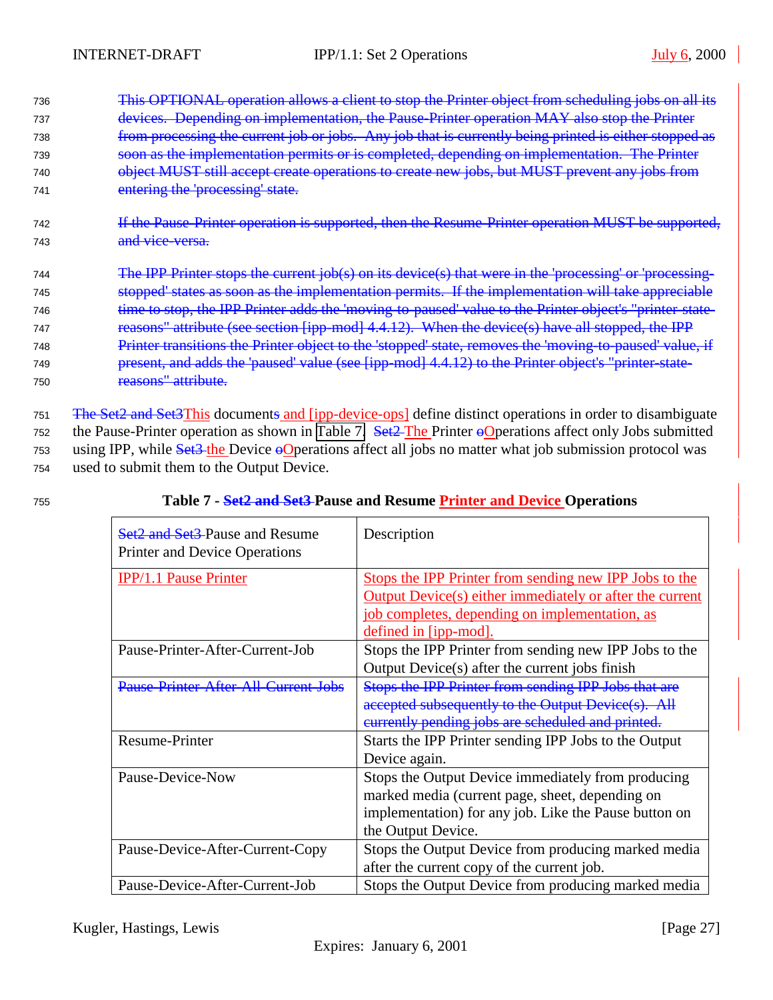<span id="page-26-0"></span> This OPTIONAL operation allows a client to stop the Printer object from scheduling jobs on all its devices. Depending on implementation, the Pause-Printer operation MAY also stop the Printer 738 from processing the current job or jobs. Any job that is currently being printed is either stopped as soon as the implementation permits or is completed, depending on implementation. The Printer object MUST still accept create operations to create new jobs, but MUST prevent any jobs from entering the 'processing' state.

<sup>742</sup> If the Pause-Printer operation is supported, then the Resume-Printer operation MUST be supported, 743 and vice-versa.

<sup>744</sup> The IPP Printer stops the current job(s) on its device(s) that were in the 'processing' or 'processing-<sup>745</sup> stopped' states as soon as the implementation permits. If the implementation will take appreciable 746 time to stop, the IPP Printer adds the 'moving-to-paused' value to the Printer object's "printer-state-747 reasons" attribute (see section [ipp-mod] 4.4.12). When the device(s) have all stopped, the IPP 748 Printer transitions the Printer object to the 'stopped' state, removes the 'moving-to-paused' value, if <sup>749</sup> present, and adds the 'paused' value (see [ipp-mod] 4.4.12) to the Printer object's "printer-state-<sup>750</sup> reasons" attribute.

751 The Set2 and Set3This documents and [ipp-device-ops] define distinct operations in order to disambiguate  $752$  the Pause-Printer operation as shown in Table 7. Set 2-The Printer  $\Theta$ Operations affect only Jobs submitted 753 using IPP, while Set<sub>3</sub>-the Device oO perations affect all jobs no matter what job submission protocol was <sup>754</sup> used to submit them to the Output Device.

# <sup>755</sup> **Table 7 - Set2 and Set3 Pause and Resume Printer and Device Operations**

| <b>Set2 and Set3-Pause and Resume</b><br><b>Printer and Device Operations</b> | Description                                                     |
|-------------------------------------------------------------------------------|-----------------------------------------------------------------|
| <b>IPP/1.1 Pause Printer</b>                                                  | Stops the IPP Printer from sending new IPP Jobs to the          |
|                                                                               | <b>Output Device(s) either immediately or after the current</b> |
|                                                                               | job completes, depending on implementation, as                  |
|                                                                               | defined in [ipp-mod].                                           |
| Pause-Printer-After-Current-Job                                               | Stops the IPP Printer from sending new IPP Jobs to the          |
|                                                                               | Output Device(s) after the current jobs finish                  |
| <b>Pause-Printer-After-All-Current-Jobs</b>                                   | Stops the IPP Printer from sending IPP Jobs that are            |
|                                                                               | accepted subsequently to the Output Device(s). All              |
|                                                                               | eurrently pending jobs are scheduled and printed.               |
| <b>Resume-Printer</b>                                                         | Starts the IPP Printer sending IPP Jobs to the Output           |
|                                                                               | Device again.                                                   |
| Pause-Device-Now                                                              | Stops the Output Device immediately from producing              |
|                                                                               | marked media (current page, sheet, depending on                 |
|                                                                               | implementation) for any job. Like the Pause button on           |
|                                                                               | the Output Device.                                              |
| Pause-Device-After-Current-Copy                                               | Stops the Output Device from producing marked media             |
|                                                                               | after the current copy of the current job.                      |
| Pause-Device-After-Current-Job                                                | Stops the Output Device from producing marked media             |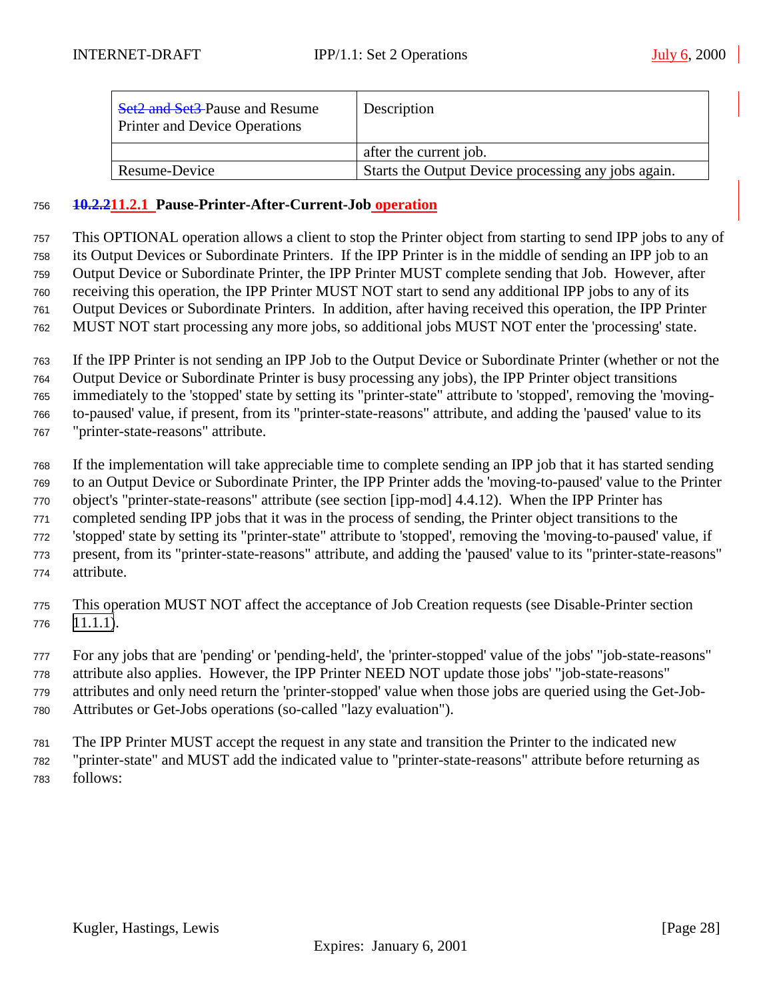| <b>Set2 and Set3-Pause and Resume</b><br><b>Printer and Device Operations</b> | Description                                         |
|-------------------------------------------------------------------------------|-----------------------------------------------------|
|                                                                               | after the current job.                              |
| Resume-Device                                                                 | Starts the Output Device processing any jobs again. |

#### **10.2.211.2.1 Pause-Printer-After-Current-Job operation**

 This OPTIONAL operation allows a client to stop the Printer object from starting to send IPP jobs to any of its Output Devices or Subordinate Printers. If the IPP Printer is in the middle of sending an IPP job to an Output Device or Subordinate Printer, the IPP Printer MUST complete sending that Job. However, after receiving this operation, the IPP Printer MUST NOT start to send any additional IPP jobs to any of its Output Devices or Subordinate Printers. In addition, after having received this operation, the IPP Printer MUST NOT start processing any more jobs, so additional jobs MUST NOT enter the 'processing' state.

 If the IPP Printer is not sending an IPP Job to the Output Device or Subordinate Printer (whether or not the Output Device or Subordinate Printer is busy processing any jobs), the IPP Printer object transitions immediately to the 'stopped' state by setting its "printer-state" attribute to 'stopped', removing the 'moving- to-paused' value, if present, from its "printer-state-reasons" attribute, and adding the 'paused' value to its "printer-state-reasons" attribute.

 If the implementation will take appreciable time to complete sending an IPP job that it has started sending to an Output Device or Subordinate Printer, the IPP Printer adds the 'moving-to-paused' value to the Printer object's "printer-state-reasons" attribute (see section [ipp-mod] 4.4.12). When the IPP Printer has completed sending IPP jobs that it was in the process of sending, the Printer object transitions to the 'stopped' state by setting its "printer-state" attribute to 'stopped', removing the 'moving-to-paused' value, if present, from its "printer-state-reasons" attribute, and adding the 'paused' value to its "printer-state-reasons" attribute.

- This operation MUST NOT affect the acceptance of Job Creation requests (see Disable-Printer section [11.1.1\)](#page-24-0).
- For any jobs that are 'pending' or 'pending-held', the 'printer-stopped' value of the jobs' "job-state-reasons" attribute also applies. However, the IPP Printer NEED NOT update those jobs' "job-state-reasons"
- attributes and only need return the 'printer-stopped' value when those jobs are queried using the Get-Job-Attributes or Get-Jobs operations (so-called "lazy evaluation").
- The IPP Printer MUST accept the request in any state and transition the Printer to the indicated new "printer-state" and MUST add the indicated value to "printer-state-reasons" attribute before returning as follows: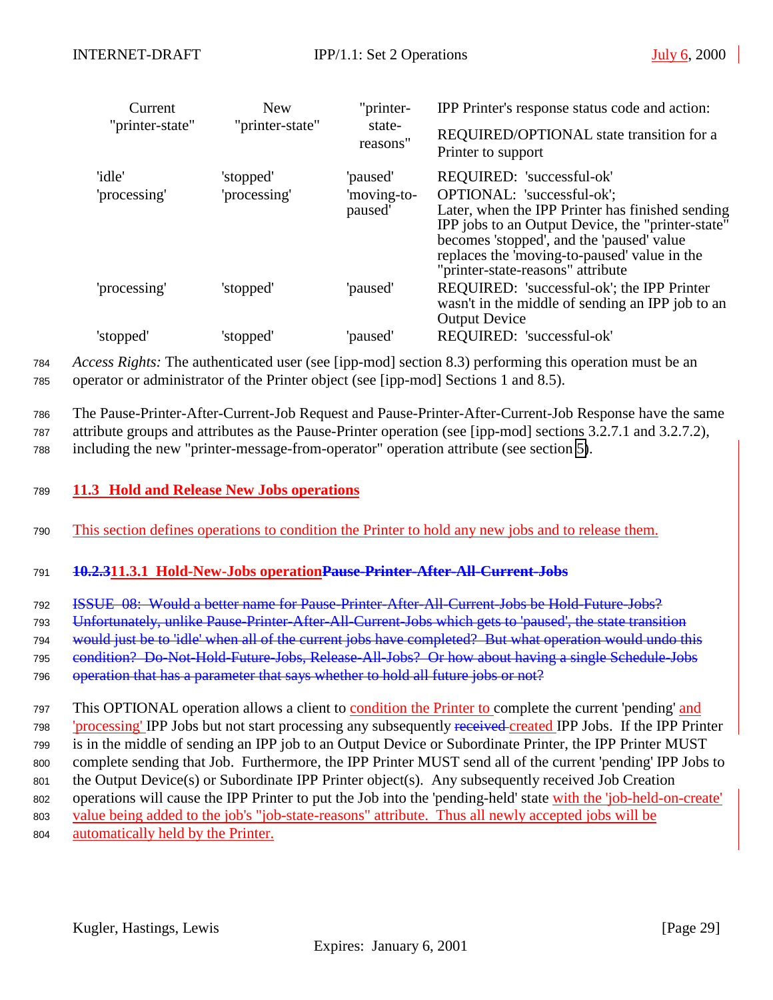<span id="page-28-0"></span>

| Current                | <b>New</b>                | "printer-                          | IPP Printer's response status code and action:                                                                                                                                                                                                                                                     |
|------------------------|---------------------------|------------------------------------|----------------------------------------------------------------------------------------------------------------------------------------------------------------------------------------------------------------------------------------------------------------------------------------------------|
| "printer-state"        | "printer-state"           | state-<br>reasons"                 | REQUIRED/OPTIONAL state transition for a<br>Printer to support                                                                                                                                                                                                                                     |
| 'idle'<br>'processing' | 'stopped'<br>'processing' | 'paused'<br>'moving-to-<br>paused' | REQUIRED: 'successful-ok'<br>OPTIONAL: 'successful-ok';<br>Later, when the IPP Printer has finished sending<br>IPP jobs to an Output Device, the "printer-state"<br>becomes 'stopped', and the 'paused' value<br>replaces the 'moving-to-paused' value in the<br>"printer-state-reasons" attribute |
| 'processing'           | 'stopped'                 | 'paused'                           | REQUIRED: 'successful-ok'; the IPP Printer<br>wasn't in the middle of sending an IPP job to an<br><b>Output Device</b>                                                                                                                                                                             |
| 'stopped'              | 'stopped'                 | 'paused'                           | REQUIRED: 'successful-ok'                                                                                                                                                                                                                                                                          |

<sup>784</sup> *Access Rights:* The authenticated user (see [ipp-mod] section 8.3) performing this operation must be an <sup>785</sup> operator or administrator of the Printer object (see [ipp-mod] Sections 1 and 8.5).

<sup>786</sup> The Pause-Printer-After-Current-Job Request and Pause-Printer-After-Current-Job Response have the same

<sup>787</sup> attribute groups and attributes as the Pause-Printer operation (see [ipp-mod] sections 3.2.7.1 and 3.2.7.2),

<sup>788</sup> including the new "printer-message-from-operator" operation attribute (see section [5\)](#page-19-0).

<sup>789</sup> **11.3 Hold and Release New Jobs operations**

<sup>790</sup> This section defines operations to condition the Printer to hold any new jobs and to release them.

#### <sup>791</sup> **10.2.311.3.1 Hold-New-Jobs operationPause-Printer-After-All-Current-Jobs**

<sup>792</sup> ISSUE 08: Would a better name for Pause-Printer-After-All-Current-Jobs be Hold-Future-Jobs?

<sup>793</sup> Unfortunately, unlike Pause-Printer-After-All-Current-Jobs which gets to 'paused', the state transition

794 would just be to 'idle' when all of the current jobs have completed? But what operation would undo this

<sup>795</sup> condition? Do-Not-Hold-Future-Jobs, Release-All-Jobs? Or how about having a single Schedule-Jobs

796 operation that has a parameter that says whether to hold all future jobs or not?

 This OPTIONAL operation allows a client to condition the Printer to complete the current 'pending' and 798 'processing' IPP Jobs but not start processing any subsequently received-created IPP Jobs. If the IPP Printer is in the middle of sending an IPP job to an Output Device or Subordinate Printer, the IPP Printer MUST complete sending that Job. Furthermore, the IPP Printer MUST send all of the current 'pending' IPP Jobs to the Output Device(s) or Subordinate IPP Printer object(s). Any subsequently received Job Creation 802 operations will cause the IPP Printer to put the Job into the 'pending-held' state with the 'job-held-on-create' value being added to the job's "job-state-reasons" attribute. Thus all newly accepted jobs will be

<sup>804</sup> automatically held by the Printer.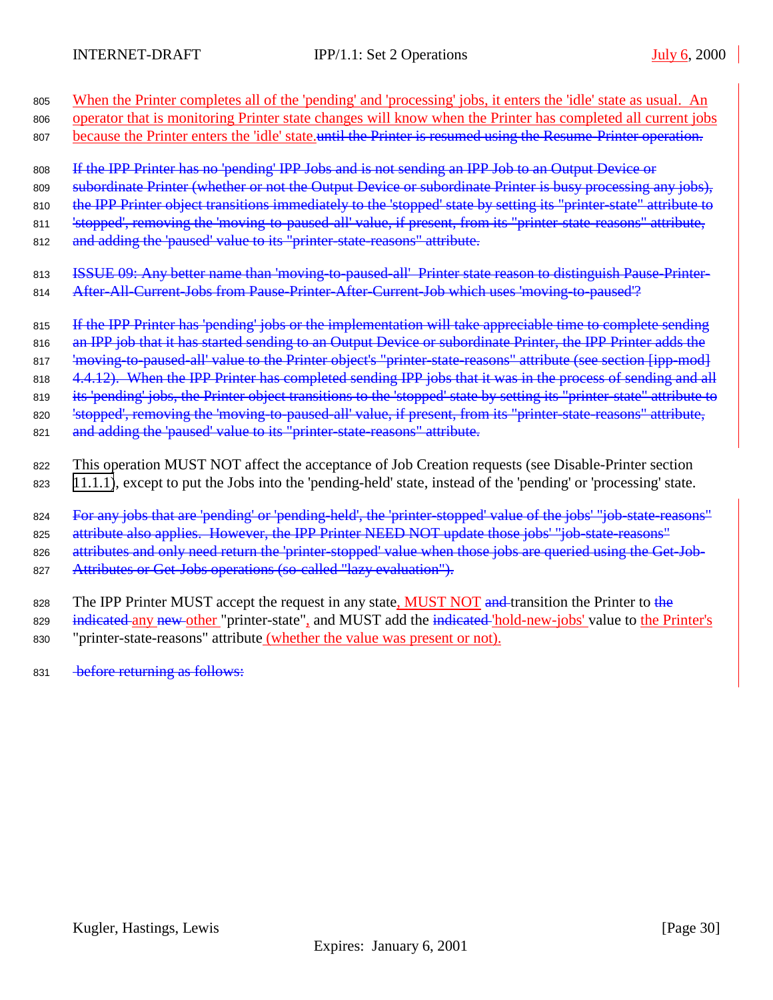| 805 | When the Printer completes all of the 'pending' and 'processing' jobs, it enters the 'idle' state as usual. An        |
|-----|-----------------------------------------------------------------------------------------------------------------------|
| 806 | operator that is monitoring Printer state changes will know when the Printer has completed all current jobs           |
| 807 | because the Printer enters the 'idle' state until the Printer is resumed using the Resume-Printer operation.          |
| 808 | If the IPP Printer has no 'pending' IPP Jobs and is not sending an IPP Job to an Output Device or                     |
| 809 | subordinate Printer (whether or not the Output Device or subordinate Printer is busy processing any jobs),            |
| 810 | the IPP Printer object transitions immediately to the 'stopped' state by setting its "printer-state" attribute to     |
| 811 | 'stopped', removing the 'moving-to-paused-all' value, if present, from its "printer-state-reasons" attribute,         |
| 812 | and adding the 'paused' value to its "printer state reasons" attribute.                                               |
| 813 | ISSUE 09: Any better name than 'moving to paused all' Printer state reason to distinguish Pause Printer-              |
| 814 | After-All-Current-Jobs from Pause-Printer-After-Current-Job which uses 'moving-to-paused'?                            |
| 815 | If the IPP Printer has 'pending' jobs or the implementation will take appreciable time to complete sending            |
| 816 | an IPP job that it has started sending to an Output Device or subordinate Printer, the IPP Printer adds the           |
| 817 | 'moving to paused all' value to the Printer object's "printer state reasons" attribute (see section [ipp-mod]         |
| 818 | 4.4.12). When the IPP Printer has completed sending IPP jobs that it was in the process of sending and all            |
| 819 | its 'pending' jobs, the Printer object transitions to the 'stopped' state by setting its "printer-state" attribute to |
| 820 | 'stopped', removing the 'moving to paused all' value, if present, from its "printer state reasons" attribute,         |
| 821 | and adding the 'paused' value to its "printer state reasons" attribute.                                               |
| 822 | This operation MUST NOT affect the acceptance of Job Creation requests (see Disable-Printer section                   |
| 823 | 11.1.1), except to put the Jobs into the 'pending-held' state, instead of the 'pending' or 'processing' state.        |
| 824 | For any jobs that are 'pending' or 'pending-held', the 'printer-stopped' value of the jobs' "job-state-reasons"       |
| 825 | attribute also applies. However, the IPP Printer NEED NOT update those jobs' "job-state-reasons"                      |
| 826 | attributes and only need return the 'printer-stopped' value when those jobs are queried using the Get-Job-            |
| 827 | Attributes or Get-Jobs operations (so-called "lazy evaluation").                                                      |
| 828 | The IPP Printer MUST accept the request in any state, MUST NOT and transition the Printer to the                      |
| 829 | indicated any new other "printer-state", and MUST add the indicated 'hold-new-jobs' value to the Printer's            |

- 830 "printer-state-reasons" attribute (whether the value was present or not).
- 831 before returning as follows: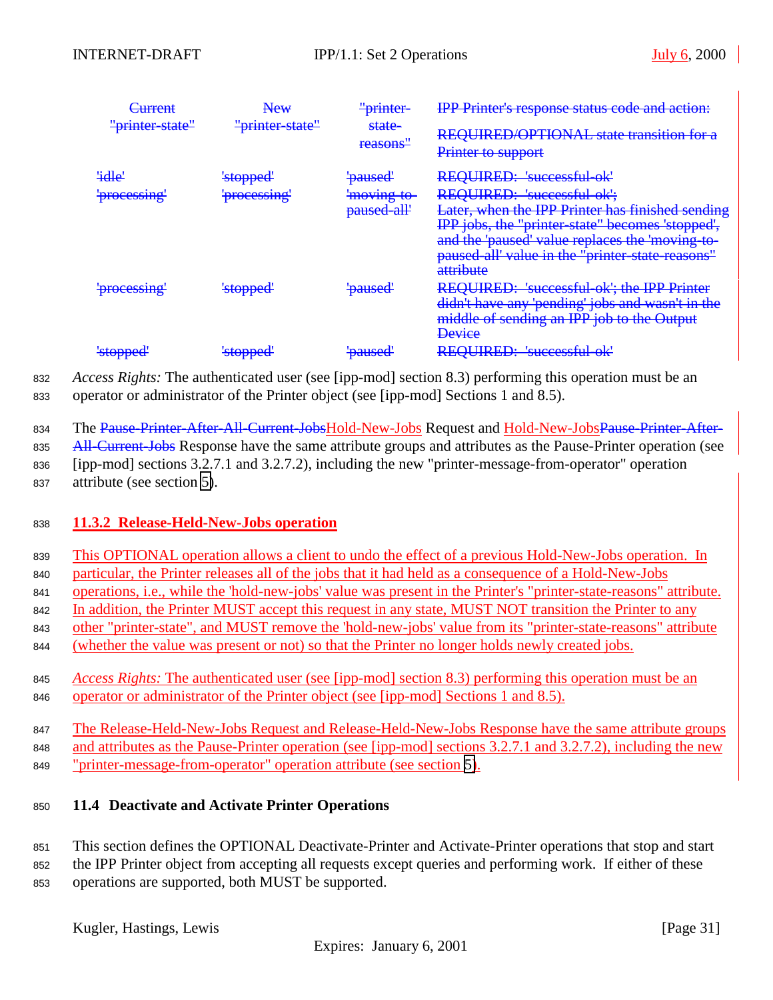<span id="page-30-0"></span>

| <u>'urrant</u><br>$\sqrt{2}$     | $\mathbf N$ aw<br><b>TAN UTAY</b> | ' <del>printer-</del>                 | <b>IPP Printer's response status code and action:</b>                                                                                                                                                                                                  |
|----------------------------------|-----------------------------------|---------------------------------------|--------------------------------------------------------------------------------------------------------------------------------------------------------------------------------------------------------------------------------------------------------|
| "printer-state"                  | "printer-state"                   | state-<br>reasons"                    | <u>REQUIRED/OPTIONAL</u> state transition for a<br><del>REQUIRED/OF HOTVAL state transition for a</del><br>Printer to support                                                                                                                          |
| 'idle'                           | <del>'stopped'</del>              | <u>'ngucad'</u><br><del>vauseu</del>  | REQUIRED: 'successful-ok'                                                                                                                                                                                                                              |
| 'processing'                     | 'processing'                      | <del>'moving to-</del><br>paused all' | REQUIRED: 'successful ok';<br>Later, when the IPP Printer has finished sending<br>IPP jobs, the "printer state" becomes 'stopped',<br>and the 'paused' value replaces the 'moving to-<br>paused all' value in the "printer state reasons"<br>attribute |
| $r_{0}$<br><del>processing</del> | <del>'stopped'</del>              | ' <del>paused</del> '                 | REQUIRED: 'successful-ok'; the IPP Printer<br>didn't have any 'pending' jobs and wasn't in the<br>middle of sending an IPP job to the Output<br><b>Device</b>                                                                                          |
| 'stonned'<br><del>stoppeu</del>  | 'stopped'                         | 'naused'<br><del>pauscu</del>         | REOUIRED: 'successful ok'                                                                                                                                                                                                                              |

<sup>832</sup> *Access Rights:* The authenticated user (see [ipp-mod] section 8.3) performing this operation must be an <sup>833</sup> operator or administrator of the Printer object (see [ipp-mod] Sections 1 and 8.5).

834 The Pause-Printer-After-All-Current-JobsHold-New-Jobs Request and Hold-New-JobsPause-Printer-After-

835 All-Current-Jobs Response have the same attribute groups and attributes as the Pause-Printer operation (see <sup>836</sup> [ipp-mod] sections 3.2.7.1 and 3.2.7.2), including the new "printer-message-from-operator" operation

<sup>837</sup> attribute (see section [5\)](#page-19-0).

#### <sup>838</sup> **11.3.2 Release-Held-New-Jobs operation**

<sup>839</sup> This OPTIONAL operation allows a client to undo the effect of a previous Hold-New-Jobs operation. In

<sup>840</sup> particular, the Printer releases all of the jobs that it had held as a consequence of a Hold-New-Jobs

<sup>841</sup> operations, i.e., while the 'hold-new-jobs' value was present in the Printer's "printer-state-reasons" attribute.

842 In addition, the Printer MUST accept this request in any state, MUST NOT transition the Printer to any

<sup>843</sup> other "printer-state", and MUST remove the 'hold-new-jobs' value from its "printer-state-reasons" attribute

<sup>844</sup> (whether the value was present or not) so that the Printer no longer holds newly created jobs.

<sup>845</sup> *Access Rights:* The authenticated user (see [ipp-mod] section 8.3) performing this operation must be an <sup>846</sup> operator or administrator of the Printer object (see [ipp-mod] Sections 1 and 8.5).

847 The Release-Held-New-Jobs Request and Release-Held-New-Jobs Response have the same attribute groups 848 and attributes as the Pause-Printer operation (see [ipp-mod] sections 3.2.7.1 and 3.2.7.2), including the new <sup>849</sup> "printer-message-from-operator" operation attribute (see section [5\)](#page-19-0).

# <sup>850</sup> **11.4 Deactivate and Activate Printer Operations**

<sup>851</sup> This section defines the OPTIONAL Deactivate-Printer and Activate-Printer operations that stop and start

<sup>852</sup> the IPP Printer object from accepting all requests except queries and performing work. If either of these

<sup>853</sup> operations are supported, both MUST be supported.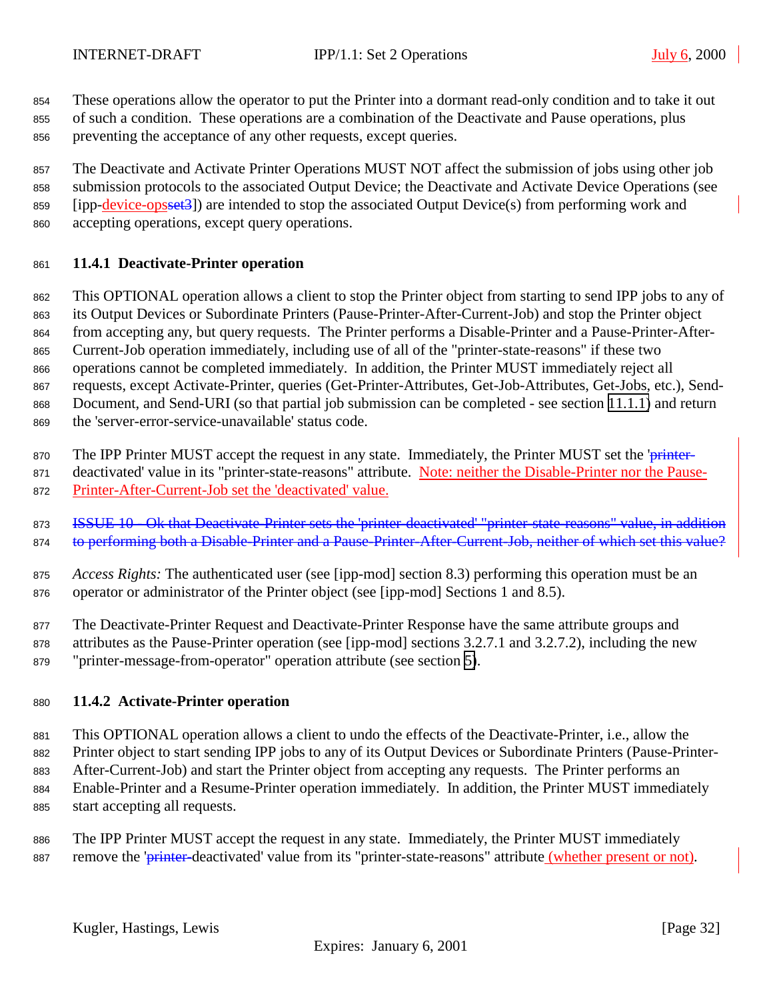<span id="page-31-0"></span>

 These operations allow the operator to put the Printer into a dormant read-only condition and to take it out of such a condition. These operations are a combination of the Deactivate and Pause operations, plus

preventing the acceptance of any other requests, except queries.

 The Deactivate and Activate Printer Operations MUST NOT affect the submission of jobs using other job submission protocols to the associated Output Device; the Deactivate and Activate Device Operations (see 859 [ipp-device-opsset3]) are intended to stop the associated Output Device(s) from performing work and accepting operations, except query operations.

# **11.4.1 Deactivate-Printer operation**

This OPTIONAL operation allows a client to stop the Printer object from starting to send IPP jobs to any of

its Output Devices or Subordinate Printers (Pause-Printer-After-Current-Job) and stop the Printer object

from accepting any, but query requests. The Printer performs a Disable-Printer and a Pause-Printer-After-

Current-Job operation immediately, including use of all of the "printer-state-reasons" if these two

operations cannot be completed immediately. In addition, the Printer MUST immediately reject all

 requests, except Activate-Printer, queries (Get-Printer-Attributes, Get-Job-Attributes, Get-Jobs, etc.), Send-Document, and Send-URI (so that partial job submission can be completed - see section [11.1.1\)](#page-24-0) and return

the 'server-error-service-unavailable' status code.

870 The IPP Printer MUST accept the request in any state. Immediately, the Printer MUST set the 'printer-

871 deactivated' value in its "printer-state-reasons" attribute. Note: neither the Disable-Printer nor the Pause-

Printer-After-Current-Job set the 'deactivated' value.

**ISSUE 10 - Ok that Deactivate-Printer sets the 'printer-deactivated' "printer-state-reasons" value, in addition** 874 to performing both a Disable-Printer and a Pause-Printer-After-Current-Job, neither of which set this value?

 *Access Rights:* The authenticated user (see [ipp-mod] section 8.3) performing this operation must be an operator or administrator of the Printer object (see [ipp-mod] Sections 1 and 8.5).

The Deactivate-Printer Request and Deactivate-Printer Response have the same attribute groups and

attributes as the Pause-Printer operation (see [ipp-mod] sections 3.2.7.1 and 3.2.7.2), including the new

"printer-message-from-operator" operation attribute (see section [5\)](#page-19-0).

# **11.4.2 Activate-Printer operation**

 This OPTIONAL operation allows a client to undo the effects of the Deactivate-Printer, i.e., allow the Printer object to start sending IPP jobs to any of its Output Devices or Subordinate Printers (Pause-Printer- After-Current-Job) and start the Printer object from accepting any requests. The Printer performs an Enable-Printer and a Resume-Printer operation immediately. In addition, the Printer MUST immediately

start accepting all requests.

 The IPP Printer MUST accept the request in any state. Immediately, the Printer MUST immediately 887 remove the 'printer-deactivated' value from its "printer-state-reasons" attribute (whether present or not).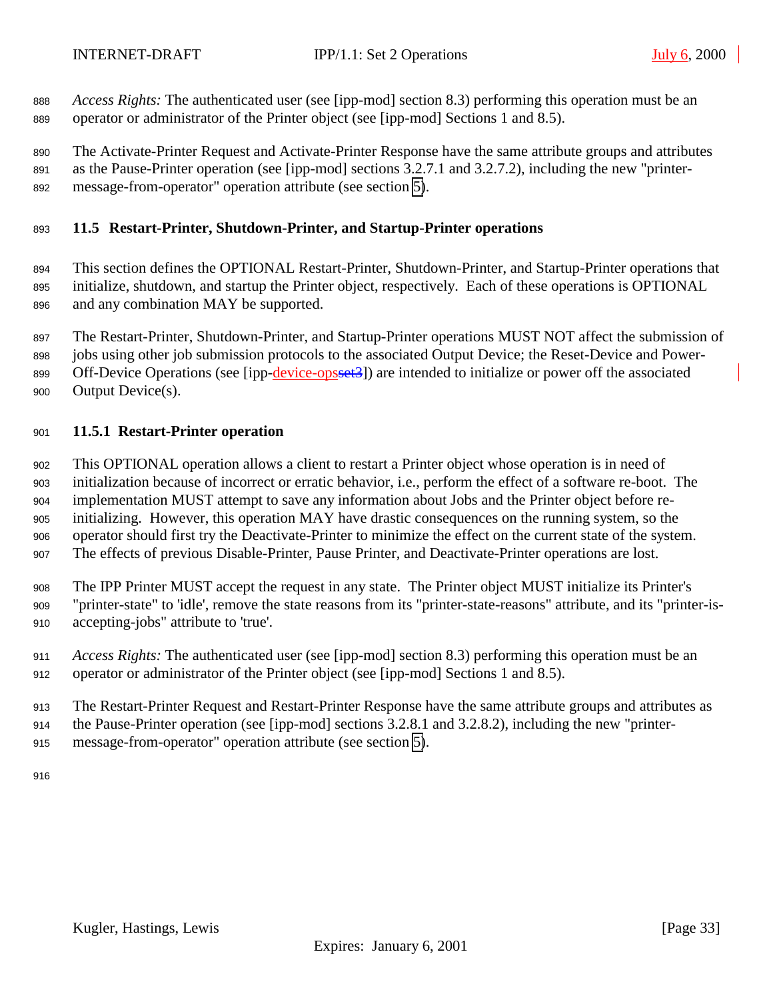<span id="page-32-0"></span> *Access Rights:* The authenticated user (see [ipp-mod] section 8.3) performing this operation must be an operator or administrator of the Printer object (see [ipp-mod] Sections 1 and 8.5).

 The Activate-Printer Request and Activate-Printer Response have the same attribute groups and attributes as the Pause-Printer operation (see [ipp-mod] sections 3.2.7.1 and 3.2.7.2), including the new "printer-message-from-operator" operation attribute (see section [5\)](#page-19-0).

#### **11.5 Restart-Printer, Shutdown-Printer, and Startup-Printer operations**

 This section defines the OPTIONAL Restart-Printer, Shutdown-Printer, and Startup-Printer operations that initialize, shutdown, and startup the Printer object, respectively. Each of these operations is OPTIONAL and any combination MAY be supported.

The Restart-Printer, Shutdown-Printer, and Startup-Printer operations MUST NOT affect the submission of

jobs using other job submission protocols to the associated Output Device; the Reset-Device and Power-

899 Off-Device Operations (see [ipp-device-opsset<sup>3</sup>]) are intended to initialize or power off the associated

Output Device(s).

# **11.5.1 Restart-Printer operation**

 This OPTIONAL operation allows a client to restart a Printer object whose operation is in need of initialization because of incorrect or erratic behavior, i.e., perform the effect of a software re-boot. The implementation MUST attempt to save any information about Jobs and the Printer object before re- initializing. However, this operation MAY have drastic consequences on the running system, so the operator should first try the Deactivate-Printer to minimize the effect on the current state of the system. The effects of previous Disable-Printer, Pause Printer, and Deactivate-Printer operations are lost.

 The IPP Printer MUST accept the request in any state. The Printer object MUST initialize its Printer's "printer-state" to 'idle', remove the state reasons from its "printer-state-reasons" attribute, and its "printer-is-accepting-jobs" attribute to 'true'.

 *Access Rights:* The authenticated user (see [ipp-mod] section 8.3) performing this operation must be an operator or administrator of the Printer object (see [ipp-mod] Sections 1 and 8.5).

The Restart-Printer Request and Restart-Printer Response have the same attribute groups and attributes as

the Pause-Printer operation (see [ipp-mod] sections 3.2.8.1 and 3.2.8.2), including the new "printer-

message-from-operator" operation attribute (see section [5\)](#page-19-0).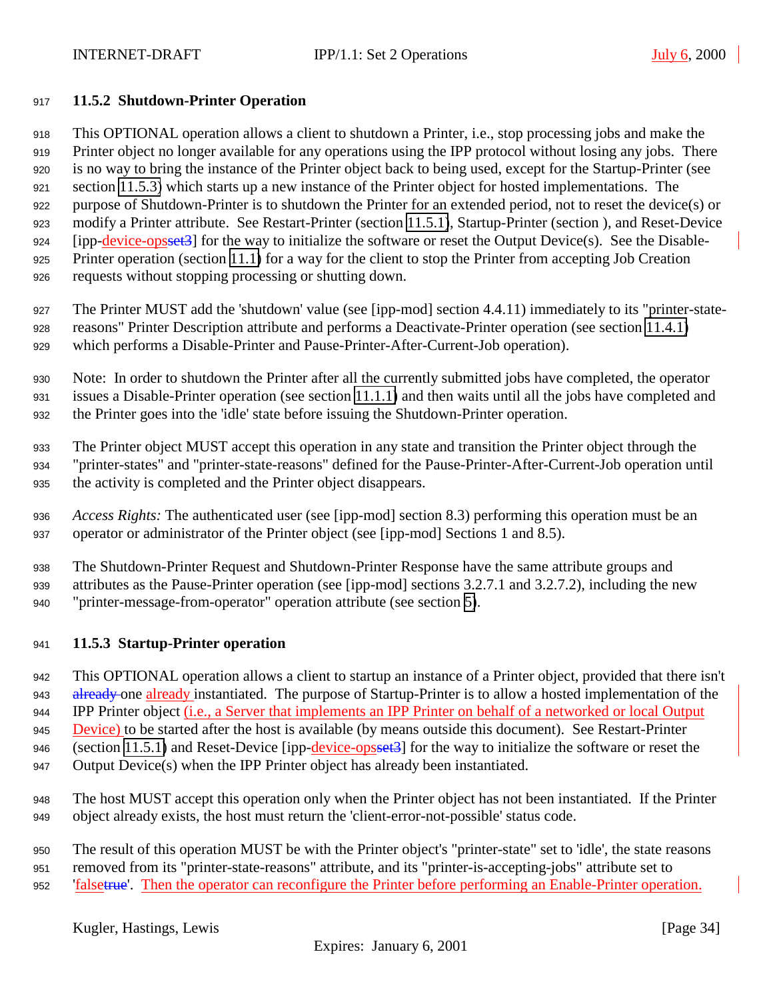#### <span id="page-33-0"></span>**11.5.2 Shutdown-Printer Operation**

 This OPTIONAL operation allows a client to shutdown a Printer, i.e., stop processing jobs and make the Printer object no longer available for any operations using the IPP protocol without losing any jobs. There is no way to bring the instance of the Printer object back to being used, except for the Startup-Printer (see section 11.5.3) which starts up a new instance of the Printer object for hosted implementations. The purpose of Shutdown-Printer is to shutdown the Printer for an extended period, not to reset the device(s) or modify a Printer attribute. See Restart-Printer (section [11.5.1\)](#page-32-0), Startup-Printer (section ), and Reset-Device 924 [ipp-device-opsset3] for the way to initialize the software or reset the Output Device(s). See the Disable- Printer operation (section [11.1\)](#page-24-0) for a way for the client to stop the Printer from accepting Job Creation requests without stopping processing or shutting down.

 The Printer MUST add the 'shutdown' value (see [ipp-mod] section 4.4.11) immediately to its "printer-state- reasons" Printer Description attribute and performs a Deactivate-Printer operation (see section [11.4.1\)](#page-31-0) which performs a Disable-Printer and Pause-Printer-After-Current-Job operation).

 Note: In order to shutdown the Printer after all the currently submitted jobs have completed, the operator issues a Disable-Printer operation (see section [11.1.1\)](#page-24-0) and then waits until all the jobs have completed and the Printer goes into the 'idle' state before issuing the Shutdown-Printer operation.

 The Printer object MUST accept this operation in any state and transition the Printer object through the "printer-states" and "printer-state-reasons" defined for the Pause-Printer-After-Current-Job operation until the activity is completed and the Printer object disappears.

 *Access Rights:* The authenticated user (see [ipp-mod] section 8.3) performing this operation must be an operator or administrator of the Printer object (see [ipp-mod] Sections 1 and 8.5).

 The Shutdown-Printer Request and Shutdown-Printer Response have the same attribute groups and attributes as the Pause-Printer operation (see [ipp-mod] sections 3.2.7.1 and 3.2.7.2), including the new "printer-message-from-operator" operation attribute (see section [5\)](#page-19-0).

#### **11.5.3 Startup-Printer operation**

This OPTIONAL operation allows a client to startup an instance of a Printer object, provided that there isn't

943 already one already instantiated. The purpose of Startup-Printer is to allow a hosted implementation of the IPP Printer object (i.e., a Server that implements an IPP Printer on behalf of a networked or local Output

945 Device) to be started after the host is available (by means outside this document). See Restart-Printer

946 (section [11.5.1\)](#page-32-0) and Reset-Device [ipp-device-opsset3] for the way to initialize the software or reset the

Output Device(s) when the IPP Printer object has already been instantiated.

 The host MUST accept this operation only when the Printer object has not been instantiated. If the Printer object already exists, the host must return the 'client-error-not-possible' status code.

The result of this operation MUST be with the Printer object's "printer-state" set to 'idle', the state reasons

- removed from its "printer-state-reasons" attribute, and its "printer-is-accepting-jobs" attribute set to
- 952 'falsetrue'. Then the operator can reconfigure the Printer before performing an Enable-Printer operation.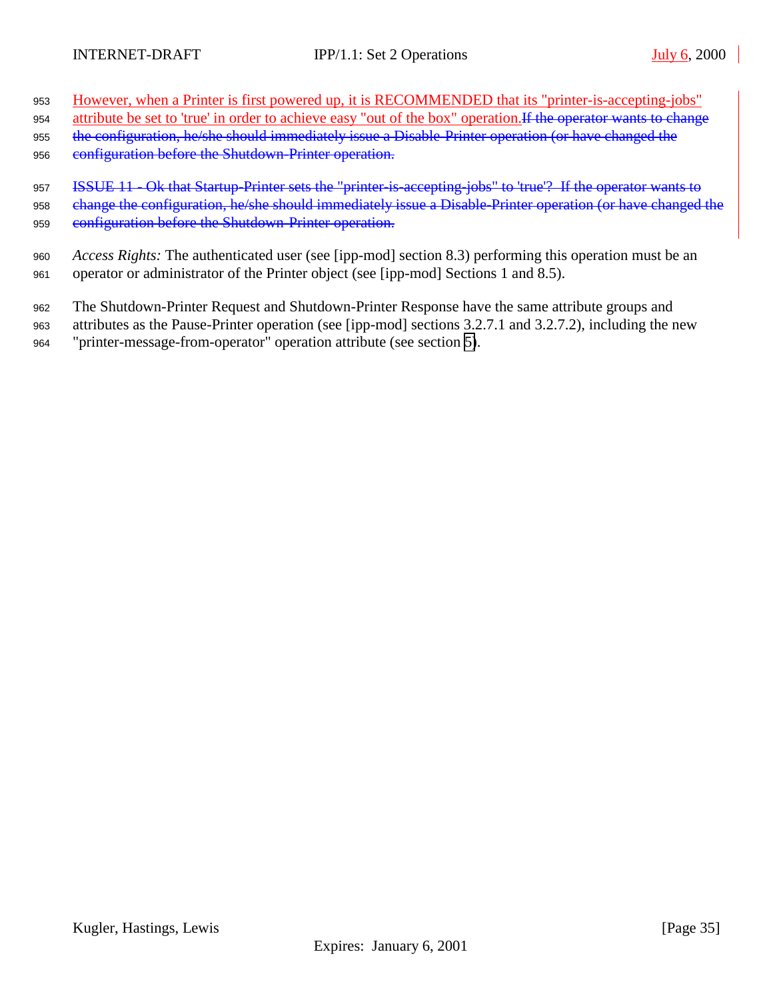- <sup>953</sup> However, when a Printer is first powered up, it is RECOMMENDED that its "printer-is-accepting-jobs"
- 954 attribute be set to 'true' in order to achieve easy "out of the box" operation. If the operator wants to change
- 955 the configuration, he/she should immediately issue a Disable-Printer operation (or have changed the
- 956 configuration before the Shutdown-Printer operation.
- 957 ISSUE 11 Ok that Startup-Printer sets the "printer-is-accepting-jobs" to 'true'? If the operator wants to 958 change the configuration, he/she should immediately issue a Disable-Printer operation (or have changed the 959 configuration before the Shutdown-Printer operation.
- <sup>960</sup> *Access Rights:* The authenticated user (see [ipp-mod] section 8.3) performing this operation must be an <sup>961</sup> operator or administrator of the Printer object (see [ipp-mod] Sections 1 and 8.5).
- <sup>962</sup> The Shutdown-Printer Request and Shutdown-Printer Response have the same attribute groups and
- <sup>963</sup> attributes as the Pause-Printer operation (see [ipp-mod] sections 3.2.7.1 and 3.2.7.2), including the new <sup>964</sup> "printer-message-from-operator" operation attribute (see section [5\)](#page-19-0).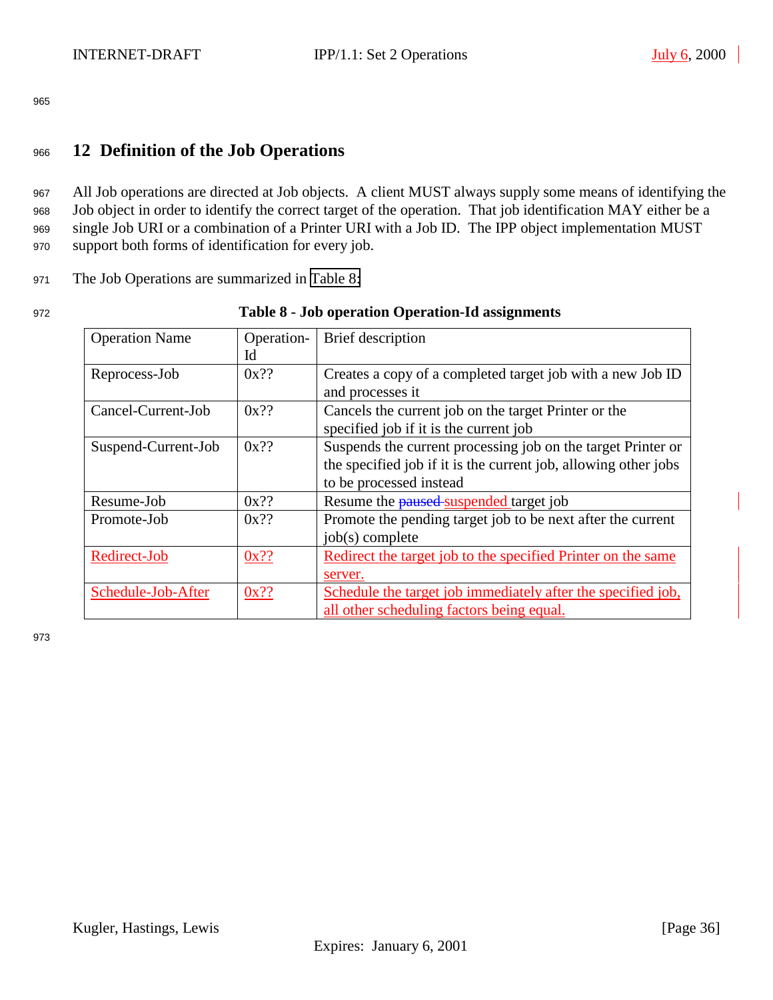# <span id="page-35-0"></span><sup>966</sup> **12 Definition of the Job Operations**

 All Job operations are directed at Job objects. A client MUST always supply some means of identifying the Job object in order to identify the correct target of the operation. That job identification MAY either be a single Job URI or a combination of a Printer URI with a Job ID. The IPP object implementation MUST support both forms of identification for every job.

<sup>971</sup> The Job Operations are summarized in Table 8:

| v<br>I<br>M.<br>۰, |
|--------------------|
|--------------------|

#### Table 8 - Job operation Operation-Id assignments

| <b>Operation Name</b> | Operation- | Brief description                                               |
|-----------------------|------------|-----------------------------------------------------------------|
|                       | Id         |                                                                 |
| Reprocess-Job         | $0x$ ??    | Creates a copy of a completed target job with a new Job ID      |
|                       |            | and processes it                                                |
| Cancel-Current-Job    | $0x$ ??    | Cancels the current job on the target Printer or the            |
|                       |            | specified job if it is the current job                          |
| Suspend-Current-Job   | $0x$ ??    | Suspends the current processing job on the target Printer or    |
|                       |            | the specified job if it is the current job, allowing other jobs |
|                       |            | to be processed instead                                         |
| Resume-Job            | $0x$ ??    | Resume the <b>paused</b> suspended target job                   |
| Promote-Job           | $0x$ ??    | Promote the pending target job to be next after the current     |
|                       |            | job(s) complete                                                 |
| Redirect-Job          | $0x$ ??    | Redirect the target job to the specified Printer on the same    |
|                       |            | server.                                                         |
| Schedule-Job-After    | $0x$ ??    | Schedule the target job immediately after the specified job,    |
|                       |            | all other scheduling factors being equal.                       |

973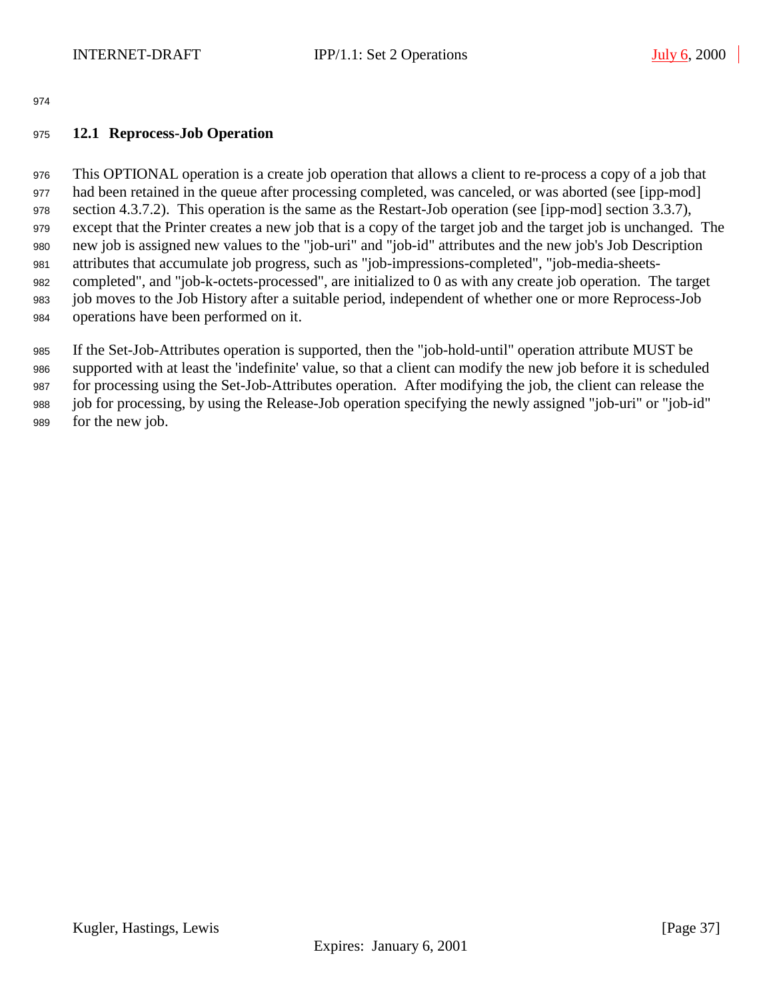# <span id="page-36-0"></span>**12.1 Reprocess-Job Operation**

 This OPTIONAL operation is a create job operation that allows a client to re-process a copy of a job that had been retained in the queue after processing completed, was canceled, or was aborted (see [ipp-mod] section 4.3.7.2). This operation is the same as the Restart-Job operation (see [ipp-mod] section 3.3.7), except that the Printer creates a new job that is a copy of the target job and the target job is unchanged. The new job is assigned new values to the "job-uri" and "job-id" attributes and the new job's Job Description attributes that accumulate job progress, such as "job-impressions-completed", "job-media-sheets- completed", and "job-k-octets-processed", are initialized to 0 as with any create job operation. The target job moves to the Job History after a suitable period, independent of whether one or more Reprocess-Job operations have been performed on it.

 If the Set-Job-Attributes operation is supported, then the "job-hold-until" operation attribute MUST be supported with at least the 'indefinite' value, so that a client can modify the new job before it is scheduled for processing using the Set-Job-Attributes operation. After modifying the job, the client can release the job for processing, by using the Release-Job operation specifying the newly assigned "job-uri" or "job-id" for the new job.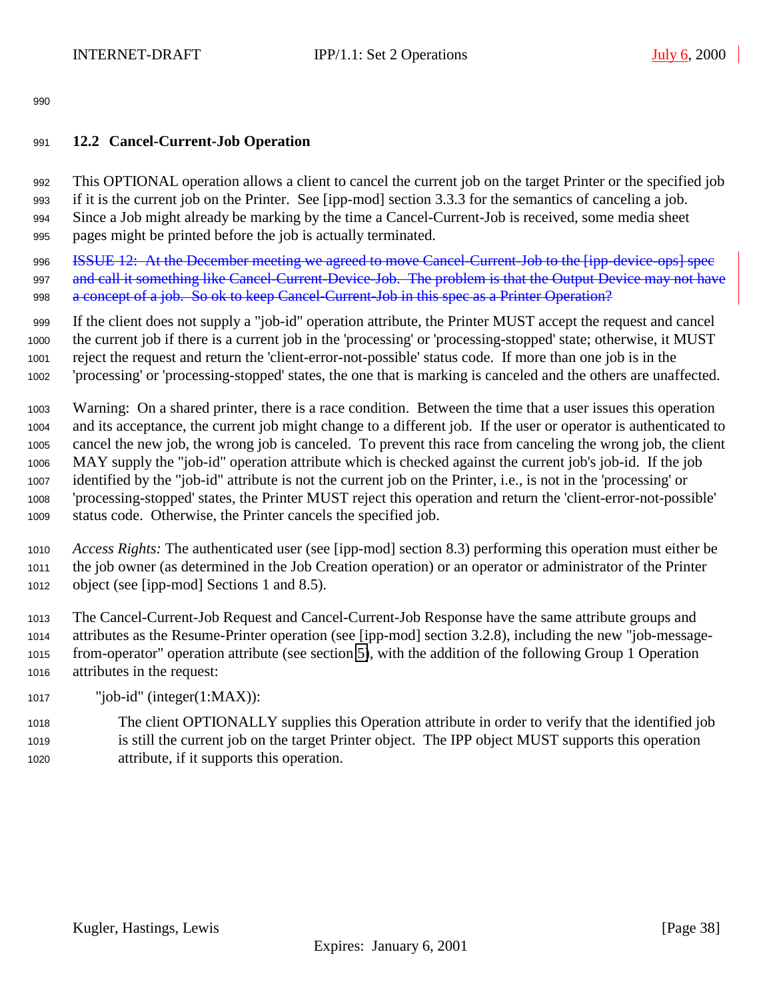# <span id="page-37-0"></span>**12.2 Cancel-Current-Job Operation**

 This OPTIONAL operation allows a client to cancel the current job on the target Printer or the specified job if it is the current job on the Printer. See [ipp-mod] section 3.3.3 for the semantics of canceling a job. Since a Job might already be marking by the time a Cancel-Current-Job is received, some media sheet pages might be printed before the job is actually terminated.

**ISSUE 12:** At the December meeting we agreed to move Cancel-Current-Job to the [ipp-device-ops] spec 997 and call it something like Cancel-Current-Device-Job. The problem is that the Output Device may not have 998 a concept of a job. So ok to keep Cancel Current-Job in this spec as a Printer Operation?

 If the client does not supply a "job-id" operation attribute, the Printer MUST accept the request and cancel the current job if there is a current job in the 'processing' or 'processing-stopped' state; otherwise, it MUST reject the request and return the 'client-error-not-possible' status code. If more than one job is in the 'processing' or 'processing-stopped' states, the one that is marking is canceled and the others are unaffected.

 Warning: On a shared printer, there is a race condition. Between the time that a user issues this operation and its acceptance, the current job might change to a different job. If the user or operator is authenticated to cancel the new job, the wrong job is canceled. To prevent this race from canceling the wrong job, the client MAY supply the "job-id" operation attribute which is checked against the current job's job-id. If the job identified by the "job-id" attribute is not the current job on the Printer, i.e., is not in the 'processing' or 'processing-stopped' states, the Printer MUST reject this operation and return the 'client-error-not-possible' status code. Otherwise, the Printer cancels the specified job.

 *Access Rights:* The authenticated user (see [ipp-mod] section 8.3) performing this operation must either be the job owner (as determined in the Job Creation operation) or an operator or administrator of the Printer object (see [ipp-mod] Sections 1 and 8.5).

 The Cancel-Current-Job Request and Cancel-Current-Job Response have the same attribute groups and attributes as the Resume-Printer operation (see [ipp-mod] section 3.2.8), including the new "job-message- from-operator" operation attribute (see section [5\)](#page-19-0), with the addition of the following Group 1 Operation attributes in the request:

"job-id" (integer(1:MAX)):

 The client OPTIONALLY supplies this Operation attribute in order to verify that the identified job is still the current job on the target Printer object. The IPP object MUST supports this operation attribute, if it supports this operation.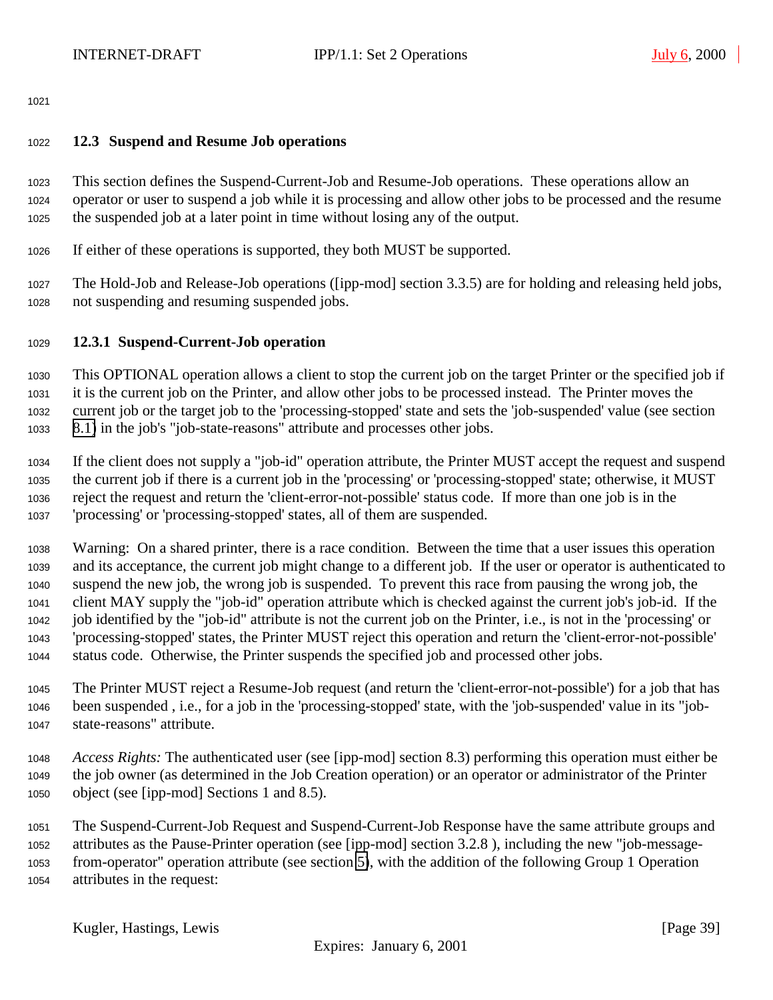### <span id="page-38-0"></span>**12.3 Suspend and Resume Job operations**

 This section defines the Suspend-Current-Job and Resume-Job operations. These operations allow an operator or user to suspend a job while it is processing and allow other jobs to be processed and the resume the suspended job at a later point in time without losing any of the output.

If either of these operations is supported, they both MUST be supported.

 The Hold-Job and Release-Job operations ([ipp-mod] section 3.3.5) are for holding and releasing held jobs, not suspending and resuming suspended jobs.

# **12.3.1 Suspend-Current-Job operation**

 This OPTIONAL operation allows a client to stop the current job on the target Printer or the specified job if it is the current job on the Printer, and allow other jobs to be processed instead. The Printer moves the current job or the target job to the 'processing-stopped' state and sets the 'job-suspended' value (see section [8.1\)](#page-22-0) in the job's "job-state-reasons" attribute and processes other jobs.

 If the client does not supply a "job-id" operation attribute, the Printer MUST accept the request and suspend the current job if there is a current job in the 'processing' or 'processing-stopped' state; otherwise, it MUST reject the request and return the 'client-error-not-possible' status code. If more than one job is in the 'processing' or 'processing-stopped' states, all of them are suspended.

 Warning: On a shared printer, there is a race condition. Between the time that a user issues this operation and its acceptance, the current job might change to a different job. If the user or operator is authenticated to suspend the new job, the wrong job is suspended. To prevent this race from pausing the wrong job, the client MAY supply the "job-id" operation attribute which is checked against the current job's job-id. If the job identified by the "job-id" attribute is not the current job on the Printer, i.e., is not in the 'processing' or 'processing-stopped' states, the Printer MUST reject this operation and return the 'client-error-not-possible' status code. Otherwise, the Printer suspends the specified job and processed other jobs.

 The Printer MUST reject a Resume-Job request (and return the 'client-error-not-possible') for a job that has been suspended , i.e., for a job in the 'processing-stopped' state, with the 'job-suspended' value in its "job-state-reasons" attribute.

 *Access Rights:* The authenticated user (see [ipp-mod] section 8.3) performing this operation must either be the job owner (as determined in the Job Creation operation) or an operator or administrator of the Printer object (see [ipp-mod] Sections 1 and 8.5).

 The Suspend-Current-Job Request and Suspend-Current-Job Response have the same attribute groups and attributes as the Pause-Printer operation (see [ipp-mod] section 3.2.8 ), including the new "job-message- from-operator" operation attribute (see section [5\)](#page-19-0), with the addition of the following Group 1 Operation attributes in the request: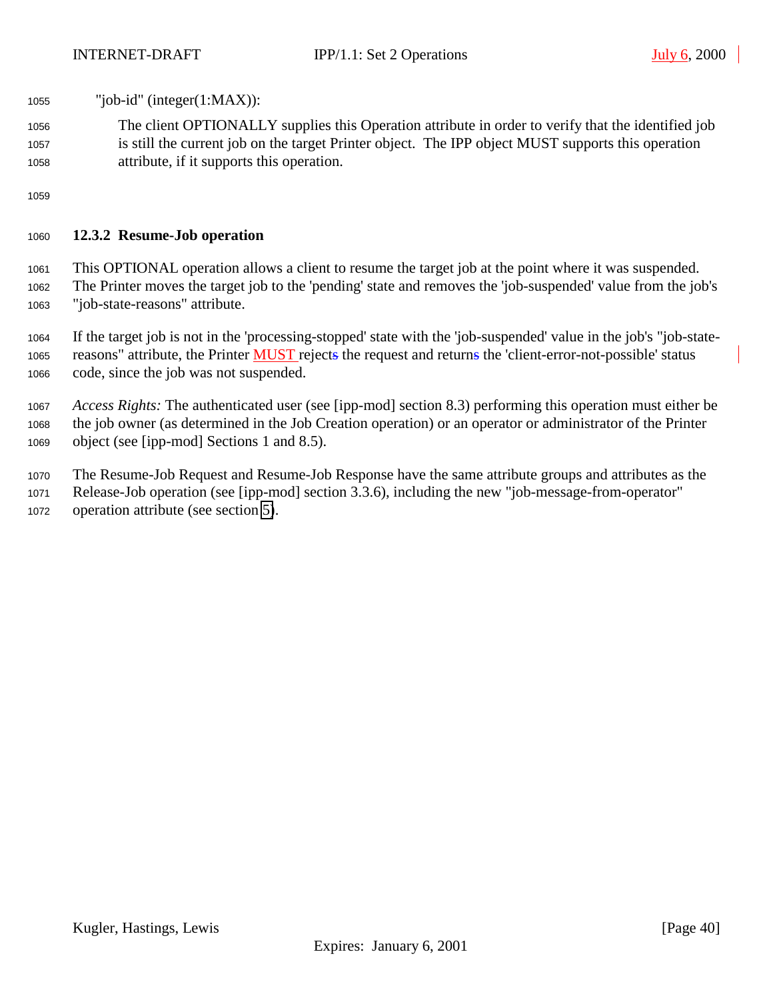- <span id="page-39-0"></span>"job-id" (integer(1:MAX)):
- The client OPTIONALLY supplies this Operation attribute in order to verify that the identified job is still the current job on the target Printer object. The IPP object MUST supports this operation attribute, if it supports this operation.

### **12.3.2 Resume-Job operation**

 This OPTIONAL operation allows a client to resume the target job at the point where it was suspended. The Printer moves the target job to the 'pending' state and removes the 'job-suspended' value from the job's "job-state-reasons" attribute.

 If the target job is not in the 'processing-stopped' state with the 'job-suspended' value in the job's "job-state-1065 reasons" attribute, the Printer MUST rejects the request and returns the 'client-error-not-possible' status code, since the job was not suspended.

 *Access Rights:* The authenticated user (see [ipp-mod] section 8.3) performing this operation must either be the job owner (as determined in the Job Creation operation) or an operator or administrator of the Printer object (see [ipp-mod] Sections 1 and 8.5).

 The Resume-Job Request and Resume-Job Response have the same attribute groups and attributes as the Release-Job operation (see [ipp-mod] section 3.3.6), including the new "job-message-from-operator" operation attribute (see section [5\)](#page-19-0).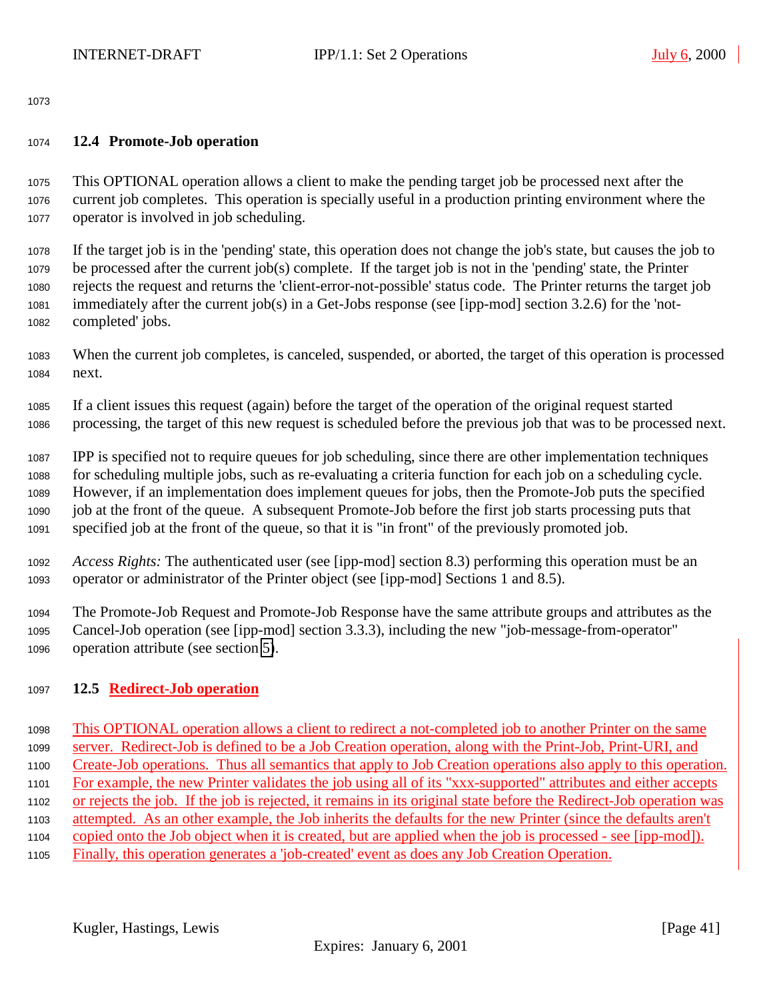#### <span id="page-40-0"></span>**12.4 Promote-Job operation**

 This OPTIONAL operation allows a client to make the pending target job be processed next after the current job completes. This operation is specially useful in a production printing environment where the operator is involved in job scheduling.

 If the target job is in the 'pending' state, this operation does not change the job's state, but causes the job to be processed after the current job(s) complete. If the target job is not in the 'pending' state, the Printer rejects the request and returns the 'client-error-not-possible' status code. The Printer returns the target job immediately after the current job(s) in a Get-Jobs response (see [ipp-mod] section 3.2.6) for the 'not-completed' jobs.

- When the current job completes, is canceled, suspended, or aborted, the target of this operation is processed next.
- If a client issues this request (again) before the target of the operation of the original request started processing, the target of this new request is scheduled before the previous job that was to be processed next.

 IPP is specified not to require queues for job scheduling, since there are other implementation techniques for scheduling multiple jobs, such as re-evaluating a criteria function for each job on a scheduling cycle. However, if an implementation does implement queues for jobs, then the Promote-Job puts the specified job at the front of the queue. A subsequent Promote-Job before the first job starts processing puts that specified job at the front of the queue, so that it is "in front" of the previously promoted job.

 *Access Rights:* The authenticated user (see [ipp-mod] section 8.3) performing this operation must be an operator or administrator of the Printer object (see [ipp-mod] Sections 1 and 8.5).

 The Promote-Job Request and Promote-Job Response have the same attribute groups and attributes as the Cancel-Job operation (see [ipp-mod] section 3.3.3), including the new "job-message-from-operator" operation attribute (see section [5\)](#page-19-0).

# **12.5 Redirect-Job operation**

 This OPTIONAL operation allows a client to redirect a not-completed job to another Printer on the same server. Redirect-Job is defined to be a Job Creation operation, along with the Print-Job, Print-URI, and Create-Job operations. Thus all semantics that apply to Job Creation operations also apply to this operation. For example, the new Printer validates the job using all of its "xxx-supported" attributes and either accepts or rejects the job. If the job is rejected, it remains in its original state before the Redirect-Job operation was attempted. As an other example, the Job inherits the defaults for the new Printer (since the defaults aren't copied onto the Job object when it is created, but are applied when the job is processed - see [ipp-mod]). Finally, this operation generates a 'job-created' event as does any Job Creation Operation.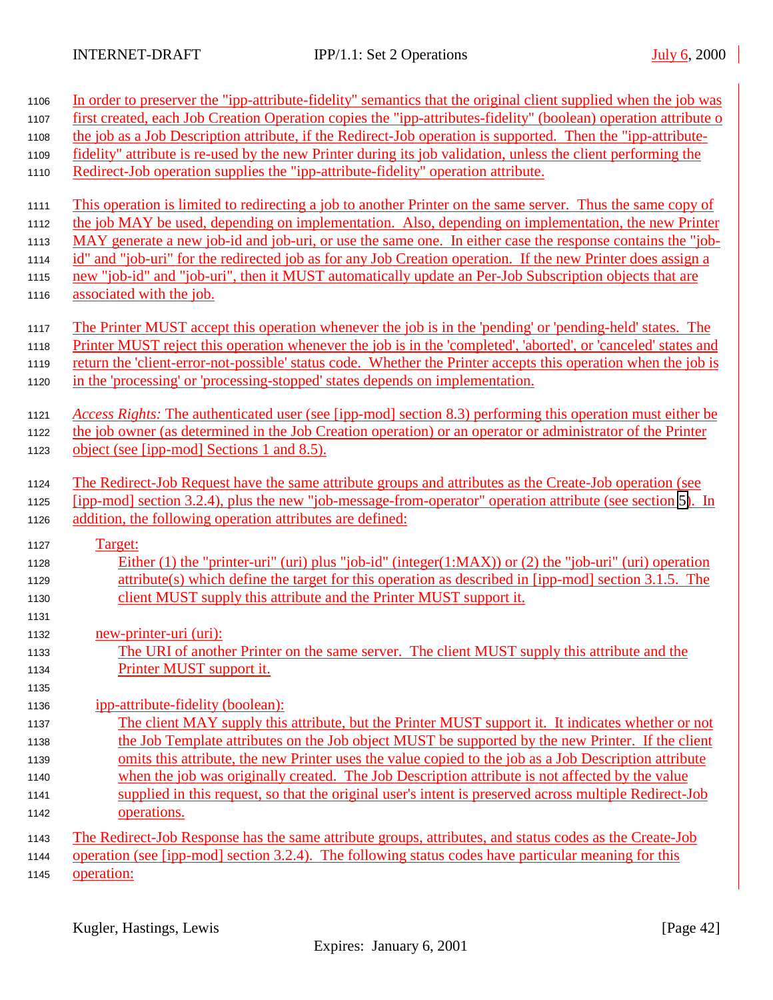| 1106         | In order to preserver the "ipp-attribute-fidelity" semantics that the original client supplied when the job was                    |
|--------------|------------------------------------------------------------------------------------------------------------------------------------|
| 1107         | first created, each Job Creation Operation copies the "ipp-attributes-fidelity" (boolean) operation attribute o                    |
| 1108         | the job as a Job Description attribute, if the Redirect-Job operation is supported. Then the "ipp-attribute-                       |
| 1109         | fidelity" attribute is re-used by the new Printer during its job validation, unless the client performing the                      |
| 1110         | Redirect-Job operation supplies the "ipp-attribute-fidelity" operation attribute.                                                  |
| 1111         | This operation is limited to redirecting a job to another Printer on the same server. Thus the same copy of                        |
| 1112         | the job MAY be used, depending on implementation. Also, depending on implementation, the new Printer                               |
| 1113         | MAY generate a new job-id and job-uri, or use the same one. In either case the response contains the "job-                         |
| 1114         | id" and "job-uri" for the redirected job as for any Job Creation operation. If the new Printer does assign a                       |
| 1115<br>1116 | new "job-id" and "job-uri", then it MUST automatically update an Per-Job Subscription objects that are<br>associated with the job. |
| 1117         | The Printer MUST accept this operation whenever the job is in the 'pending' or 'pending-held' states. The                          |
| 1118         | Printer MUST reject this operation whenever the job is in the 'completed', 'aborted', or 'canceled' states and                     |
| 1119         | return the 'client-error-not-possible' status code. Whether the Printer accepts this operation when the job is                     |
| 1120         | in the 'processing' or 'processing-stopped' states depends on implementation.                                                      |
| 1121         | Access Rights: The authenticated user (see [ipp-mod] section 8.3) performing this operation must either be                         |
| 1122         | the job owner (as determined in the Job Creation operation) or an operator or administrator of the Printer                         |
| 1123         | object (see [ipp-mod] Sections 1 and 8.5).                                                                                         |
| 1124         | The Redirect-Job Request have the same attribute groups and attributes as the Create-Job operation (see                            |
| 1125         | [ipp-mod] section 3.2.4), plus the new "job-message-from-operator" operation attribute (see section 5). In                         |
| 1126         | addition, the following operation attributes are defined:                                                                          |
| 1127         | Target:                                                                                                                            |
| 1128         | Either (1) the "printer-uri" (uri) plus "job-id" (integer(1:MAX)) or (2) the "job-uri" (uri) operation                             |
| 1129         | attribute(s) which define the target for this operation as described in [ipp-mod] section 3.1.5. The                               |
| 1130         | client MUST supply this attribute and the Printer MUST support it.                                                                 |
| 1131         |                                                                                                                                    |
| 1132         | new-printer-uri (uri):                                                                                                             |
| 1133         | The URI of another Printer on the same server. The client MUST supply this attribute and the                                       |
| 1134         | Printer MUST support it.                                                                                                           |
| 1135         |                                                                                                                                    |
| 1136         | ipp-attribute-fidelity (boolean):                                                                                                  |
| 1137         | The client MAY supply this attribute, but the Printer MUST support it. It indicates whether or not                                 |
| 1138         | the Job Template attributes on the Job object MUST be supported by the new Printer. If the client                                  |
| 1139         | omits this attribute, the new Printer uses the value copied to the job as a Job Description attribute                              |
| 1140         | when the job was originally created. The Job Description attribute is not affected by the value                                    |
| 1141         | supplied in this request, so that the original user's intent is preserved across multiple Redirect-Job                             |
| 1142         | operations.                                                                                                                        |
| 1143         | The Redirect-Job Response has the same attribute groups, attributes, and status codes as the Create-Job                            |
| 1144         | operation (see [ipp-mod] section 3.2.4). The following status codes have particular meaning for this                               |
| 1145         | operation:                                                                                                                         |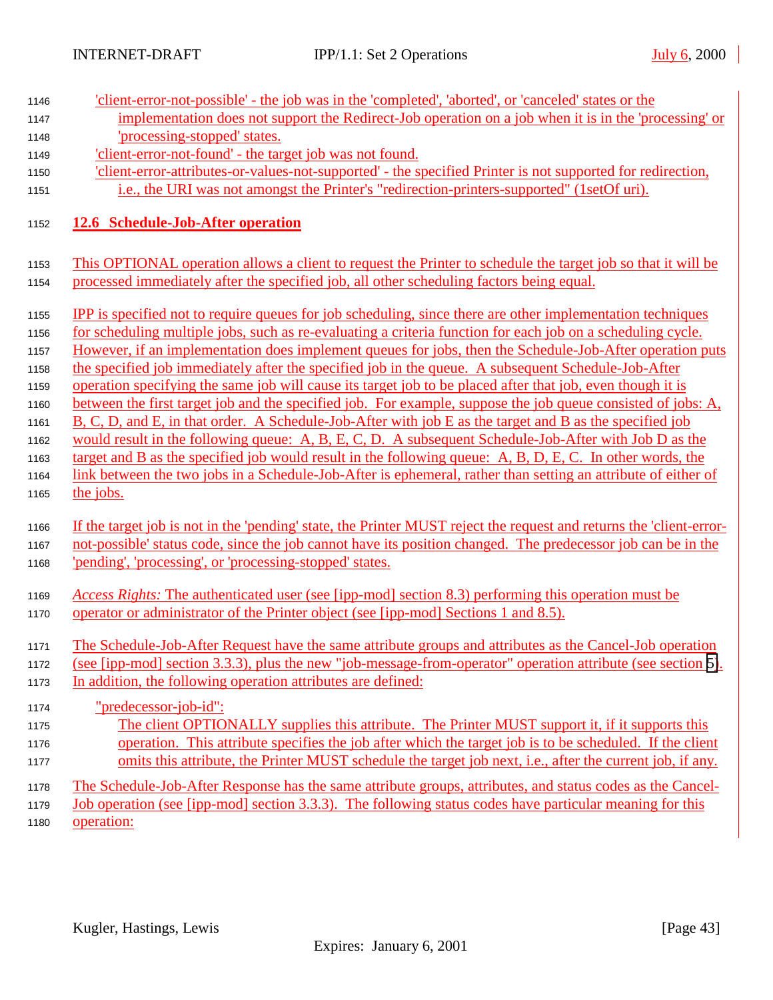| 1146                         | 'client-error-not-possible' - the job was in the 'completed', 'aborted', or 'canceled' states or the                                                                                                                                                                                                                                                                                                                                                |
|------------------------------|-----------------------------------------------------------------------------------------------------------------------------------------------------------------------------------------------------------------------------------------------------------------------------------------------------------------------------------------------------------------------------------------------------------------------------------------------------|
| 1147                         | implementation does not support the Redirect-Job operation on a job when it is in the 'processing' or                                                                                                                                                                                                                                                                                                                                               |
| 1148                         | 'processing-stopped' states.                                                                                                                                                                                                                                                                                                                                                                                                                        |
| 1149                         | 'client-error-not-found' - the target job was not found.                                                                                                                                                                                                                                                                                                                                                                                            |
| 1150                         | 'client-error-attributes-or-values-not-supported' - the specified Printer is not supported for redirection,                                                                                                                                                                                                                                                                                                                                         |
| 1151                         | i.e., the URI was not amongst the Printer's "redirection-printers-supported" (1setOf uri).                                                                                                                                                                                                                                                                                                                                                          |
| 1152                         | 12.6 Schedule-Job-After operation                                                                                                                                                                                                                                                                                                                                                                                                                   |
| 1153                         | This OPTIONAL operation allows a client to request the Printer to schedule the target job so that it will be                                                                                                                                                                                                                                                                                                                                        |
| 1154                         | processed immediately after the specified job, all other scheduling factors being equal.                                                                                                                                                                                                                                                                                                                                                            |
| 1155<br>1156<br>1157<br>1158 | <b>IPP</b> is specified not to require queues for job scheduling, since there are other implementation techniques<br>for scheduling multiple jobs, such as re-evaluating a criteria function for each job on a scheduling cycle.<br>However, if an implementation does implement queues for jobs, then the Schedule-Job-After operation puts<br>the specified job immediately after the specified job in the queue. A subsequent Schedule-Job-After |
| 1159                         | operation specifying the same job will cause its target job to be placed after that job, even though it is                                                                                                                                                                                                                                                                                                                                          |
| 1160                         | between the first target job and the specified job. For example, suppose the job queue consisted of jobs: A,                                                                                                                                                                                                                                                                                                                                        |
| 1161                         | B, C, D, and E, in that order. A Schedule-Job-After with job E as the target and B as the specified job                                                                                                                                                                                                                                                                                                                                             |
| 1162                         | would result in the following queue: A, B, E, C, D. A subsequent Schedule-Job-After with Job D as the                                                                                                                                                                                                                                                                                                                                               |
| 1163                         | target and B as the specified job would result in the following queue: A, B, D, E, C. In other words, the                                                                                                                                                                                                                                                                                                                                           |
| 1164                         | link between the two jobs in a Schedule-Job-After is ephemeral, rather than setting an attribute of either of<br>the jobs.                                                                                                                                                                                                                                                                                                                          |
| 1165                         |                                                                                                                                                                                                                                                                                                                                                                                                                                                     |
| 1166                         | If the target job is not in the 'pending' state, the Printer MUST reject the request and returns the 'client-error-                                                                                                                                                                                                                                                                                                                                 |
| 1167                         | not-possible' status code, since the job cannot have its position changed. The predecessor job can be in the                                                                                                                                                                                                                                                                                                                                        |
| 1168                         | 'pending', 'processing', or 'processing-stopped' states.                                                                                                                                                                                                                                                                                                                                                                                            |
| 1169<br>1170                 | Access Rights: The authenticated user (see [ipp-mod] section 8.3) performing this operation must be<br>operator or administrator of the Printer object (see [ipp-mod] Sections 1 and 8.5).                                                                                                                                                                                                                                                          |
| 1171                         | The Schedule-Job-After Request have the same attribute groups and attributes as the Cancel-Job operation                                                                                                                                                                                                                                                                                                                                            |
| 1172                         | (see [ipp-mod] section 3.3.3), plus the new "job-message-from-operator" operation attribute (see section 5).                                                                                                                                                                                                                                                                                                                                        |
| 1173                         | In addition, the following operation attributes are defined:                                                                                                                                                                                                                                                                                                                                                                                        |
| 1174                         | "predecessor-job-id":                                                                                                                                                                                                                                                                                                                                                                                                                               |
| 1175                         | The client OPTIONALLY supplies this attribute. The Printer MUST support it, if it supports this                                                                                                                                                                                                                                                                                                                                                     |
| 1176                         | operation. This attribute specifies the job after which the target job is to be scheduled. If the client                                                                                                                                                                                                                                                                                                                                            |
| 1177                         | omits this attribute, the Printer MUST schedule the target job next, i.e., after the current job, if any.                                                                                                                                                                                                                                                                                                                                           |
|                              |                                                                                                                                                                                                                                                                                                                                                                                                                                                     |
| 1178                         | The Schedule-Job-After Response has the same attribute groups, attributes, and status codes as the Cancel-                                                                                                                                                                                                                                                                                                                                          |
| 1179                         | <u>Job operation (see [ipp-mod] section 3.3.3). The following status codes have particular meaning for this</u>                                                                                                                                                                                                                                                                                                                                     |
| 1180                         | operation:                                                                                                                                                                                                                                                                                                                                                                                                                                          |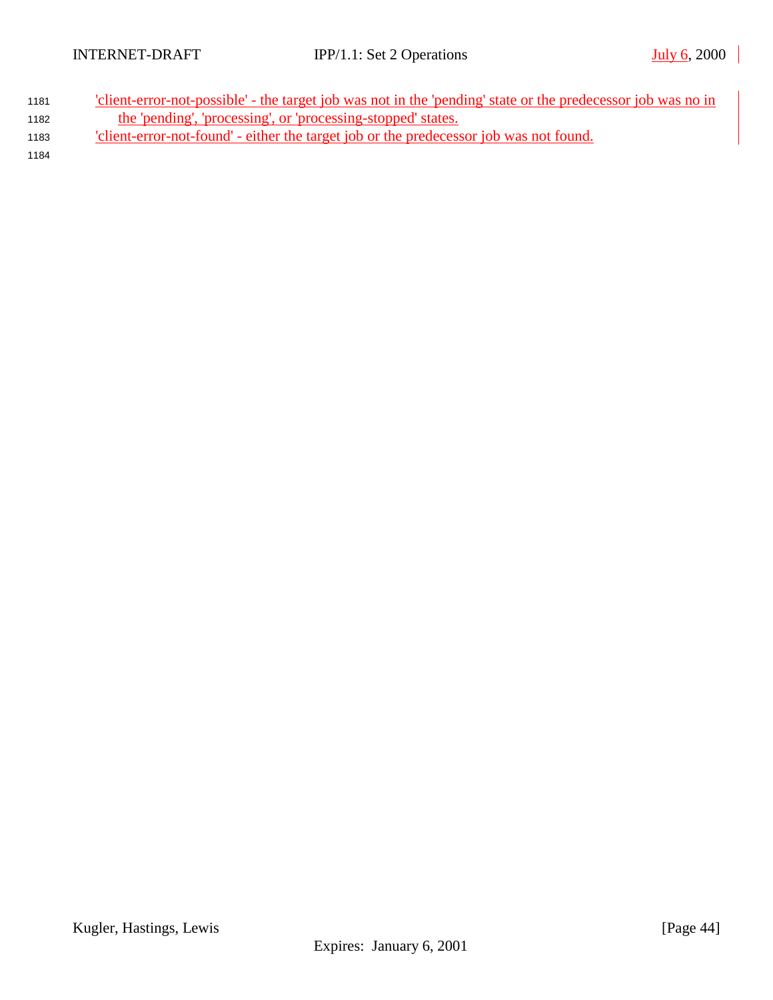| 1181 | 'client-error-not-possible' - the target job was not in the 'pending' state or the predecessor job was no in |
|------|--------------------------------------------------------------------------------------------------------------|
| 1182 | the 'pending', 'processing', or 'processing-stopped' states.                                                 |
| 1183 | 'client-error-not-found' - either the target job or the predecessor job was not found.                       |
| 1181 |                                                                                                              |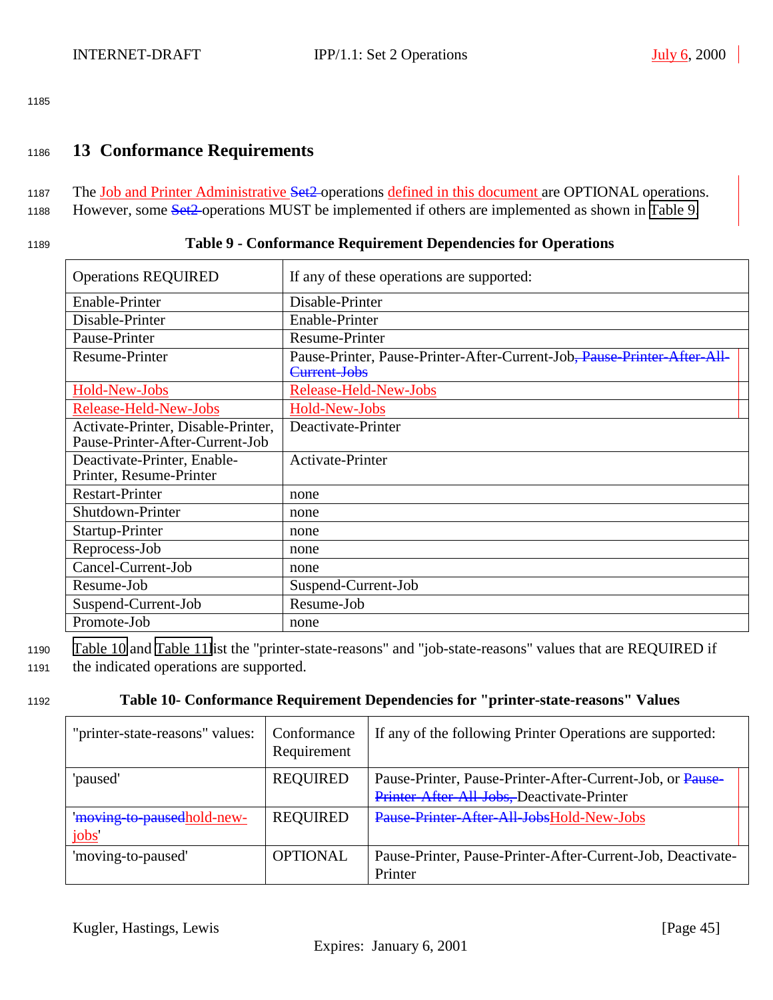# <span id="page-44-0"></span><sup>1186</sup> **13 Conformance Requirements**

- 1187 The Job and Printer Administrative Set<sub>2</sub> operations defined in this document are OPTIONAL operations.
- 1188 However, some Set2 operations MUST be implemented if others are implemented as shown in Table 9.

#### <sup>1189</sup> **Table 9 - Conformance Requirement Dependencies for Operations**

| <b>Operations REQUIRED</b>                                            | If any of these operations are supported:                                                |
|-----------------------------------------------------------------------|------------------------------------------------------------------------------------------|
| Enable-Printer                                                        | Disable-Printer                                                                          |
| Disable-Printer                                                       | Enable-Printer                                                                           |
| Pause-Printer                                                         | Resume-Printer                                                                           |
| Resume-Printer                                                        | Pause-Printer, Pause-Printer-After-Current-Job, Pause-Printer-After-All-<br>Current-Jobs |
| Hold-New-Jobs                                                         | Release-Held-New-Jobs                                                                    |
| Release-Held-New-Jobs                                                 | Hold-New-Jobs                                                                            |
| Activate-Printer, Disable-Printer,<br>Pause-Printer-After-Current-Job | Deactivate-Printer                                                                       |
| Deactivate-Printer, Enable-<br>Printer, Resume-Printer                | <b>Activate-Printer</b>                                                                  |
| <b>Restart-Printer</b>                                                | none                                                                                     |
| Shutdown-Printer                                                      | none                                                                                     |
| Startup-Printer                                                       | none                                                                                     |
| Reprocess-Job                                                         | none                                                                                     |
| Cancel-Current-Job                                                    | none                                                                                     |
| Resume-Job                                                            | Suspend-Current-Job                                                                      |
| Suspend-Current-Job                                                   | Resume-Job                                                                               |
| Promote-Job                                                           | none                                                                                     |

<sup>1190</sup> Table 10 and [Table 11l](#page-45-0)ist the "printer-state-reasons" and "job-state-reasons" values that are REQUIRED if <sup>1191</sup> the indicated operations are supported.

#### <sup>1192</sup> **Table 10- Conformance Requirement Dependencies for "printer-state-reasons" Values**

| "printer-state-reasons" values:    | Conformance<br>Requirement | If any of the following Printer Operations are supported:                                               |
|------------------------------------|----------------------------|---------------------------------------------------------------------------------------------------------|
| 'paused'                           | <b>REQUIRED</b>            | Pause-Printer, Pause-Printer-After-Current-Job, or Pause-<br>Printer-After-All-Jobs, Deactivate-Printer |
| 'moving-to-pausedhold-new-<br>jobs | <b>REQUIRED</b>            | Pause-Printer-After-All-JobsHold-New-Jobs                                                               |
| 'moving-to-paused'                 | <b>OPTIONAL</b>            | Pause-Printer, Pause-Printer-After-Current-Job, Deactivate-<br>Printer                                  |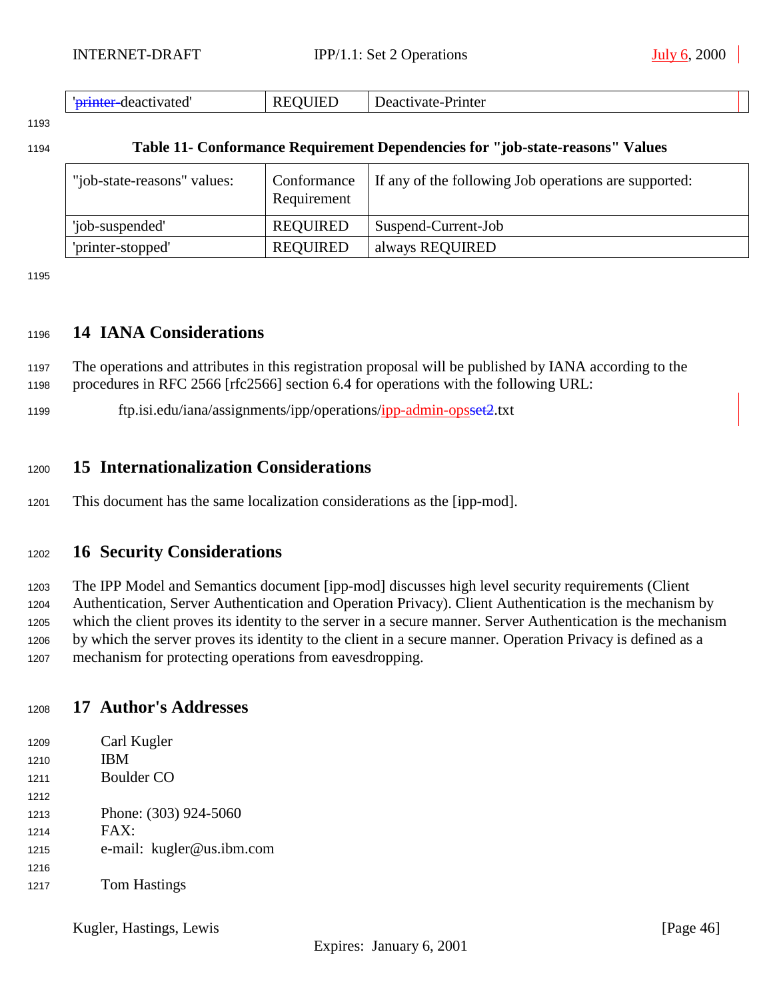<span id="page-45-0"></span>

| -deactivated | ПF<br>וט<br>ĸ<br>,,,,,<br>. | Deactivate-<br>e-Printer |  |
|--------------|-----------------------------|--------------------------|--|
|--------------|-----------------------------|--------------------------|--|

#### **Table 11- Conformance Requirement Dependencies for "job-state-reasons" Values**

| "job-state-reasons" values: | Conformance<br>Requirement | If any of the following Job operations are supported: |
|-----------------------------|----------------------------|-------------------------------------------------------|
| 'job-suspended'             | <b>REQUIRED</b>            | Suspend-Current-Job                                   |
| 'printer-stopped'           | <b>REQUIRED</b>            | always REQUIRED                                       |

# **14 IANA Considerations**

 The operations and attributes in this registration proposal will be published by IANA according to the procedures in RFC 2566 [rfc2566] section 6.4 for operations with the following URL:

ftp.isi.edu/iana/assignments/ipp/operations/ipp-admin-opsset2.txt

# **15 Internationalization Considerations**

This document has the same localization considerations as the [ipp-mod].

# **16 Security Considerations**

 The IPP Model and Semantics document [ipp-mod] discusses high level security requirements (Client Authentication, Server Authentication and Operation Privacy). Client Authentication is the mechanism by which the client proves its identity to the server in a secure manner. Server Authentication is the mechanism by which the server proves its identity to the client in a secure manner. Operation Privacy is defined as a mechanism for protecting operations from eavesdropping.

# **17 Author's Addresses**

| 1209 | Carl Kugler               |
|------|---------------------------|
| 1210 | <b>IBM</b>                |
| 1211 | Boulder CO                |
| 1212 |                           |
| 1213 | Phone: (303) 924-5060     |
| 1214 | FAX:                      |
| 1215 | e-mail: kugler@us.ibm.com |
| 1216 |                           |
| 1217 | <b>Tom Hastings</b>       |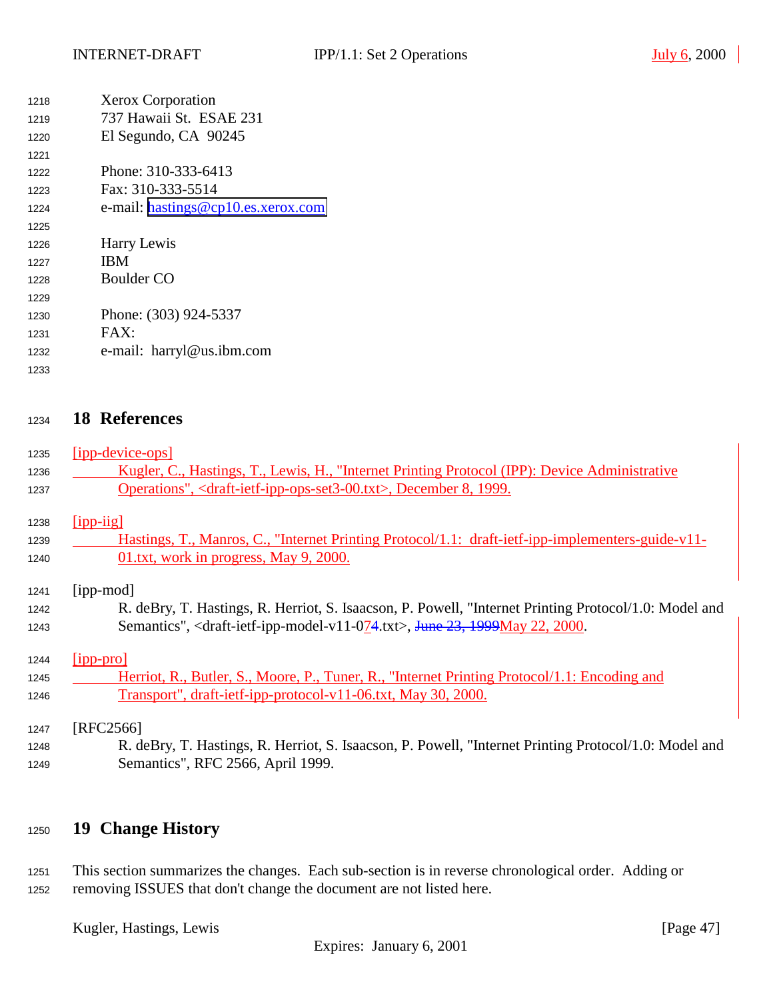<span id="page-46-0"></span>

| 1218 | <b>Xerox Corporation</b>           |
|------|------------------------------------|
| 1219 | 737 Hawaii St. ESAE 231            |
| 1220 | El Segundo, CA 90245               |
| 1221 |                                    |
| 1222 | Phone: 310-333-6413                |
| 1223 | Fax: $310-333-5514$                |
| 1224 | e-mail: hastings@cp10.es.xerox.com |
| 1225 |                                    |
| 1226 | Harry Lewis                        |
| 1227 | <b>IBM</b>                         |
| 1228 | Boulder CO                         |
| 1229 |                                    |
| 1230 | Phone: (303) 924-5337              |
| 1231 | $FAX^.$                            |
| 1232 | e-mail: harryl@us.ibm.com          |
| 1233 |                                    |

# **18 References**

 [ipp-device-ops] 1236 Kugler, C., Hastings, T., Lewis, H., "Internet Printing Protocol (IPP): Device Administrative Operations", <draft-ietf-ipp-ops-set3-00.txt>, December 8, 1999.

[ipp-iig]

- Hastings, T., Manros, C., "Internet Printing Protocol/1.1: draft-ietf-ipp-implementers-guide-v11- 01.txt, work in progress, May 9, 2000.
- [ipp-mod]
- R. deBry, T. Hastings, R. Herriot, S. Isaacson, P. Powell, "Internet Printing Protocol/1.0: Model and 1243 Semantics", <draft-ietf-ipp-model-v11-074.txt>, June 23, 1999May 22, 2000.

[ipp-pro]

1245 Herriot, R., Butler, S., Moore, P., Tuner, R., "Internet Printing Protocol/1.1: Encoding and Transport", draft-ietf-ipp-protocol-v11-06.txt, May 30, 2000.

#### [RFC2566]

 R. deBry, T. Hastings, R. Herriot, S. Isaacson, P. Powell, "Internet Printing Protocol/1.0: Model and Semantics", RFC 2566, April 1999.

# **19 Change History**

 This section summarizes the changes. Each sub-section is in reverse chronological order. Adding or removing ISSUES that don't change the document are not listed here.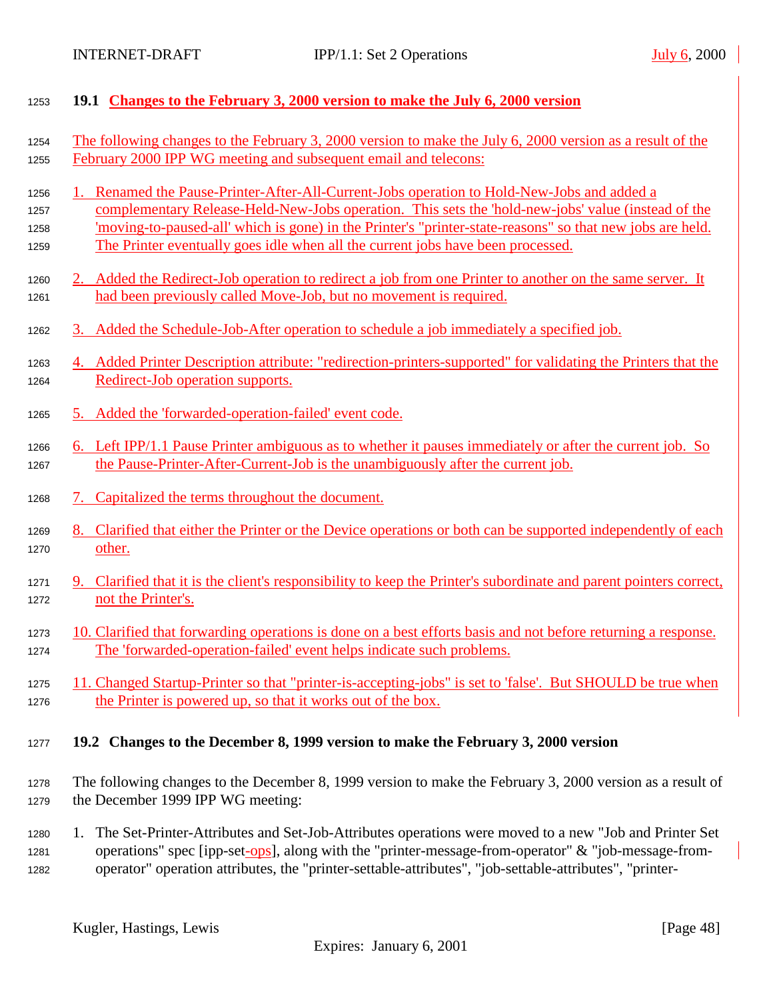<span id="page-47-0"></span>

| 1253                 | 19.1 Changes to the February 3, 2000 version to make the July 6, 2000 version                                                                                                                                                                                                                                                 |
|----------------------|-------------------------------------------------------------------------------------------------------------------------------------------------------------------------------------------------------------------------------------------------------------------------------------------------------------------------------|
| 1254                 | The following changes to the February 3, 2000 version to make the July 6, 2000 version as a result of the                                                                                                                                                                                                                     |
| 1255                 | February 2000 IPP WG meeting and subsequent email and telecons:                                                                                                                                                                                                                                                               |
| 1256                 | Renamed the Pause-Printer-After-All-Current-Jobs operation to Hold-New-Jobs and added a                                                                                                                                                                                                                                       |
| 1257                 | complementary Release-Held-New-Jobs operation. This sets the 'hold-new-jobs' value (instead of the                                                                                                                                                                                                                            |
| 1258                 | 'moving-to-paused-all' which is gone) in the Printer's "printer-state-reasons" so that new jobs are held.                                                                                                                                                                                                                     |
| 1259                 | The Printer eventually goes idle when all the current jobs have been processed.                                                                                                                                                                                                                                               |
| 1260                 | 2. Added the Redirect-Job operation to redirect a job from one Printer to another on the same server. It                                                                                                                                                                                                                      |
| 1261                 | had been previously called Move-Job, but no movement is required.                                                                                                                                                                                                                                                             |
| 1262                 | 3. Added the Schedule-Job-After operation to schedule a job immediately a specified job.                                                                                                                                                                                                                                      |
| 1263                 | 4. Added Printer Description attribute: "redirection-printers-supported" for validating the Printers that the                                                                                                                                                                                                                 |
| 1264                 | Redirect-Job operation supports.                                                                                                                                                                                                                                                                                              |
| 1265                 | 5. Added the 'forwarded-operation-failed' event code.                                                                                                                                                                                                                                                                         |
| 1266                 | 6. Left IPP/1.1 Pause Printer ambiguous as to whether it pauses immediately or after the current job. So                                                                                                                                                                                                                      |
| 1267                 | the Pause-Printer-After-Current-Job is the unambiguously after the current job.                                                                                                                                                                                                                                               |
| 1268                 | 7. Capitalized the terms throughout the document.                                                                                                                                                                                                                                                                             |
| 1269                 | 8. Clarified that either the Printer or the Device operations or both can be supported independently of each                                                                                                                                                                                                                  |
| 1270                 | other.                                                                                                                                                                                                                                                                                                                        |
| 1271                 | 9. Clarified that it is the client's responsibility to keep the Printer's subordinate and parent pointers correct,                                                                                                                                                                                                            |
| 1272                 | not the Printer's.                                                                                                                                                                                                                                                                                                            |
| 1273                 | 10. Clarified that forwarding operations is done on a best efforts basis and not before returning a response.                                                                                                                                                                                                                 |
| 1274                 | The 'forwarded-operation-failed' event helps indicate such problems.                                                                                                                                                                                                                                                          |
| 1275                 | 11. Changed Startup-Printer so that "printer-is-accepting-jobs" is set to 'false'. But SHOULD be true when                                                                                                                                                                                                                    |
| 1276                 | the Printer is powered up, so that it works out of the box.                                                                                                                                                                                                                                                                   |
| 1277                 | 19.2 Changes to the December 8, 1999 version to make the February 3, 2000 version                                                                                                                                                                                                                                             |
| 1278                 | The following changes to the December 8, 1999 version to make the February 3, 2000 version as a result of                                                                                                                                                                                                                     |
| 1279                 | the December 1999 IPP WG meeting:                                                                                                                                                                                                                                                                                             |
| 1280<br>1281<br>1282 | The Set-Printer-Attributes and Set-Job-Attributes operations were moved to a new "Job and Printer Set<br>1.<br>operations" spec [ipp-set-ops], along with the "printer-message-from-operator" & "job-message-from-<br>operator" operation attributes, the "printer-settable-attributes", "job-settable-attributes", "printer- |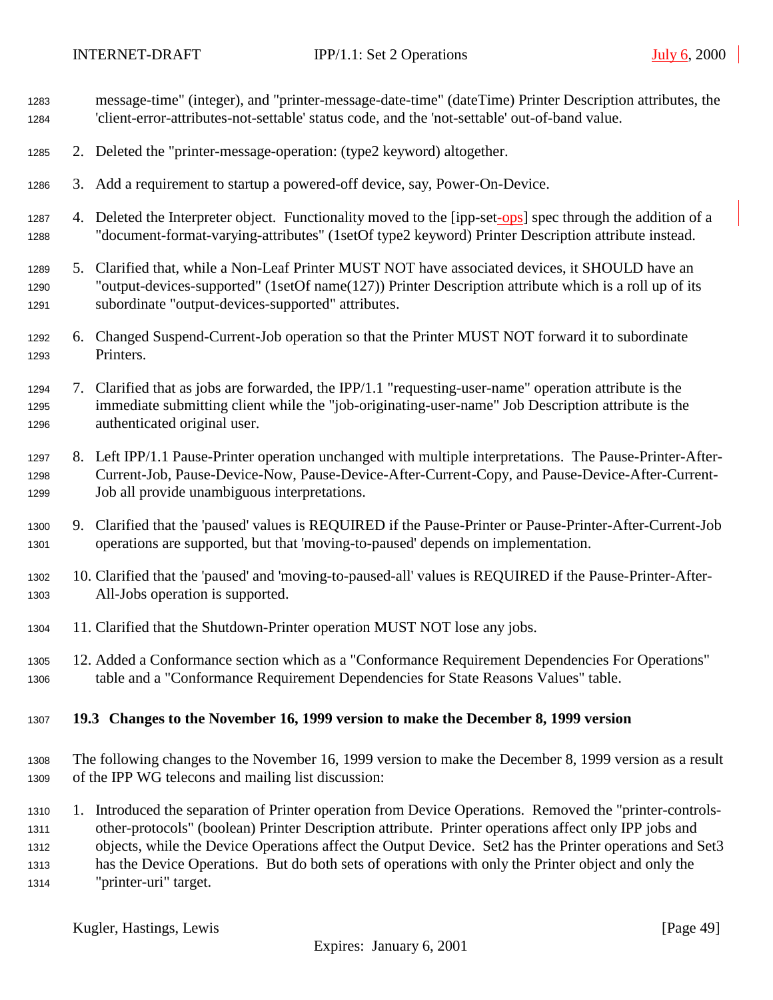<span id="page-48-0"></span>

| 1283<br>1284                         | message-time" (integer), and "printer-message-date-time" (dateTime) Printer Description attributes, the<br>'client-error-attributes-not-settable' status code, and the 'not-settable' out-of-band value.                                                                                                                                                                                                                                                     |
|--------------------------------------|--------------------------------------------------------------------------------------------------------------------------------------------------------------------------------------------------------------------------------------------------------------------------------------------------------------------------------------------------------------------------------------------------------------------------------------------------------------|
| 1285                                 | 2. Deleted the "printer-message-operation: (type2 keyword) altogether.                                                                                                                                                                                                                                                                                                                                                                                       |
| 1286                                 | 3. Add a requirement to startup a powered-off device, say, Power-On-Device.                                                                                                                                                                                                                                                                                                                                                                                  |
| 1287<br>1288                         | 4. Deleted the Interpreter object. Functionality moved to the [ipp-set-ops] spec through the addition of a<br>"document-format-varying-attributes" (1setOf type2 keyword) Printer Description attribute instead.                                                                                                                                                                                                                                             |
| 1289<br>1290<br>1291                 | 5. Clarified that, while a Non-Leaf Printer MUST NOT have associated devices, it SHOULD have an<br>"output-devices-supported" (1setOf name(127)) Printer Description attribute which is a roll up of its<br>subordinate "output-devices-supported" attributes.                                                                                                                                                                                               |
| 1292<br>1293                         | 6. Changed Suspend-Current-Job operation so that the Printer MUST NOT forward it to subordinate<br>Printers.                                                                                                                                                                                                                                                                                                                                                 |
| 1294<br>1295<br>1296                 | 7. Clarified that as jobs are forwarded, the IPP/1.1 "requesting-user-name" operation attribute is the<br>immediate submitting client while the "job-originating-user-name" Job Description attribute is the<br>authenticated original user.                                                                                                                                                                                                                 |
| 1297<br>1298<br>1299                 | 8. Left IPP/1.1 Pause-Printer operation unchanged with multiple interpretations. The Pause-Printer-After-<br>Current-Job, Pause-Device-Now, Pause-Device-After-Current-Copy, and Pause-Device-After-Current-<br>Job all provide unambiguous interpretations.                                                                                                                                                                                                 |
| 1300<br>1301                         | 9. Clarified that the 'paused' values is REQUIRED if the Pause-Printer or Pause-Printer-After-Current-Job<br>operations are supported, but that 'moving-to-paused' depends on implementation.                                                                                                                                                                                                                                                                |
| 1302<br>1303                         | 10. Clarified that the 'paused' and 'moving-to-paused-all' values is REQUIRED if the Pause-Printer-After-<br>All-Jobs operation is supported.                                                                                                                                                                                                                                                                                                                |
| 1304                                 | 11. Clarified that the Shutdown-Printer operation MUST NOT lose any jobs.                                                                                                                                                                                                                                                                                                                                                                                    |
| 1305<br>1306                         | 12. Added a Conformance section which as a "Conformance Requirement Dependencies For Operations"<br>table and a "Conformance Requirement Dependencies for State Reasons Values" table.                                                                                                                                                                                                                                                                       |
| 1307                                 | 19.3 Changes to the November 16, 1999 version to make the December 8, 1999 version                                                                                                                                                                                                                                                                                                                                                                           |
| 1308<br>1309                         | The following changes to the November 16, 1999 version to make the December 8, 1999 version as a result<br>of the IPP WG telecons and mailing list discussion:                                                                                                                                                                                                                                                                                               |
| 1310<br>1311<br>1312<br>1313<br>1314 | 1. Introduced the separation of Printer operation from Device Operations. Removed the "printer-controls-<br>other-protocols" (boolean) Printer Description attribute. Printer operations affect only IPP jobs and<br>objects, while the Device Operations affect the Output Device. Set2 has the Printer operations and Set3<br>has the Device Operations. But do both sets of operations with only the Printer object and only the<br>"printer-uri" target. |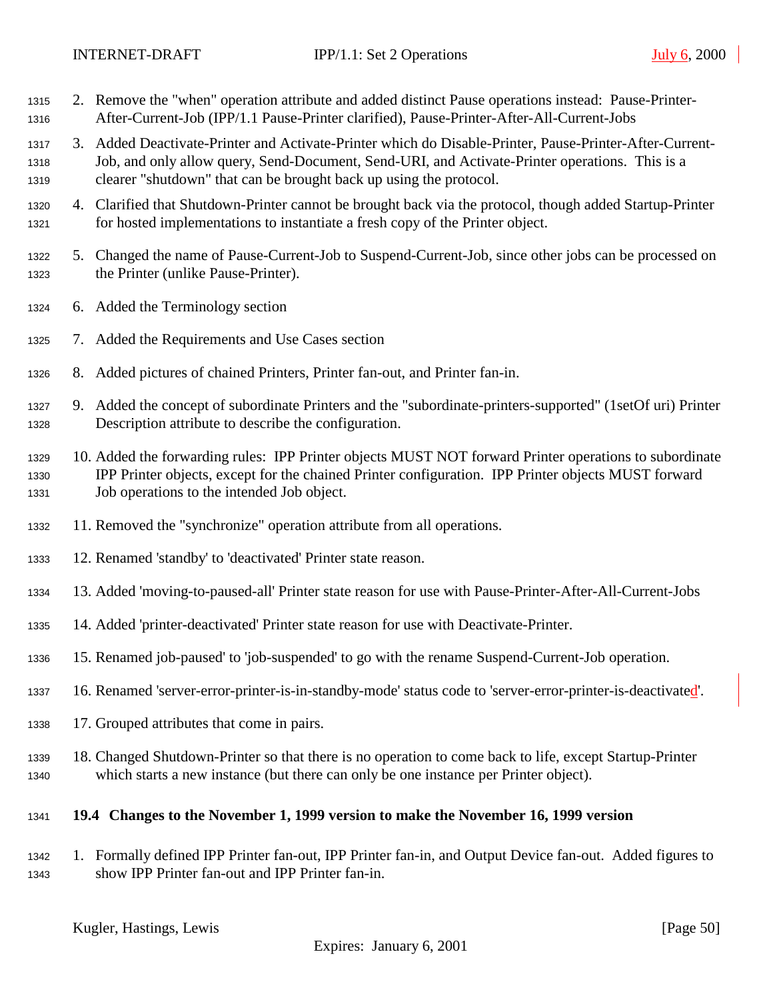- <span id="page-49-0"></span> 2. Remove the "when" operation attribute and added distinct Pause operations instead: Pause-Printer-After-Current-Job (IPP/1.1 Pause-Printer clarified), Pause-Printer-After-All-Current-Jobs
- 3. Added Deactivate-Printer and Activate-Printer which do Disable-Printer, Pause-Printer-After-Current- Job, and only allow query, Send-Document, Send-URI, and Activate-Printer operations. This is a clearer "shutdown" that can be brought back up using the protocol.
- 4. Clarified that Shutdown-Printer cannot be brought back via the protocol, though added Startup-Printer for hosted implementations to instantiate a fresh copy of the Printer object.
- 5. Changed the name of Pause-Current-Job to Suspend-Current-Job, since other jobs can be processed on the Printer (unlike Pause-Printer).
- 6. Added the Terminology section
- 7. Added the Requirements and Use Cases section
- 8. Added pictures of chained Printers, Printer fan-out, and Printer fan-in.
- 9. Added the concept of subordinate Printers and the "subordinate-printers-supported" (1setOf uri) Printer Description attribute to describe the configuration.
- 10. Added the forwarding rules: IPP Printer objects MUST NOT forward Printer operations to subordinate IPP Printer objects, except for the chained Printer configuration. IPP Printer objects MUST forward Job operations to the intended Job object.
- 11. Removed the "synchronize" operation attribute from all operations.
- 12. Renamed 'standby' to 'deactivated' Printer state reason.
- 13. Added 'moving-to-paused-all' Printer state reason for use with Pause-Printer-After-All-Current-Jobs
- 14. Added 'printer-deactivated' Printer state reason for use with Deactivate-Printer.
- 15. Renamed job-paused' to 'job-suspended' to go with the rename Suspend-Current-Job operation.
- 16. Renamed 'server-error-printer-is-in-standby-mode' status code to 'server-error-printer-is-deactivated'.
- 17. Grouped attributes that come in pairs.
- 18. Changed Shutdown-Printer so that there is no operation to come back to life, except Startup-Printer which starts a new instance (but there can only be one instance per Printer object).

#### **19.4 Changes to the November 1, 1999 version to make the November 16, 1999 version**

 1. Formally defined IPP Printer fan-out, IPP Printer fan-in, and Output Device fan-out. Added figures to show IPP Printer fan-out and IPP Printer fan-in.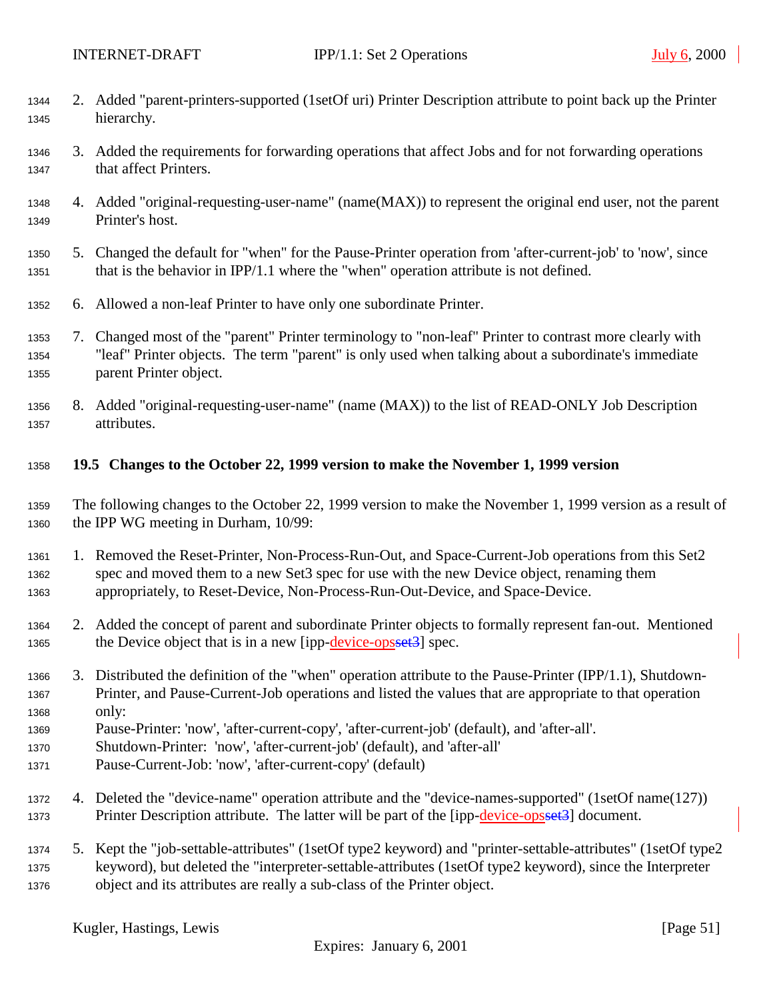- <span id="page-50-0"></span> 2. Added "parent-printers-supported (1setOf uri) Printer Description attribute to point back up the Printer hierarchy.
- 3. Added the requirements for forwarding operations that affect Jobs and for not forwarding operations that affect Printers.
- 4. Added "original-requesting-user-name" (name(MAX)) to represent the original end user, not the parent Printer's host.
- 5. Changed the default for "when" for the Pause-Printer operation from 'after-current-job' to 'now', since that is the behavior in IPP/1.1 where the "when" operation attribute is not defined.
- 6. Allowed a non-leaf Printer to have only one subordinate Printer.
- 7. Changed most of the "parent" Printer terminology to "non-leaf" Printer to contrast more clearly with "leaf" Printer objects. The term "parent" is only used when talking about a subordinate's immediate parent Printer object.
- 8. Added "original-requesting-user-name" (name (MAX)) to the list of READ-ONLY Job Description attributes.
- **19.5 Changes to the October 22, 1999 version to make the November 1, 1999 version**
- The following changes to the October 22, 1999 version to make the November 1, 1999 version as a result of the IPP WG meeting in Durham, 10/99:
- 1. Removed the Reset-Printer, Non-Process-Run-Out, and Space-Current-Job operations from this Set2 spec and moved them to a new Set3 spec for use with the new Device object, renaming them appropriately, to Reset-Device, Non-Process-Run-Out-Device, and Space-Device.
- 2. Added the concept of parent and subordinate Printer objects to formally represent fan-out. Mentioned 1365 the Device object that is in a new [ipp-device-opsset3] spec.
- 3. Distributed the definition of the "when" operation attribute to the Pause-Printer (IPP/1.1), Shutdown- Printer, and Pause-Current-Job operations and listed the values that are appropriate to that operation only:
- Pause-Printer: 'now', 'after-current-copy', 'after-current-job' (default), and 'after-all'.
- Shutdown-Printer: 'now', 'after-current-job' (default), and 'after-all'
- Pause-Current-Job: 'now', 'after-current-copy' (default)
- 4. Deleted the "device-name" operation attribute and the "device-names-supported" (1setOf name(127)) 1373 Printer Description attribute. The latter will be part of the [ipp-device-opsset3] document.
- 5. Kept the "job-settable-attributes" (1setOf type2 keyword) and "printer-settable-attributes" (1setOf type2 keyword), but deleted the "interpreter-settable-attributes (1setOf type2 keyword), since the Interpreter object and its attributes are really a sub-class of the Printer object.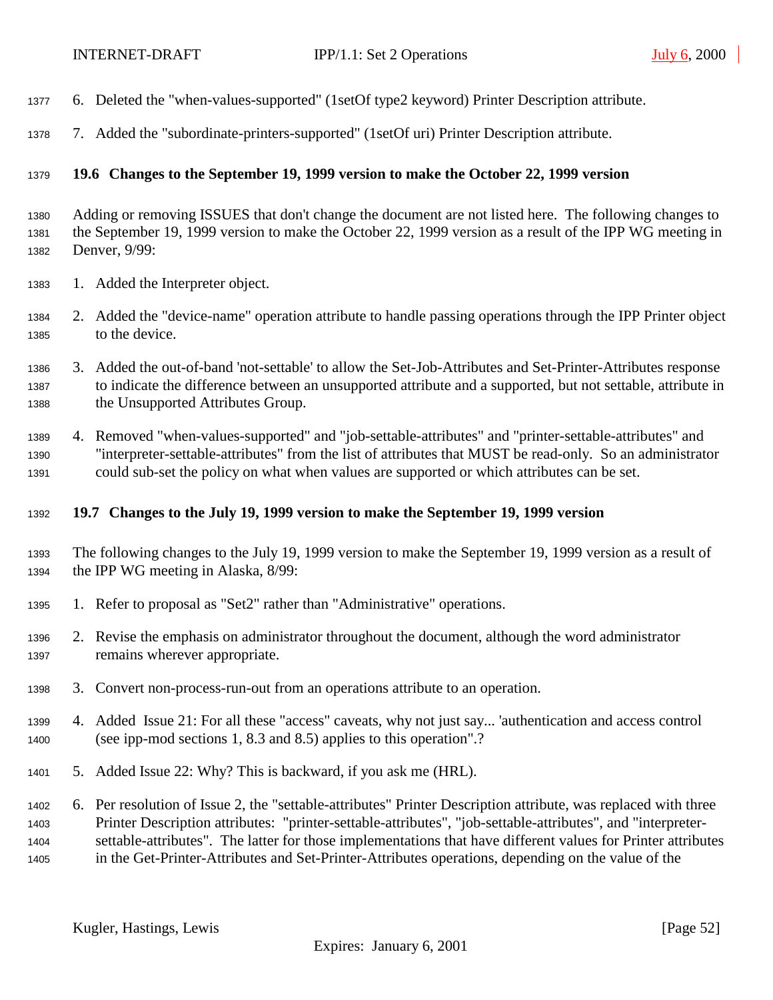- <span id="page-51-0"></span>6. Deleted the "when-values-supported" (1setOf type2 keyword) Printer Description attribute.
- 7. Added the "subordinate-printers-supported" (1setOf uri) Printer Description attribute.

#### **19.6 Changes to the September 19, 1999 version to make the October 22, 1999 version**

 Adding or removing ISSUES that don't change the document are not listed here. The following changes to the September 19, 1999 version to make the October 22, 1999 version as a result of the IPP WG meeting in Denver, 9/99:

- 1. Added the Interpreter object.
- 2. Added the "device-name" operation attribute to handle passing operations through the IPP Printer object to the device.
- 3. Added the out-of-band 'not-settable' to allow the Set-Job-Attributes and Set-Printer-Attributes response to indicate the difference between an unsupported attribute and a supported, but not settable, attribute in the Unsupported Attributes Group.
- 4. Removed "when-values-supported" and "job-settable-attributes" and "printer-settable-attributes" and "interpreter-settable-attributes" from the list of attributes that MUST be read-only. So an administrator could sub-set the policy on what when values are supported or which attributes can be set.

#### **19.7 Changes to the July 19, 1999 version to make the September 19, 1999 version**

- The following changes to the July 19, 1999 version to make the September 19, 1999 version as a result of the IPP WG meeting in Alaska, 8/99:
- 1. Refer to proposal as "Set2" rather than "Administrative" operations.
- 2. Revise the emphasis on administrator throughout the document, although the word administrator remains wherever appropriate.
- 3. Convert non-process-run-out from an operations attribute to an operation.
- 4. Added Issue 21: For all these "access" caveats, why not just say... 'authentication and access control (see ipp-mod sections 1, 8.3 and 8.5) applies to this operation".?
- 5. Added Issue 22: Why? This is backward, if you ask me (HRL).
- 6. Per resolution of Issue 2, the "settable-attributes" Printer Description attribute, was replaced with three Printer Description attributes: "printer-settable-attributes", "job-settable-attributes", and "interpreter- settable-attributes". The latter for those implementations that have different values for Printer attributes in the Get-Printer-Attributes and Set-Printer-Attributes operations, depending on the value of the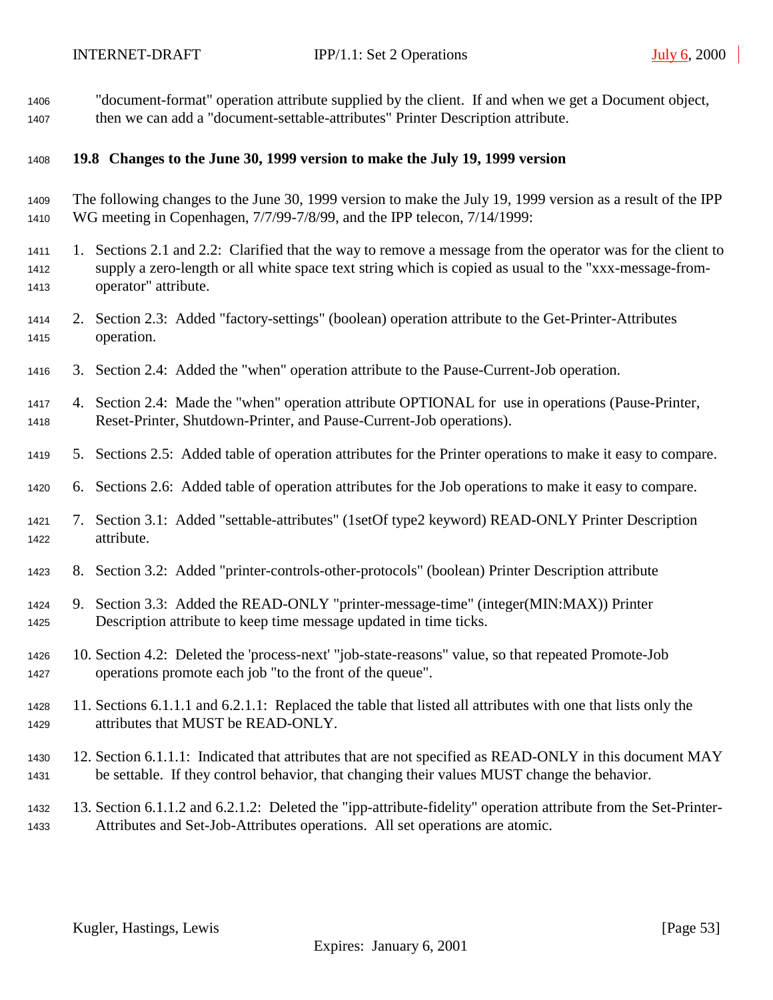<span id="page-52-0"></span> "document-format" operation attribute supplied by the client. If and when we get a Document object, then we can add a "document-settable-attributes" Printer Description attribute.

#### **19.8 Changes to the June 30, 1999 version to make the July 19, 1999 version**

- The following changes to the June 30, 1999 version to make the July 19, 1999 version as a result of the IPP WG meeting in Copenhagen, 7/7/99-7/8/99, and the IPP telecon, 7/14/1999:
- 1. Sections 2.1 and 2.2: Clarified that the way to remove a message from the operator was for the client to supply a zero-length or all white space text string which is copied as usual to the "xxx-message-from-operator" attribute.
- 2. Section 2.3: Added "factory-settings" (boolean) operation attribute to the Get-Printer-Attributes operation.
- 3. Section 2.4: Added the "when" operation attribute to the Pause-Current-Job operation.
- 4. Section 2.4: Made the "when" operation attribute OPTIONAL for use in operations (Pause-Printer, Reset-Printer, Shutdown-Printer, and Pause-Current-Job operations).
- 5. Sections 2.5: Added table of operation attributes for the Printer operations to make it easy to compare.
- 6. Sections 2.6: Added table of operation attributes for the Job operations to make it easy to compare.
- 7. Section 3.1: Added "settable-attributes" (1setOf type2 keyword) READ-ONLY Printer Description attribute.
- 8. Section 3.2: Added "printer-controls-other-protocols" (boolean) Printer Description attribute
- 9. Section 3.3: Added the READ-ONLY "printer-message-time" (integer(MIN:MAX)) Printer Description attribute to keep time message updated in time ticks.
- 10. Section 4.2: Deleted the 'process-next' "job-state-reasons" value, so that repeated Promote-Job operations promote each job "to the front of the queue".
- 11. Sections 6.1.1.1 and 6.2.1.1: Replaced the table that listed all attributes with one that lists only the attributes that MUST be READ-ONLY.
- 12. Section 6.1.1.1: Indicated that attributes that are not specified as READ-ONLY in this document MAY be settable. If they control behavior, that changing their values MUST change the behavior.
- 13. Section 6.1.1.2 and 6.2.1.2: Deleted the "ipp-attribute-fidelity" operation attribute from the Set-Printer-Attributes and Set-Job-Attributes operations. All set operations are atomic.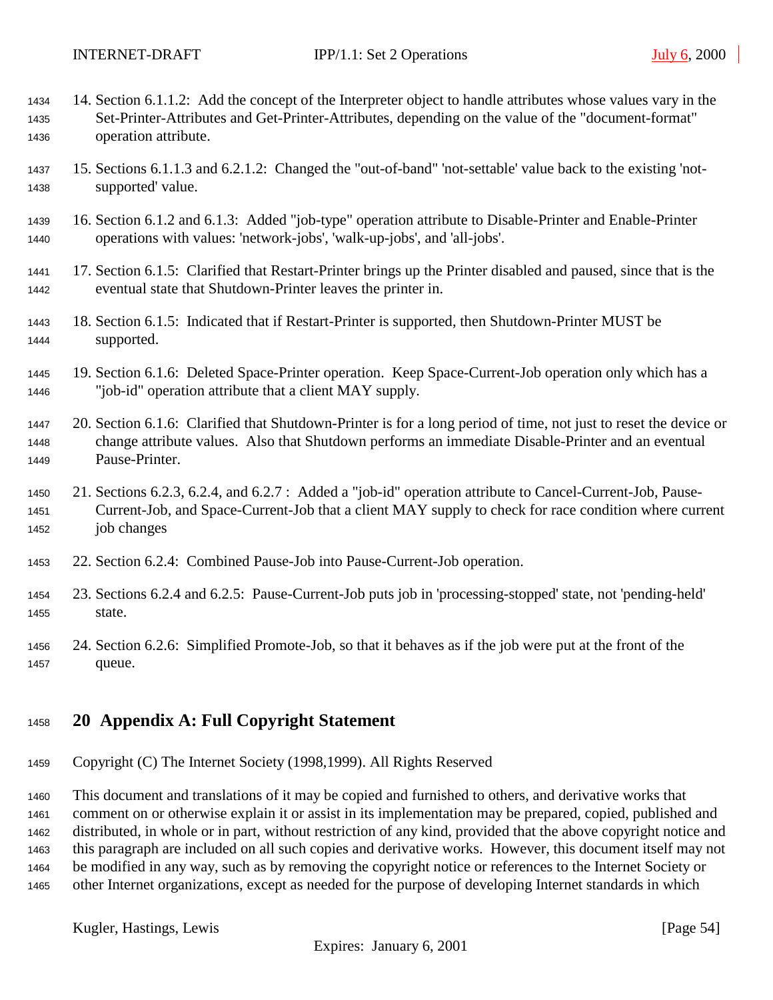- <span id="page-53-0"></span> 14. Section 6.1.1.2: Add the concept of the Interpreter object to handle attributes whose values vary in the Set-Printer-Attributes and Get-Printer-Attributes, depending on the value of the "document-format" operation attribute.
- 15. Sections 6.1.1.3 and 6.2.1.2: Changed the "out-of-band" 'not-settable' value back to the existing 'not-supported' value.
- 16. Section 6.1.2 and 6.1.3: Added "job-type" operation attribute to Disable-Printer and Enable-Printer operations with values: 'network-jobs', 'walk-up-jobs', and 'all-jobs'.
- 17. Section 6.1.5: Clarified that Restart-Printer brings up the Printer disabled and paused, since that is the eventual state that Shutdown-Printer leaves the printer in.
- 18. Section 6.1.5: Indicated that if Restart-Printer is supported, then Shutdown-Printer MUST be supported.
- 19. Section 6.1.6: Deleted Space-Printer operation. Keep Space-Current-Job operation only which has a "job-id" operation attribute that a client MAY supply.
- 20. Section 6.1.6: Clarified that Shutdown-Printer is for a long period of time, not just to reset the device or change attribute values. Also that Shutdown performs an immediate Disable-Printer and an eventual Pause-Printer.
- 21. Sections 6.2.3, 6.2.4, and 6.2.7 : Added a "job-id" operation attribute to Cancel-Current-Job, Pause- Current-Job, and Space-Current-Job that a client MAY supply to check for race condition where current job changes
- 22. Section 6.2.4: Combined Pause-Job into Pause-Current-Job operation.
- 23. Sections 6.2.4 and 6.2.5: Pause-Current-Job puts job in 'processing-stopped' state, not 'pending-held' state.
- 24. Section 6.2.6: Simplified Promote-Job, so that it behaves as if the job were put at the front of the queue.

# **20 Appendix A: Full Copyright Statement**

Copyright (C) The Internet Society (1998,1999). All Rights Reserved

 This document and translations of it may be copied and furnished to others, and derivative works that comment on or otherwise explain it or assist in its implementation may be prepared, copied, published and distributed, in whole or in part, without restriction of any kind, provided that the above copyright notice and this paragraph are included on all such copies and derivative works. However, this document itself may not be modified in any way, such as by removing the copyright notice or references to the Internet Society or other Internet organizations, except as needed for the purpose of developing Internet standards in which